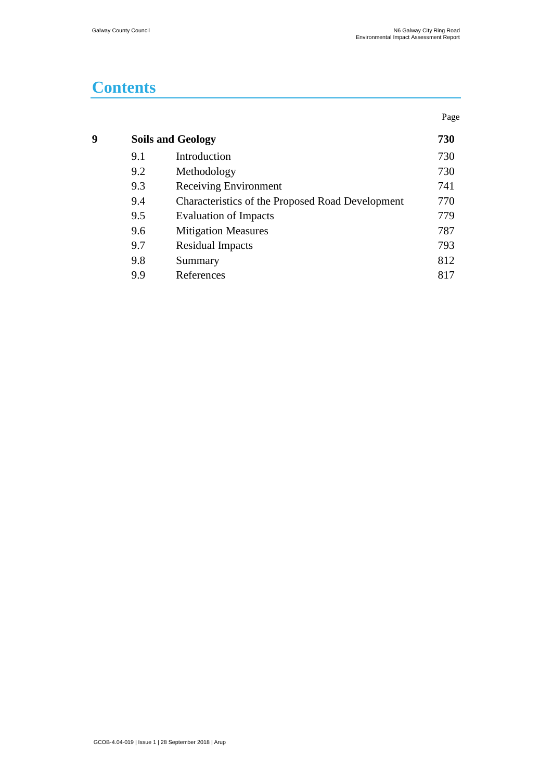# **Contents**

|   |     |                                                  | Page |
|---|-----|--------------------------------------------------|------|
| Q |     | <b>Soils and Geology</b>                         | 730  |
|   | 9.1 | Introduction                                     | 730  |
|   | 9.2 | Methodology                                      | 730  |
|   | 9.3 | Receiving Environment                            | 741  |
|   | 9.4 | Characteristics of the Proposed Road Development | 770  |
|   | 9.5 | Evaluation of Impacts                            | 779  |
|   | 9.6 | <b>Mitigation Measures</b>                       | 787  |
|   | 9.7 | <b>Residual Impacts</b>                          | 793  |
|   | 9.8 | Summary                                          | 812  |
|   | 9.9 | References                                       | 817  |
|   |     |                                                  |      |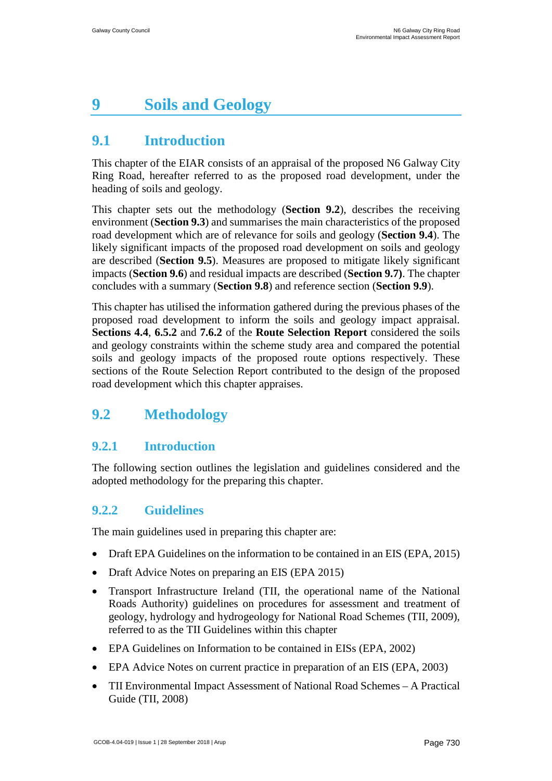# <span id="page-1-0"></span>**9 Soils and Geology**

## <span id="page-1-1"></span>**9.1 Introduction**

This chapter of the EIAR consists of an appraisal of the proposed N6 Galway City Ring Road, hereafter referred to as the proposed road development, under the heading of soils and geology.

This chapter sets out the methodology (**Section 9.2**), describes the receiving environment (**Section 9.3**) and summarises the main characteristics of the proposed road development which are of relevance for soils and geology (**Section 9.4**). The likely significant impacts of the proposed road development on soils and geology are described (**Section 9.5**). Measures are proposed to mitigate likely significant impacts (**Section 9.6**) and residual impacts are described (**Section 9.7)**. The chapter concludes with a summary (**Section 9.8**) and reference section (**Section 9.9**).

This chapter has utilised the information gathered during the previous phases of the proposed road development to inform the soils and geology impact appraisal. **Sections 4.4**, **6.5.2** and **7.6.2** of the **Route Selection Report** considered the soils and geology constraints within the scheme study area and compared the potential soils and geology impacts of the proposed route options respectively. These sections of the Route Selection Report contributed to the design of the proposed road development which this chapter appraises.

## <span id="page-1-2"></span>**9.2 Methodology**

### **9.2.1 Introduction**

The following section outlines the legislation and guidelines considered and the adopted methodology for the preparing this chapter.

### **9.2.2 Guidelines**

The main guidelines used in preparing this chapter are:

- Draft EPA Guidelines on the information to be contained in an EIS (EPA, 2015)
- Draft Advice Notes on preparing an EIS (EPA 2015)
- Transport Infrastructure Ireland (TII, the operational name of the National Roads Authority) guidelines on procedures for assessment and treatment of geology, hydrology and hydrogeology for National Road Schemes (TII, 2009), referred to as the TII Guidelines within this chapter
- EPA Guidelines on Information to be contained in EISs (EPA, 2002)
- EPA Advice Notes on current practice in preparation of an EIS (EPA, 2003)
- TII Environmental Impact Assessment of National Road Schemes A Practical Guide (TII, 2008)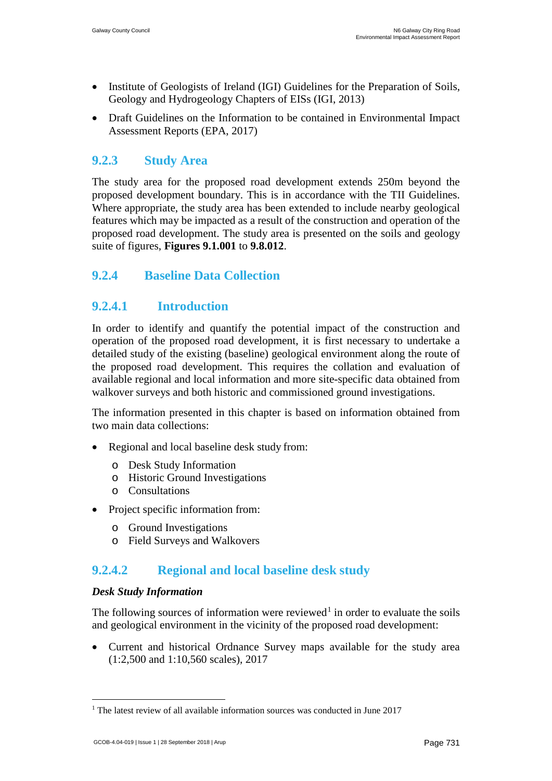- Institute of Geologists of Ireland (IGI) Guidelines for the Preparation of Soils, Geology and Hydrogeology Chapters of EISs (IGI, 2013)
- Draft Guidelines on the Information to be contained in Environmental Impact Assessment Reports (EPA, 2017)

### **9.2.3 Study Area**

The study area for the proposed road development extends 250m beyond the proposed development boundary. This is in accordance with the TII Guidelines. Where appropriate, the study area has been extended to include nearby geological features which may be impacted as a result of the construction and operation of the proposed road development. The study area is presented on the soils and geology suite of figures, **Figures 9.1.001** to **9.8.012**.

### **9.2.4 Baseline Data Collection**

### **9.2.4.1 Introduction**

In order to identify and quantify the potential impact of the construction and operation of the proposed road development, it is first necessary to undertake a detailed study of the existing (baseline) geological environment along the route of the proposed road development. This requires the collation and evaluation of available regional and local information and more site-specific data obtained from walkover surveys and both historic and commissioned ground investigations.

The information presented in this chapter is based on information obtained from two main data collections:

- Regional and local baseline desk study from:
	- o Desk Study Information
	- o Historic Ground Investigations
	- o Consultations
- Project specific information from:
	- o Ground Investigations
	- o Field Surveys and Walkovers

### **9.2.4.2 Regional and local baseline desk study**

#### *Desk Study Information*

The following sources of information were reviewed<sup>[1](#page-3-0)</sup> in order to evaluate the soils and geological environment in the vicinity of the proposed road development:

• Current and historical Ordnance Survey maps available for the study area (1:2,500 and 1:10,560 scales), 2017

<sup>&</sup>lt;sup>1</sup> The latest review of all available information sources was conducted in June 2017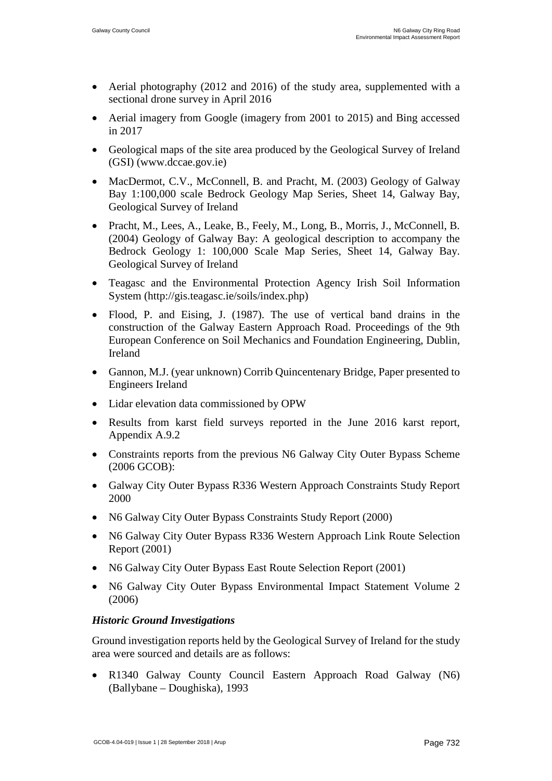- Aerial photography (2012 and 2016) of the study area, supplemented with a sectional drone survey in April 2016
- Aerial imagery from Google (imagery from 2001 to 2015) and Bing accessed in 2017
- Geological maps of the site area produced by the Geological Survey of Ireland (GSI) (www.dccae.gov.ie)
- MacDermot, C.V., McConnell, B. and Pracht, M. (2003) Geology of Galway Bay 1:100,000 scale Bedrock Geology Map Series, Sheet 14, Galway Bay, Geological Survey of Ireland
- Pracht, M., Lees, A., Leake, B., Feely, M., Long, B., Morris, J., McConnell, B. (2004) Geology of Galway Bay: A geological description to accompany the Bedrock Geology 1: 100,000 Scale Map Series, Sheet 14, Galway Bay. Geological Survey of Ireland
- Teagasc and the Environmental Protection Agency Irish Soil Information System (http://gis.teagasc.ie/soils/index.php)
- Flood, P. and Eising, J. (1987). The use of vertical band drains in the construction of the Galway Eastern Approach Road. Proceedings of the 9th European Conference on Soil Mechanics and Foundation Engineering, Dublin, Ireland
- Gannon, M.J. (year unknown) Corrib Quincentenary Bridge, Paper presented to Engineers Ireland
- Lidar elevation data commissioned by OPW
- Results from karst field surveys reported in the June 2016 karst report, Appendix A.9.2
- Constraints reports from the previous N6 Galway City Outer Bypass Scheme (2006 GCOB):
- Galway City Outer Bypass R336 Western Approach Constraints Study Report 2000
- N6 Galway City Outer Bypass Constraints Study Report (2000)
- N6 Galway City Outer Bypass R336 Western Approach Link Route Selection Report (2001)
- N6 Galway City Outer Bypass East Route Selection Report (2001)
- N6 Galway City Outer Bypass Environmental Impact Statement Volume 2 (2006)

#### *Historic Ground Investigations*

Ground investigation reports held by the Geological Survey of Ireland for the study area were sourced and details are as follows:

<span id="page-3-0"></span>• R1340 Galway County Council Eastern Approach Road Galway (N6) (Ballybane – Doughiska), 1993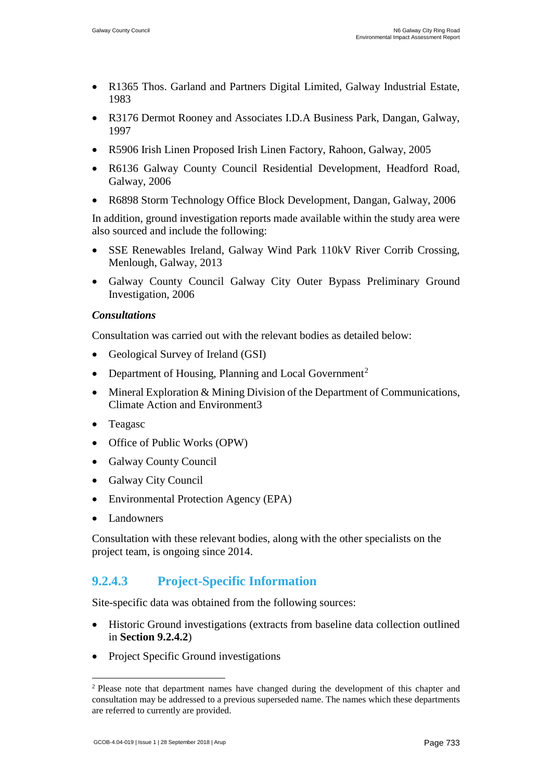- R1365 Thos. Garland and Partners Digital Limited, Galway Industrial Estate, 1983
- R3176 Dermot Rooney and Associates I.D.A Business Park, Dangan, Galway, 1997
- R5906 Irish Linen Proposed Irish Linen Factory, Rahoon, Galway, 2005
- R6136 Galway County Council Residential Development, Headford Road, Galway, 2006
- R6898 Storm Technology Office Block Development, Dangan, Galway, 2006

In addition, ground investigation reports made available within the study area were also sourced and include the following:

- SSE Renewables Ireland, Galway Wind Park 110kV River Corrib Crossing, Menlough, Galway, 2013
- Galway County Council Galway City Outer Bypass Preliminary Ground Investigation, 2006

#### *Consultations*

Consultation was carried out with the relevant bodies as detailed below:

- Geological Survey of Ireland (GSI)
- Department of Housing, Planning and Local Government<sup>[2](#page-5-0)</sup>
- Mineral Exploration & Mining Division of the Department of Communications, Climate Action and Environment3
- Teagasc
- Office of Public Works (OPW)
- Galway County Council
- Galway City Council
- Environmental Protection Agency (EPA)
- **Landowners**

Consultation with these relevant bodies, along with the other specialists on the project team, is ongoing since 2014.

### **9.2.4.3 Project-Specific Information**

Site-specific data was obtained from the following sources:

- Historic Ground investigations (extracts from baseline data collection outlined in **Section 9.2.4.2**)
- Project Specific Ground investigations

<sup>&</sup>lt;sup>2</sup> Please note that department names have changed during the development of this chapter and consultation may be addressed to a previous superseded name. The names which these departments are referred to currently are provided.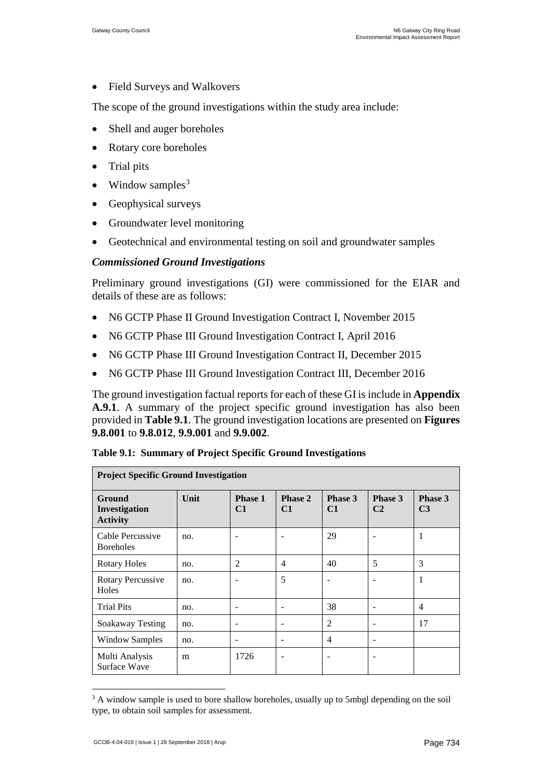• Field Surveys and Walkovers

The scope of the ground investigations within the study area include:

- Shell and auger boreholes
- Rotary core boreholes
- Trial pits
- Window samples<sup>[3](#page-6-0)</sup>
- Geophysical surveys
- Groundwater level monitoring
- Geotechnical and environmental testing on soil and groundwater samples

#### *Commissioned Ground Investigations*

Preliminary ground investigations (GI) were commissioned for the EIAR and details of these are as follows:

- N6 GCTP Phase II Ground Investigation Contract I, November 2015
- N6 GCTP Phase III Ground Investigation Contract I, April 2016
- N6 GCTP Phase III Ground Investigation Contract II, December 2015
- N6 GCTP Phase III Ground Investigation Contract III, December 2016

The ground investigation factual reports for each of these GI is include in **Appendix A.9.1**. A summary of the project specific ground investigation has also been provided in **[Table 9.1](#page-5-1)**. The ground investigation locations are presented on **Figures 9.8.001** to **9.8.012**, **9.9.001** and **9.9.002**.

| <b>Project Specific Ground Investigation</b> |      |                          |                          |               |                           |                           |
|----------------------------------------------|------|--------------------------|--------------------------|---------------|---------------------------|---------------------------|
| Ground<br>Investigation<br><b>Activity</b>   | Unit | Phase 1<br>C1            | Phase 2<br>C1            | Phase 3<br>C1 | Phase 3<br>C <sub>2</sub> | Phase 3<br>C <sub>3</sub> |
| Cable Percussive<br><b>Boreholes</b>         | no.  | $\overline{\phantom{a}}$ | $\overline{\phantom{0}}$ | 29            |                           | 1                         |
| <b>Rotary Holes</b>                          | no.  | 2                        | $\overline{4}$           | 40            | 5                         | 3                         |
| <b>Rotary Percussive</b><br>Holes            | no.  |                          | 5                        |               |                           | $\mathbf{1}$              |
| <b>Trial Pits</b>                            | no.  | $\overline{\phantom{a}}$ | -                        | 38            | -                         | 4                         |
| Soakaway Testing                             | no.  | $\qquad \qquad -$        | $\overline{\phantom{a}}$ | 2             | -                         | 17                        |
| <b>Window Samples</b>                        | no.  | $\overline{\phantom{a}}$ | -                        | 4             | -                         |                           |
| Multi Analysis<br>Surface Wave               | m    | 1726                     | ٠                        |               |                           |                           |

<span id="page-5-1"></span>**Table 9.1: Summary of Project Specific Ground Investigations**

<span id="page-5-0"></span> $3$  A window sample is used to bore shallow boreholes, usually up to 5mbgl depending on the soil type, to obtain soil samples for assessment.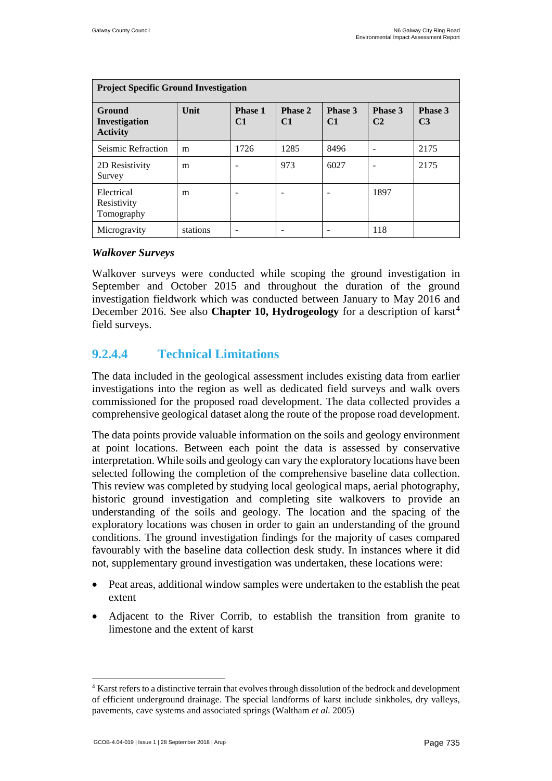| <b>Project Specific Ground Investigation</b> |          |                      |                          |               |                           |                           |
|----------------------------------------------|----------|----------------------|--------------------------|---------------|---------------------------|---------------------------|
| Ground<br>Investigation<br><b>Activity</b>   | Unit     | <b>Phase 1</b><br>C1 | Phase 2<br>C1            | Phase 3<br>C1 | Phase 3<br>C <sub>2</sub> | Phase 3<br>C <sub>3</sub> |
| Seismic Refraction                           | m        | 1726                 | 1285                     | 8496          |                           | 2175                      |
| 2D Resistivity<br>Survey                     | m        |                      | 973                      | 6027          |                           | 2175                      |
| Electrical<br>Resistivity<br>Tomography      | m        |                      | $\overline{\phantom{0}}$ |               | 1897                      |                           |
| Microgravity                                 | stations |                      | -                        |               | 118                       |                           |

#### *Walkover Surveys*

Walkover surveys were conducted while scoping the ground investigation in September and October 2015 and throughout the duration of the ground investigation fieldwork which was conducted between January to May 2016 and December 2016. See also **Chapter 10, Hydrogeology** for a description of karst<sup>[4](#page-7-0)</sup> field surveys.

### **9.2.4.4 Technical Limitations**

The data included in the geological assessment includes existing data from earlier investigations into the region as well as dedicated field surveys and walk overs commissioned for the proposed road development. The data collected provides a comprehensive geological dataset along the route of the propose road development.

The data points provide valuable information on the soils and geology environment at point locations. Between each point the data is assessed by conservative interpretation. While soils and geology can vary the exploratory locations have been selected following the completion of the comprehensive baseline data collection. This review was completed by studying local geological maps, aerial photography, historic ground investigation and completing site walkovers to provide an understanding of the soils and geology. The location and the spacing of the exploratory locations was chosen in order to gain an understanding of the ground conditions. The ground investigation findings for the majority of cases compared favourably with the baseline data collection desk study. In instances where it did not, supplementary ground investigation was undertaken, these locations were:

- Peat areas, additional window samples were undertaken to the establish the peat extent
- Adjacent to the River Corrib, to establish the transition from granite to limestone and the extent of karst

<span id="page-6-0"></span> <sup>4</sup> Karst refers to a distinctive terrain that evolves through dissolution of the bedrock and development of efficient underground drainage. The special landforms of karst include sinkholes, dry valleys, pavements, cave systems and associated springs (Waltham *et al.* 2005)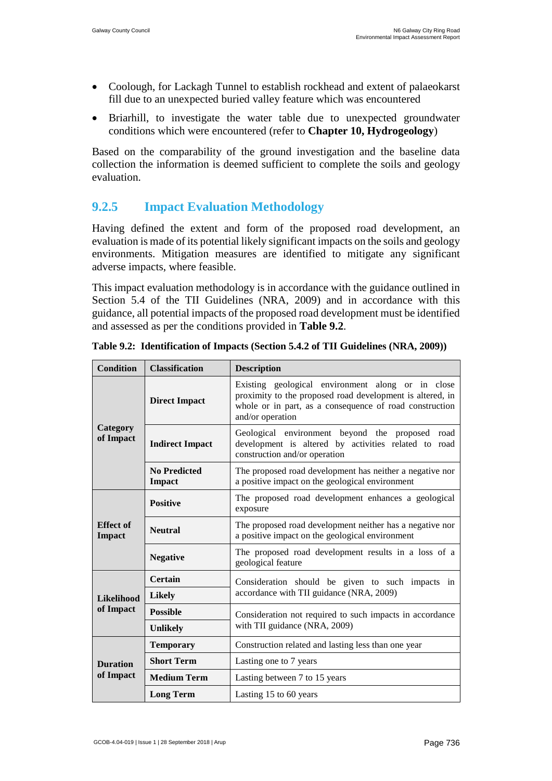- Coolough, for Lackagh Tunnel to establish rockhead and extent of palaeokarst fill due to an unexpected buried valley feature which was encountered
- Briarhill, to investigate the water table due to unexpected groundwater conditions which were encountered (refer to **Chapter 10, Hydrogeology**)

Based on the comparability of the ground investigation and the baseline data collection the information is deemed sufficient to complete the soils and geology evaluation.

### **9.2.5 Impact Evaluation Methodology**

Having defined the extent and form of the proposed road development, an evaluation is made of its potential likely significant impacts on the soils and geology environments. Mitigation measures are identified to mitigate any significant adverse impacts, where feasible.

This impact evaluation methodology is in accordance with the guidance outlined in Section 5.4 of the TII Guidelines (NRA, 2009) and in accordance with this guidance, all potential impacts of the proposed road development must be identified and assessed as per the conditions provided in **[Table 9.2](#page-7-1)**.

<span id="page-7-0"></span>

| <b>Condition</b>                  | <b>Classification</b>                | <b>Description</b>                                                                                                                                                                            |  |  |
|-----------------------------------|--------------------------------------|-----------------------------------------------------------------------------------------------------------------------------------------------------------------------------------------------|--|--|
|                                   | <b>Direct Impact</b>                 | Existing geological environment along or in close<br>proximity to the proposed road development is altered, in<br>whole or in part, as a consequence of road construction<br>and/or operation |  |  |
| Category<br>of Impact             | <b>Indirect Impact</b>               | Geological environment beyond the proposed road<br>development is altered by activities related to road<br>construction and/or operation                                                      |  |  |
|                                   | <b>No Predicted</b><br><b>Impact</b> | The proposed road development has neither a negative nor<br>a positive impact on the geological environment                                                                                   |  |  |
|                                   | <b>Positive</b>                      | The proposed road development enhances a geological<br>exposure                                                                                                                               |  |  |
| <b>Effect</b> of<br><b>Impact</b> | <b>Neutral</b>                       | The proposed road development neither has a negative nor<br>a positive impact on the geological environment                                                                                   |  |  |
|                                   | <b>Negative</b>                      | The proposed road development results in a loss of a<br>geological feature                                                                                                                    |  |  |
|                                   | <b>Certain</b>                       | Consideration should be given to such impacts in<br>accordance with TII guidance (NRA, 2009)                                                                                                  |  |  |
| <b>Likelihood</b>                 | <b>Likely</b>                        |                                                                                                                                                                                               |  |  |
| of Impact                         | <b>Possible</b>                      | Consideration not required to such impacts in accordance                                                                                                                                      |  |  |
|                                   | <b>Unlikely</b>                      | with TII guidance (NRA, 2009)                                                                                                                                                                 |  |  |
|                                   | <b>Temporary</b>                     | Construction related and lasting less than one year                                                                                                                                           |  |  |
| <b>Duration</b>                   | <b>Short Term</b>                    | Lasting one to 7 years                                                                                                                                                                        |  |  |
| of Impact                         | <b>Medium Term</b>                   | Lasting between 7 to 15 years                                                                                                                                                                 |  |  |
|                                   | <b>Long Term</b>                     | Lasting 15 to 60 years                                                                                                                                                                        |  |  |

<span id="page-7-1"></span>**Table 9.2: Identification of Impacts (Section 5.4.2 of TII Guidelines (NRA, 2009))**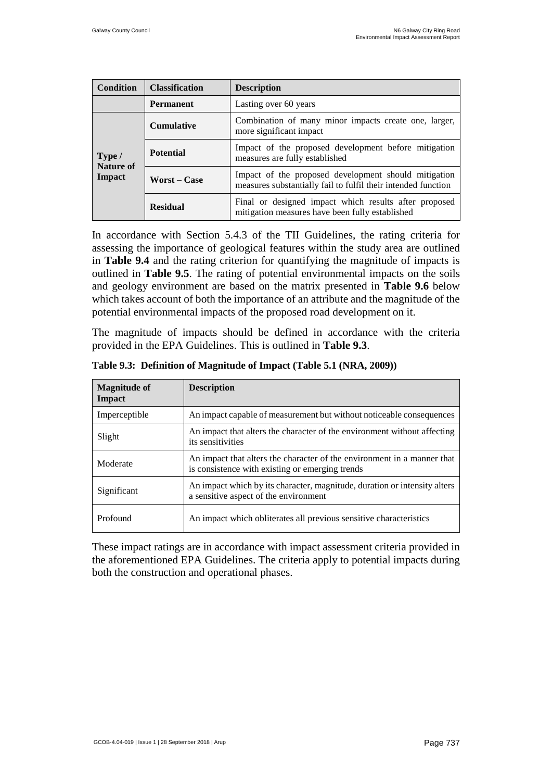| <b>Condition</b>    | <b>Classification</b> | <b>Description</b>                                                                                                    |  |
|---------------------|-----------------------|-----------------------------------------------------------------------------------------------------------------------|--|
|                     | <b>Permanent</b>      | Lasting over 60 years                                                                                                 |  |
|                     | <b>Cumulative</b>     | Combination of many minor impacts create one, larger,<br>more significant impact                                      |  |
| Type /<br>Nature of | <b>Potential</b>      | Impact of the proposed development before mitigation<br>measures are fully established                                |  |
| Impact              | <b>Worst – Case</b>   | Impact of the proposed development should mitigation<br>measures substantially fail to fulfil their intended function |  |
|                     | <b>Residual</b>       | Final or designed impact which results after proposed<br>mitigation measures have been fully established              |  |

In accordance with Section 5.4.3 of the TII Guidelines, the rating criteria for assessing the importance of geological features within the study area are outlined in **Table 9.4** and the rating criterion for quantifying the magnitude of impacts is outlined in **[Table 9.5](#page-10-0)**. The rating of potential environmental impacts on the soils and geology environment are based on the matrix presented in **[Table 9.6](#page-11-0)** below which takes account of both the importance of an attribute and the magnitude of the potential environmental impacts of the proposed road development on it.

The magnitude of impacts should be defined in accordance with the criteria provided in the EPA Guidelines. This is outlined in **[Table](#page-8-0) 9.3**.

| <b>Magnitude of</b><br>Impact | <b>Description</b>                                                                                                         |
|-------------------------------|----------------------------------------------------------------------------------------------------------------------------|
| Imperceptible                 | An impact capable of measurement but without noticeable consequences                                                       |
| Slight                        | An impact that alters the character of the environment without affecting<br>its sensitivities                              |
| Moderate                      | An impact that alters the character of the environment in a manner that<br>is consistence with existing or emerging trends |
| Significant                   | An impact which by its character, magnitude, duration or intensity alters<br>a sensitive aspect of the environment         |
| Profound                      | An impact which obliterates all previous sensitive characteristics                                                         |

<span id="page-8-0"></span>**Table 9.3: Definition of Magnitude of Impact (Table 5.1 (NRA, 2009))**

These impact ratings are in accordance with impact assessment criteria provided in the aforementioned EPA Guidelines. The criteria apply to potential impacts during both the construction and operational phases.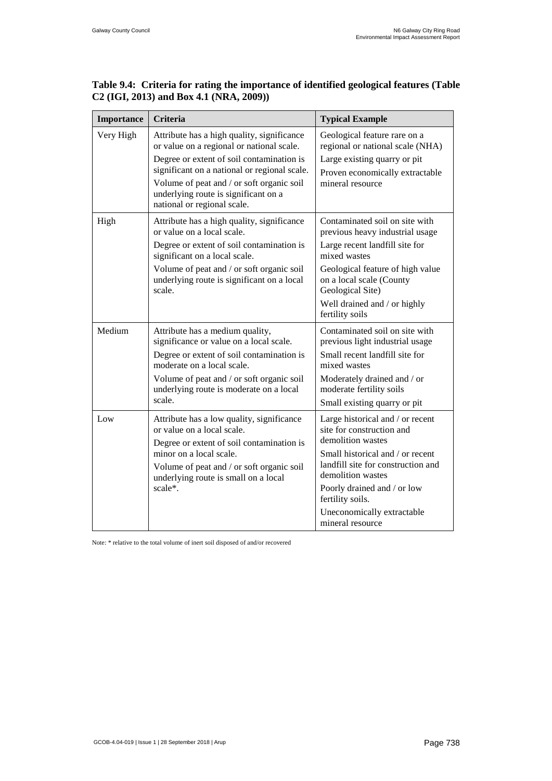| Table 9.4: Criteria for rating the importance of identified geological features (Table |  |
|----------------------------------------------------------------------------------------|--|
| $C2$ (IGI, 2013) and Box 4.1 (NRA, 2009))                                              |  |

| Importance | Criteria                                                                                                                                                                                                                                                                                                 | <b>Typical Example</b>                                                                                                                                                                                                                                                                 |
|------------|----------------------------------------------------------------------------------------------------------------------------------------------------------------------------------------------------------------------------------------------------------------------------------------------------------|----------------------------------------------------------------------------------------------------------------------------------------------------------------------------------------------------------------------------------------------------------------------------------------|
| Very High  | Attribute has a high quality, significance<br>or value on a regional or national scale.<br>Degree or extent of soil contamination is<br>significant on a national or regional scale.<br>Volume of peat and / or soft organic soil<br>underlying route is significant on a<br>national or regional scale. | Geological feature rare on a<br>regional or national scale (NHA)<br>Large existing quarry or pit<br>Proven economically extractable<br>mineral resource                                                                                                                                |
| High       | Attribute has a high quality, significance<br>or value on a local scale.<br>Degree or extent of soil contamination is<br>significant on a local scale.<br>Volume of peat and / or soft organic soil<br>underlying route is significant on a local<br>scale.                                              | Contaminated soil on site with<br>previous heavy industrial usage<br>Large recent landfill site for<br>mixed wastes<br>Geological feature of high value<br>on a local scale (County<br>Geological Site)<br>Well drained and / or highly<br>fertility soils                             |
| Medium     | Attribute has a medium quality,<br>significance or value on a local scale.<br>Degree or extent of soil contamination is<br>moderate on a local scale.<br>Volume of peat and / or soft organic soil<br>underlying route is moderate on a local<br>scale.                                                  | Contaminated soil on site with<br>previous light industrial usage<br>Small recent landfill site for<br>mixed wastes<br>Moderately drained and / or<br>moderate fertility soils<br>Small existing quarry or pit                                                                         |
| Low        | Attribute has a low quality, significance<br>or value on a local scale.<br>Degree or extent of soil contamination is<br>minor on a local scale.<br>Volume of peat and / or soft organic soil<br>underlying route is small on a local<br>scale*.                                                          | Large historical and / or recent<br>site for construction and<br>demolition wastes<br>Small historical and / or recent<br>landfill site for construction and<br>demolition wastes<br>Poorly drained and / or low<br>fertility soils.<br>Uneconomically extractable<br>mineral resource |

Note: \* relative to the total volume of inert soil disposed of and/or recovered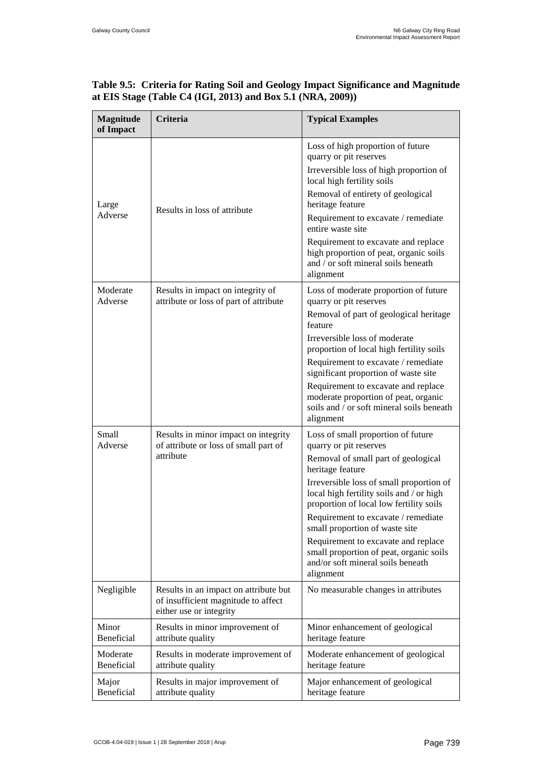| <b>Magnitude</b><br>of Impact | Criteria                                                                                                | <b>Typical Examples</b>                                                                                                               |
|-------------------------------|---------------------------------------------------------------------------------------------------------|---------------------------------------------------------------------------------------------------------------------------------------|
|                               |                                                                                                         | Loss of high proportion of future<br>quarry or pit reserves                                                                           |
|                               |                                                                                                         | Irreversible loss of high proportion of<br>local high fertility soils                                                                 |
| Large                         | Results in loss of attribute                                                                            | Removal of entirety of geological<br>heritage feature                                                                                 |
| Adverse                       |                                                                                                         | Requirement to excavate / remediate<br>entire waste site                                                                              |
|                               |                                                                                                         | Requirement to excavate and replace<br>high proportion of peat, organic soils<br>and / or soft mineral soils beneath<br>alignment     |
| Moderate<br>Adverse           | Results in impact on integrity of<br>attribute or loss of part of attribute                             | Loss of moderate proportion of future<br>quarry or pit reserves                                                                       |
|                               |                                                                                                         | Removal of part of geological heritage<br>feature                                                                                     |
|                               |                                                                                                         | Irreversible loss of moderate<br>proportion of local high fertility soils                                                             |
|                               |                                                                                                         | Requirement to excavate / remediate<br>significant proportion of waste site                                                           |
|                               |                                                                                                         | Requirement to excavate and replace<br>moderate proportion of peat, organic<br>soils and / or soft mineral soils beneath<br>alignment |
| Small<br>Adverse              | Results in minor impact on integrity<br>of attribute or loss of small part of                           | Loss of small proportion of future<br>quarry or pit reserves                                                                          |
|                               | attribute                                                                                               | Removal of small part of geological<br>heritage feature                                                                               |
|                               |                                                                                                         | Irreversible loss of small proportion of<br>local high fertility soils and / or high<br>proportion of local low fertility soils       |
|                               |                                                                                                         | Requirement to excavate / remediate<br>small proportion of waste site                                                                 |
|                               |                                                                                                         | Requirement to excavate and replace<br>small proportion of peat, organic soils<br>and/or soft mineral soils beneath<br>alignment      |
| Negligible                    | Results in an impact on attribute but<br>of insufficient magnitude to affect<br>either use or integrity | No measurable changes in attributes                                                                                                   |
| Minor<br>Beneficial           | Results in minor improvement of<br>attribute quality                                                    | Minor enhancement of geological<br>heritage feature                                                                                   |
| Moderate<br>Beneficial        | Results in moderate improvement of<br>attribute quality                                                 | Moderate enhancement of geological<br>heritage feature                                                                                |
| Major<br>Beneficial           | Results in major improvement of<br>attribute quality                                                    | Major enhancement of geological<br>heritage feature                                                                                   |

#### <span id="page-10-0"></span>**Table 9.5: Criteria for Rating Soil and Geology Impact Significance and Magnitude at EIS Stage (Table C4 (IGI, 2013) and Box 5.1 (NRA, 2009))**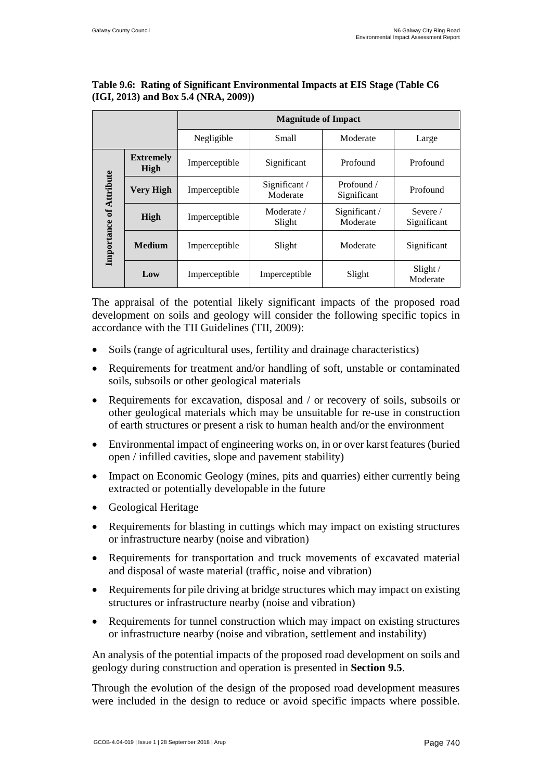|              |                          | <b>Magnitude of Impact</b> |                          |                           |                                  |  |
|--------------|--------------------------|----------------------------|--------------------------|---------------------------|----------------------------------|--|
|              |                          | Negligible                 | <b>Small</b>             | Moderate                  | Large                            |  |
|              | <b>Extremely</b><br>High | Imperceptible              | Significant              | Profound                  | Profound                         |  |
| of Attribute | <b>Very High</b>         | Imperceptible              | Significant/<br>Moderate | Profound /<br>Significant | Profound                         |  |
|              | High                     | Imperceptible              | Moderate /<br>Slight     | Significant /<br>Moderate | Severe $\sqrt{ }$<br>Significant |  |
| Importance   | <b>Medium</b>            | Imperceptible              | Slight                   | Moderate                  | Significant                      |  |
|              | Low                      | Imperceptible              | Imperceptible            | Slight                    | Slight/<br>Moderate              |  |

#### <span id="page-11-0"></span>**Table 9.6: Rating of Significant Environmental Impacts at EIS Stage (Table C6 (IGI, 2013) and Box 5.4 (NRA, 2009))**

The appraisal of the potential likely significant impacts of the proposed road development on soils and geology will consider the following specific topics in accordance with the TII Guidelines (TII, 2009):

- Soils (range of agricultural uses, fertility and drainage characteristics)
- Requirements for treatment and/or handling of soft, unstable or contaminated soils, subsoils or other geological materials
- Requirements for excavation, disposal and / or recovery of soils, subsoils or other geological materials which may be unsuitable for re-use in construction of earth structures or present a risk to human health and/or the environment
- Environmental impact of engineering works on, in or over karst features (buried open / infilled cavities, slope and pavement stability)
- Impact on Economic Geology (mines, pits and quarries) either currently being extracted or potentially developable in the future
- Geological Heritage
- Requirements for blasting in cuttings which may impact on existing structures or infrastructure nearby (noise and vibration)
- Requirements for transportation and truck movements of excavated material and disposal of waste material (traffic, noise and vibration)
- Requirements for pile driving at bridge structures which may impact on existing structures or infrastructure nearby (noise and vibration)
- Requirements for tunnel construction which may impact on existing structures or infrastructure nearby (noise and vibration, settlement and instability)

An analysis of the potential impacts of the proposed road development on soils and geology during construction and operation is presented in **Section [9.5](#page-50-0)**.

Through the evolution of the design of the proposed road development measures were included in the design to reduce or avoid specific impacts where possible.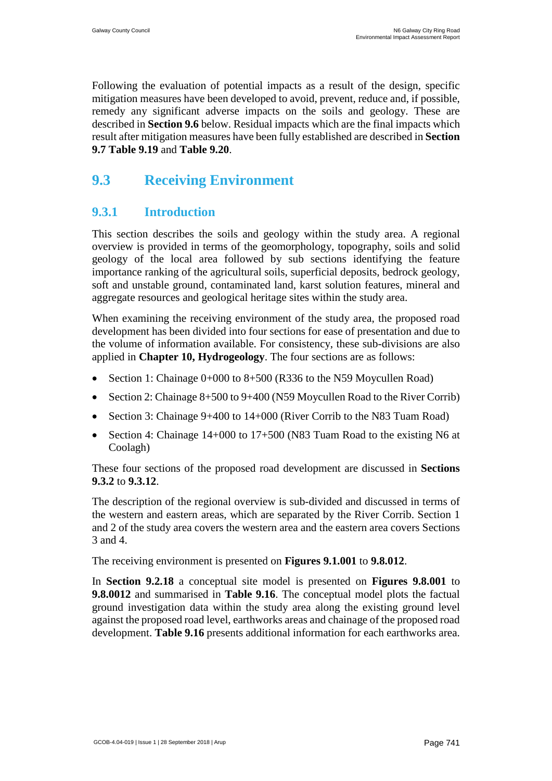Following the evaluation of potential impacts as a result of the design, specific mitigation measures have been developed to avoid, prevent, reduce and, if possible, remedy any significant adverse impacts on the soils and geology. These are described in **Section [9.6](#page-58-0)** below. Residual impacts which are the final impacts which result after mitigation measures have been fully established are described in **Section [9.7](#page-64-0) [Table 9.19](#page-65-0)** and **[Table 9.20](#page-79-0)**.

## <span id="page-12-0"></span>**9.3 Receiving Environment**

### **9.3.1 Introduction**

This section describes the soils and geology within the study area. A regional overview is provided in terms of the geomorphology, topography, soils and solid geology of the local area followed by sub sections identifying the feature importance ranking of the agricultural soils, superficial deposits, bedrock geology, soft and unstable ground, contaminated land, karst solution features, mineral and aggregate resources and geological heritage sites within the study area.

When examining the receiving environment of the study area, the proposed road development has been divided into four sections for ease of presentation and due to the volume of information available. For consistency, these sub-divisions are also applied in **Chapter 10, Hydrogeology**. The four sections are as follows:

- Section 1: Chainage 0+000 to 8+500 (R336 to the N59 Moycullen Road)
- Section 2: Chainage 8+500 to 9+400 (N59 Moycullen Road to the River Corrib)
- Section 3: Chainage 9+400 to 14+000 (River Corrib to the N83 Tuam Road)
- Section 4: Chainage 14+000 to 17+500 (N83 Tuam Road to the existing N6 at Coolagh)

These four sections of the proposed road development are discussed in **Sections [9.3.2](#page-13-0)** to **[9.3.12](#page-34-0)**.

The description of the regional overview is sub-divided and discussed in terms of the western and eastern areas, which are separated by the River Corrib. Section 1 and 2 of the study area covers the western area and the eastern area covers Sections 3 and 4.

The receiving environment is presented on **Figures 9.1.001** to **9.8.012**.

In **Section 9.2.18** a conceptual site model is presented on **Figures 9.8.001** to **9.8.0012** and summarised in **[Table 9.16](#page-35-0)**. The conceptual model plots the factual ground investigation data within the study area along the existing ground level against the proposed road level, earthworks areas and chainage of the proposed road development. **[Table 9.16](#page-35-0)** presents additional information for each earthworks area.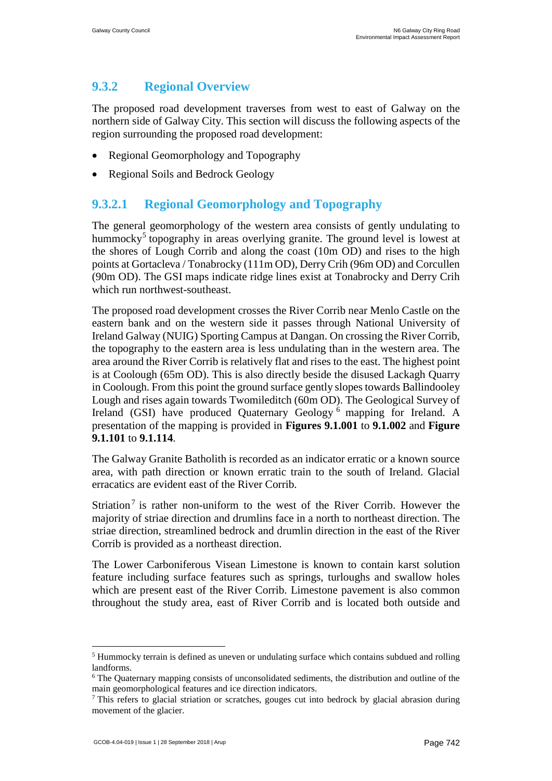### <span id="page-13-0"></span>**9.3.2 Regional Overview**

The proposed road development traverses from west to east of Galway on the northern side of Galway City. This section will discuss the following aspects of the region surrounding the proposed road development:

- Regional Geomorphology and Topography
- Regional Soils and Bedrock Geology

### **9.3.2.1 Regional Geomorphology and Topography**

The general geomorphology of the western area consists of gently undulating to hummocky<sup>[5](#page-14-0)</sup> topography in areas overlying granite. The ground level is lowest at the shores of Lough Corrib and along the coast (10m OD) and rises to the high points at Gortacleva / Tonabrocky (111m OD), Derry Crih (96m OD) and Corcullen (90m OD). The GSI maps indicate ridge lines exist at Tonabrocky and Derry Crih which run northwest-southeast.

The proposed road development crosses the River Corrib near Menlo Castle on the eastern bank and on the western side it passes through National University of Ireland Galway (NUIG) Sporting Campus at Dangan. On crossing the River Corrib, the topography to the eastern area is less undulating than in the western area. The area around the River Corrib is relatively flat and rises to the east. The highest point is at Coolough (65m OD). This is also directly beside the disused Lackagh Quarry in Coolough. From this point the ground surface gently slopes towards Ballindooley Lough and rises again towards Twomileditch (60m OD). The Geological Survey of Ireland (GSI) have produced Quaternary Geology [6](#page-14-1) mapping for Ireland. A presentation of the mapping is provided in **Figures 9.1.001** to **9.1.002** and **Figure 9.1.101** to **9.1.114**.

The Galway Granite Batholith is recorded as an indicator erratic or a known source area, with path direction or known erratic train to the south of Ireland. Glacial erracatics are evident east of the River Corrib.

Striation<sup>[7](#page-14-2)</sup> is rather non-uniform to the west of the River Corrib. However the majority of striae direction and drumlins face in a north to northeast direction. The striae direction, streamlined bedrock and drumlin direction in the east of the River Corrib is provided as a northeast direction.

The Lower Carboniferous Visean Limestone is known to contain karst solution feature including surface features such as springs, turloughs and swallow holes which are present east of the River Corrib. Limestone pavement is also common throughout the study area, east of River Corrib and is located both outside and

 <sup>5</sup> Hummocky terrain is defined as uneven or undulating surface which contains subdued and rolling landforms.

<sup>&</sup>lt;sup>6</sup> The Quaternary mapping consists of unconsolidated sediments, the distribution and outline of the main geomorphological features and ice direction indicators.<br><sup>7</sup> This refers to glacial striation or scratches, gouges cut into bedrock by glacial abrasion during

movement of the glacier.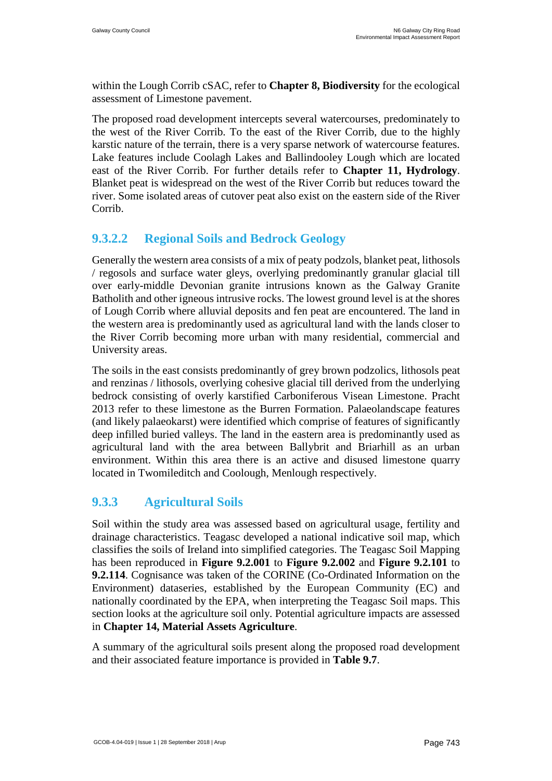within the Lough Corrib cSAC, refer to **Chapter 8, Biodiversity** for the ecological assessment of Limestone pavement.

The proposed road development intercepts several watercourses, predominately to the west of the River Corrib. To the east of the River Corrib, due to the highly karstic nature of the terrain, there is a very sparse network of watercourse features. Lake features include Coolagh Lakes and Ballindooley Lough which are located east of the River Corrib. For further details refer to **Chapter 11, Hydrology**. Blanket peat is widespread on the west of the River Corrib but reduces toward the river. Some isolated areas of cutover peat also exist on the eastern side of the River Corrib.

### **9.3.2.2 Regional Soils and Bedrock Geology**

Generally the western area consists of a mix of peaty podzols, blanket peat, lithosols / regosols and surface water gleys, overlying predominantly granular glacial till over early-middle Devonian granite intrusions known as the Galway Granite Batholith and other igneous intrusive rocks. The lowest ground level is at the shores of Lough Corrib where alluvial deposits and fen peat are encountered. The land in the western area is predominantly used as agricultural land with the lands closer to the River Corrib becoming more urban with many residential, commercial and University areas.

The soils in the east consists predominantly of grey brown podzolics, lithosols peat and renzinas / lithosols, overlying cohesive glacial till derived from the underlying bedrock consisting of overly karstified Carboniferous Visean Limestone. Pracht 2013 refer to these limestone as the Burren Formation. Palaeolandscape features (and likely palaeokarst) were identified which comprise of features of significantly deep infilled buried valleys. The land in the eastern area is predominantly used as agricultural land with the area between Ballybrit and Briarhill as an urban environment. Within this area there is an active and disused limestone quarry located in Twomileditch and Coolough, Menlough respectively.

### **9.3.3 Agricultural Soils**

Soil within the study area was assessed based on agricultural usage, fertility and drainage characteristics. Teagasc developed a national indicative soil map, which classifies the soils of Ireland into simplified categories. The Teagasc Soil Mapping has been reproduced in **Figure 9.2.001** to **Figure 9.2.002** and **Figure 9.2.101** to **9.2.114**. Cognisance was taken of the CORINE (Co-Ordinated Information on the Environment) dataseries, established by the European Community (EC) and nationally coordinated by the EPA, when interpreting the Teagasc Soil maps. This section looks at the agriculture soil only. Potential agriculture impacts are assessed in **Chapter 14, Material Assets Agriculture**.

<span id="page-14-2"></span><span id="page-14-1"></span><span id="page-14-0"></span>A summary of the agricultural soils present along the proposed road development and their associated feature importance is provided in **[Table 9.7](#page-15-0)**.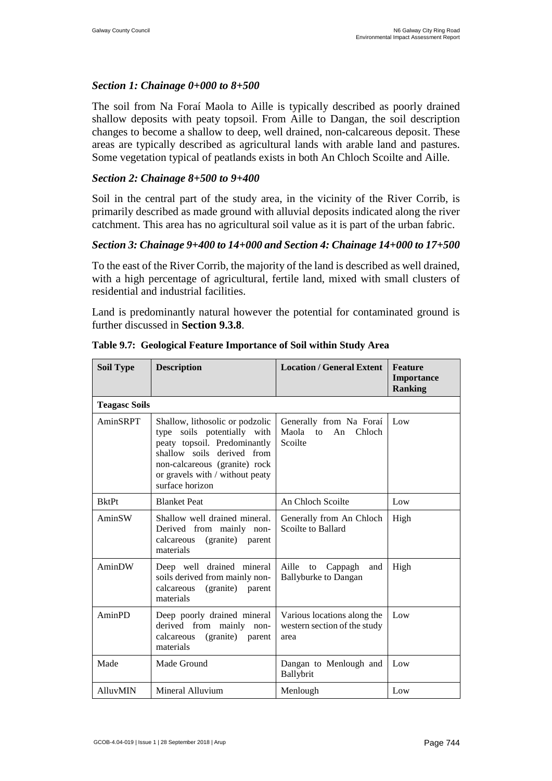#### *Section 1: Chainage 0+000 to 8+500*

The soil from Na Foraí Maola to Aille is typically described as poorly drained shallow deposits with peaty topsoil. From Aille to Dangan, the soil description changes to become a shallow to deep, well drained, non-calcareous deposit. These areas are typically described as agricultural lands with arable land and pastures. Some vegetation typical of peatlands exists in both An Chloch Scoilte and Aille.

#### *Section 2: Chainage 8+500 to 9+400*

Soil in the central part of the study area, in the vicinity of the River Corrib, is primarily described as made ground with alluvial deposits indicated along the river catchment. This area has no agricultural soil value as it is part of the urban fabric.

#### *Section 3: Chainage 9+400 to 14+000 and Section 4: Chainage 14+000 to 17+500*

To the east of the River Corrib, the majority of the land is described as well drained, with a high percentage of agricultural, fertile land, mixed with small clusters of residential and industrial facilities.

Land is predominantly natural however the potential for contaminated ground is further discussed in **Section [9.3.8](#page-26-0)**.

| <b>Soil Type</b>     | <b>Description</b>                                                                                                                                                                                                  | <b>Location / General Extent</b>                                    | <b>Feature</b><br>Importance<br><b>Ranking</b> |
|----------------------|---------------------------------------------------------------------------------------------------------------------------------------------------------------------------------------------------------------------|---------------------------------------------------------------------|------------------------------------------------|
| <b>Teagasc Soils</b> |                                                                                                                                                                                                                     |                                                                     |                                                |
| AminSRPT             | Shallow, lithosolic or podzolic<br>type soils potentially with<br>peaty topsoil. Predominantly<br>shallow soils derived from<br>non-calcareous (granite) rock<br>or gravels with / without peaty<br>surface horizon | Generally from Na Foraí<br>Maola<br>An<br>Chloch<br>to<br>Scoilte   | Low                                            |
| <b>BktPt</b>         | <b>Blanket Peat</b>                                                                                                                                                                                                 | An Chloch Scoilte                                                   | Low                                            |
| AminSW               | Shallow well drained mineral.<br>Derived from mainly non-<br>(granite) parent<br>calcareous<br>materials                                                                                                            | Generally from An Chloch<br>Scoilte to Ballard                      | High                                           |
| AminDW               | Deep well drained mineral<br>soils derived from mainly non-<br>calcareous<br>(granite)<br>parent<br>materials                                                                                                       | Aille to Cappagh<br>and<br><b>Ballyburke to Dangan</b>              | High                                           |
| AminPD               | Deep poorly drained mineral<br>derived from mainly non-<br>calcareous<br>(granite)<br>parent<br>materials                                                                                                           | Various locations along the<br>western section of the study<br>area | Low                                            |
| Made                 | Made Ground                                                                                                                                                                                                         | Dangan to Menlough and<br>Ballybrit                                 | Low                                            |
| AlluvMIN             | Mineral Alluvium                                                                                                                                                                                                    | Menlough                                                            | Low                                            |

<span id="page-15-0"></span>**Table 9.7: Geological Feature Importance of Soil within Study Area**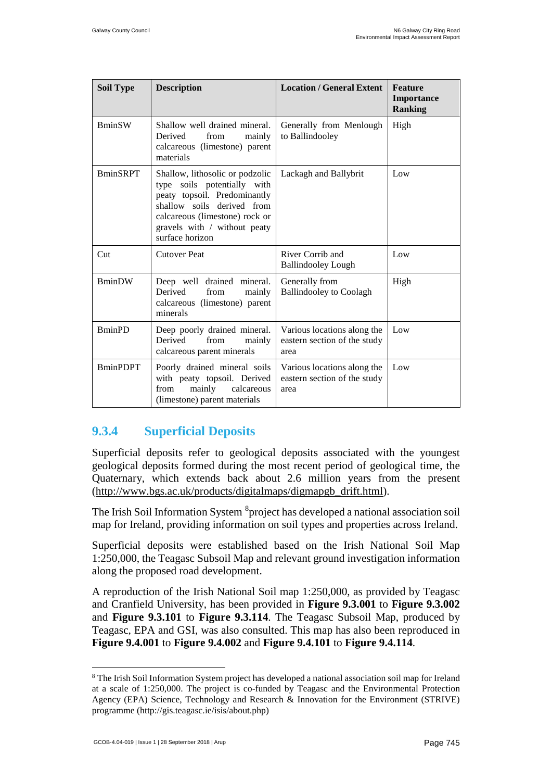| <b>Soil Type</b> | <b>Description</b>                                                                                                                                                                                                | <b>Location / General Extent</b>                                    | Feature<br>Importance<br><b>Ranking</b> |
|------------------|-------------------------------------------------------------------------------------------------------------------------------------------------------------------------------------------------------------------|---------------------------------------------------------------------|-----------------------------------------|
| <b>BminSW</b>    | Shallow well drained mineral.<br>Derived<br>from<br>mainly<br>calcareous (limestone) parent<br>materials                                                                                                          | Generally from Menlough<br>to Ballindooley                          | High                                    |
| <b>BminSRPT</b>  | Shallow, lithosolic or podzolic<br>type soils potentially with<br>peaty topsoil. Predominantly<br>shallow soils derived from<br>calcareous (limestone) rock or<br>gravels with / without peaty<br>surface horizon | Lackagh and Ballybrit                                               | Low                                     |
| Cut              | <b>Cutover Peat</b>                                                                                                                                                                                               | River Corrib and<br><b>Ballindooley Lough</b>                       | Low                                     |
| <b>BminDW</b>    | Deep well drained mineral.<br>Derived<br>from<br>mainly<br>calcareous (limestone) parent<br>minerals                                                                                                              | Generally from<br><b>Ballindooley to Coolagh</b>                    | High                                    |
| <b>BminPD</b>    | Deep poorly drained mineral.<br>from<br>Derived<br>mainly<br>calcareous parent minerals                                                                                                                           | Various locations along the<br>eastern section of the study<br>area | Low                                     |
| <b>BminPDPT</b>  | Poorly drained mineral soils<br>with peaty topsoil. Derived<br>mainly<br>calcareous<br>from<br>(limestone) parent materials                                                                                       | Various locations along the<br>eastern section of the study<br>area | Low                                     |

### **9.3.4 Superficial Deposits**

Superficial deposits refer to geological deposits associated with the youngest geological deposits formed during the most recent period of geological time, the Quaternary, which extends back about 2.6 million years from the present [\(http://www.bgs.ac.uk/products/digitalmaps/digmapgb\\_drift.html\)](http://www.bgs.ac.uk/products/digitalmaps/digmapgb_drift.html).

The Irish Soil Information System <sup>8</sup> project has developed a national association soil map for Ireland, providing information on soil types and properties across Ireland.

Superficial deposits were established based on the Irish National Soil Map 1:250,000, the Teagasc Subsoil Map and relevant ground investigation information along the proposed road development.

A reproduction of the Irish National Soil map 1:250,000, as provided by Teagasc and Cranfield University, has been provided in **Figure 9.3.001** to **Figure 9.3.002** and **Figure 9.3.101** to **Figure 9.3.114**. The Teagasc Subsoil Map, produced by Teagasc, EPA and GSI, was also consulted. This map has also been reproduced in **Figure 9.4.001** to **Figure 9.4.002** and **Figure 9.4.101** to **Figure 9.4.114**.

<sup>&</sup>lt;sup>8</sup> The Irish Soil Information System project has developed a national association soil map for Ireland at a scale of 1:250,000. The project is co-funded by Teagasc and the Environmental Protection Agency (EPA) Science, Technology and Research & Innovation for the Environment (STRIVE) programme (http://gis.teagasc.ie/isis/about.php)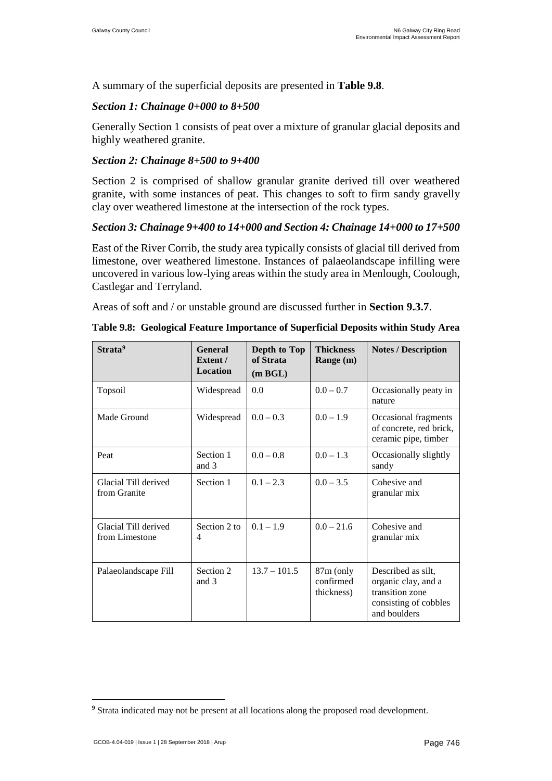A summary of the superficial deposits are presented in **[Table 9.8](#page-17-1)**.

#### *Section 1: Chainage 0+000 to 8+500*

Generally Section 1 consists of peat over a mixture of granular glacial deposits and highly weathered granite.

#### *Section 2: Chainage 8+500 to 9+400*

Section 2 is comprised of shallow granular granite derived till over weathered granite, with some instances of peat. This changes to soft to firm sandy gravelly clay over weathered limestone at the intersection of the rock types.

#### *Section 3: Chainage 9+400 to 14+000 and Section 4: Chainage 14+000 to 17+500*

East of the River Corrib, the study area typically consists of glacial till derived from limestone, over weathered limestone. Instances of palaeolandscape infilling were uncovered in various low-lying areas within the study area in Menlough, Coolough, Castlegar and Terryland.

Areas of soft and / or unstable ground are discussed further in **Section [9.3.7](#page-24-0)**.

| Strata <sup>9</sup>                    | <b>General</b><br>Extent /<br><b>Location</b> | Depth to Top<br>of Strata<br>(m BGL) | <b>Thickness</b><br>Range (m)          | <b>Notes / Description</b>                                                                            |
|----------------------------------------|-----------------------------------------------|--------------------------------------|----------------------------------------|-------------------------------------------------------------------------------------------------------|
| Topsoil                                | Widespread                                    | 0.0                                  | $0.0 - 0.7$                            | Occasionally peaty in<br>nature                                                                       |
| Made Ground                            | Widespread                                    | $0.0 - 0.3$                          | $0.0 - 1.9$                            | Occasional fragments<br>of concrete, red brick,<br>ceramic pipe, timber                               |
| Peat                                   | Section 1<br>and 3                            | $0.0 - 0.8$                          | $0.0 - 1.3$                            | Occasionally slightly<br>sandy                                                                        |
| Glacial Till derived<br>from Granite   | Section 1                                     | $0.1 - 2.3$                          | $0.0 - 3.5$                            | Cohesive and<br>granular mix                                                                          |
| Glacial Till derived<br>from Limestone | Section 2 to<br>4                             | $0.1 - 1.9$                          | $0.0 - 21.6$                           | Cohesive and<br>granular mix                                                                          |
| Palaeolandscape Fill                   | Section 2<br>and 3                            | $13.7 - 101.5$                       | $87m$ (only<br>confirmed<br>thickness) | Described as silt,<br>organic clay, and a<br>transition zone<br>consisting of cobbles<br>and boulders |

<span id="page-17-1"></span>

| Table 9.8: Geological Feature Importance of Superficial Deposits within Study Area |  |  |
|------------------------------------------------------------------------------------|--|--|
|                                                                                    |  |  |

<span id="page-17-0"></span> $\overline{a}$ **<sup>9</sup>** Strata indicated may not be present at all locations along the proposed road development.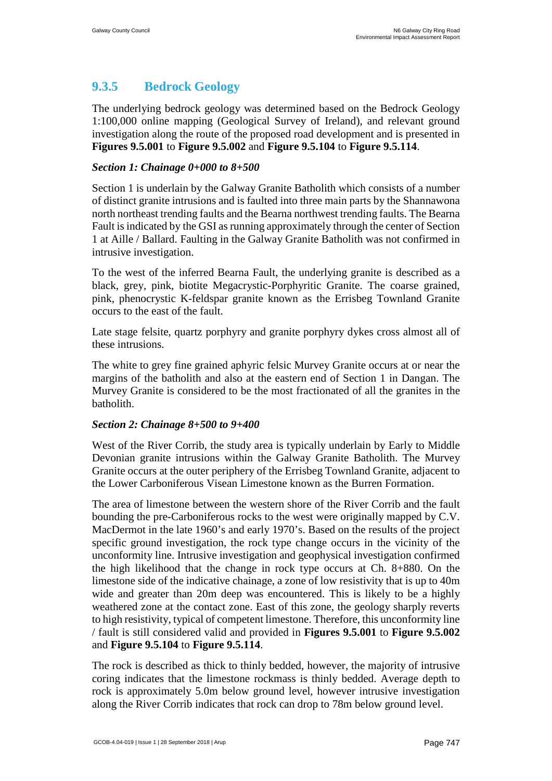### **9.3.5 Bedrock Geology**

The underlying bedrock geology was determined based on the Bedrock Geology 1:100,000 online mapping (Geological Survey of Ireland), and relevant ground investigation along the route of the proposed road development and is presented in **Figures 9.5.001** to **Figure 9.5.002** and **Figure 9.5.104** to **Figure 9.5.114**.

#### *Section 1: Chainage 0+000 to 8+500*

Section 1 is underlain by the Galway Granite Batholith which consists of a number of distinct granite intrusions and is faulted into three main parts by the Shannawona north northeast trending faults and the Bearna northwest trending faults. The Bearna Fault is indicated by the GSI as running approximately through the center of Section 1 at Aille / Ballard. Faulting in the Galway Granite Batholith was not confirmed in intrusive investigation.

To the west of the inferred Bearna Fault, the underlying granite is described as a black, grey, pink, biotite Megacrystic-Porphyritic Granite. The coarse grained, pink, phenocrystic K-feldspar granite known as the Errisbeg Townland Granite occurs to the east of the fault.

Late stage felsite, quartz porphyry and granite porphyry dykes cross almost all of these intrusions.

The white to grey fine grained aphyric felsic Murvey Granite occurs at or near the margins of the batholith and also at the eastern end of Section 1 in Dangan. The Murvey Granite is considered to be the most fractionated of all the granites in the batholith.

#### *Section 2: Chainage 8+500 to 9+400*

West of the River Corrib, the study area is typically underlain by Early to Middle Devonian granite intrusions within the Galway Granite Batholith. The Murvey Granite occurs at the outer periphery of the Errisbeg Townland Granite, adjacent to the Lower Carboniferous Visean Limestone known as the Burren Formation.

The area of limestone between the western shore of the River Corrib and the fault bounding the pre-Carboniferous rocks to the west were originally mapped by C.V. MacDermot in the late 1960's and early 1970's. Based on the results of the project specific ground investigation, the rock type change occurs in the vicinity of the unconformity line. Intrusive investigation and geophysical investigation confirmed the high likelihood that the change in rock type occurs at Ch. 8+880. On the limestone side of the indicative chainage, a zone of low resistivity that is up to 40m wide and greater than 20m deep was encountered. This is likely to be a highly weathered zone at the contact zone. East of this zone, the geology sharply reverts to high resistivity, typical of competent limestone. Therefore, this unconformity line / fault is still considered valid and provided in **Figures 9.5.001** to **Figure 9.5.002** and **Figure 9.5.104** to **Figure 9.5.114**.

<span id="page-18-0"></span>The rock is described as thick to thinly bedded, however, the majority of intrusive coring indicates that the limestone rockmass is thinly bedded. Average depth to rock is approximately 5.0m below ground level, however intrusive investigation along the River Corrib indicates that rock can drop to 78m below ground level.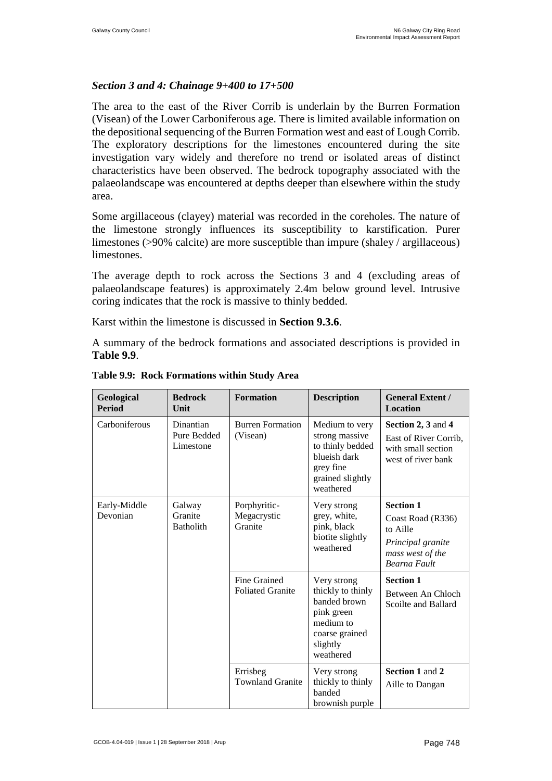#### *Section 3 and 4: Chainage 9+400 to 17+500*

The area to the east of the River Corrib is underlain by the Burren Formation (Visean) of the Lower Carboniferous age. There is limited available information on the depositional sequencing of the Burren Formation west and east of Lough Corrib. The exploratory descriptions for the limestones encountered during the site investigation vary widely and therefore no trend or isolated areas of distinct characteristics have been observed. The bedrock topography associated with the palaeolandscape was encountered at depths deeper than elsewhere within the study area.

Some argillaceous (clayey) material was recorded in the coreholes. The nature of the limestone strongly influences its susceptibility to karstification. Purer limestones (>90% calcite) are more susceptible than impure (shaley / argillaceous) limestones.

The average depth to rock across the Sections 3 and 4 (excluding areas of palaeolandscape features) is approximately 2.4m below ground level. Intrusive coring indicates that the rock is massive to thinly bedded.

Karst within the limestone is discussed in **Section [9.3.6](#page-20-0)**.

A summary of the bedrock formations and associated descriptions is provided in **[Table 9.9](#page-19-0)**.

| Geological<br><b>Period</b> | <b>Bedrock</b><br>Unit                | <b>Formation</b>                        | <b>Description</b>                                                                                                     | <b>General Extent /</b><br><b>Location</b>                                                                        |
|-----------------------------|---------------------------------------|-----------------------------------------|------------------------------------------------------------------------------------------------------------------------|-------------------------------------------------------------------------------------------------------------------|
| Carboniferous               | Dinantian<br>Pure Bedded<br>Limestone | <b>Burren Formation</b><br>(Visean)     | Medium to very<br>strong massive<br>to thinly bedded<br>blueish dark<br>grey fine<br>grained slightly<br>weathered     | Section 2, 3 and 4<br>East of River Corrib,<br>with small section<br>west of river bank                           |
| Early-Middle<br>Devonian    | Galway<br>Granite<br><b>Batholith</b> | Porphyritic-<br>Megacrystic<br>Granite  | Very strong<br>grey, white,<br>pink, black<br>biotite slightly<br>weathered                                            | <b>Section 1</b><br>Coast Road (R336)<br>to Aille<br>Principal granite<br>mass west of the<br><b>Bearna Fault</b> |
|                             |                                       | Fine Grained<br><b>Foliated Granite</b> | Very strong<br>thickly to thinly<br>banded brown<br>pink green<br>medium to<br>coarse grained<br>slightly<br>weathered | <b>Section 1</b><br>Between An Chloch<br>Scoilte and Ballard                                                      |
|                             |                                       | Errisbeg<br><b>Townland Granite</b>     | Very strong<br>thickly to thinly<br>banded<br>brownish purple                                                          | <b>Section 1 and 2</b><br>Aille to Dangan                                                                         |

<span id="page-19-0"></span>**Table 9.9: Rock Formations within Study Area**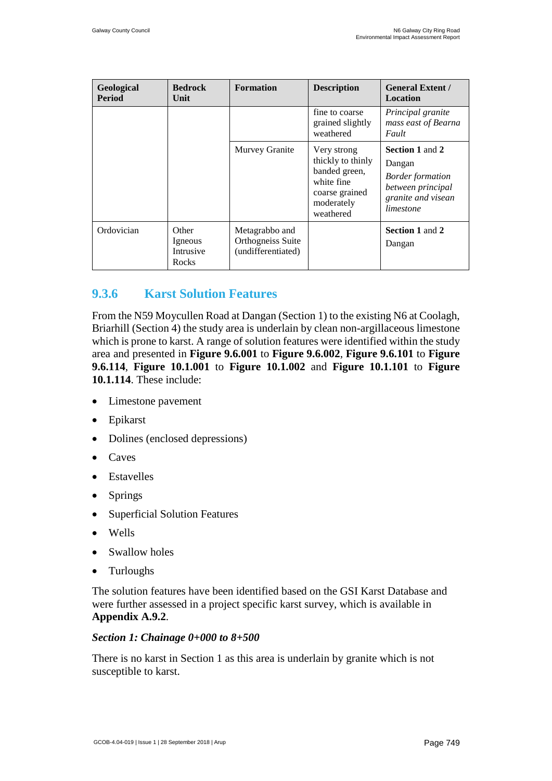| Geological<br><b>Period</b> | <b>Bedrock</b><br>Unit                 | <b>Formation</b>                                          | <b>Description</b>                                                                                           | <b>General Extent /</b><br>Location                                                                                 |
|-----------------------------|----------------------------------------|-----------------------------------------------------------|--------------------------------------------------------------------------------------------------------------|---------------------------------------------------------------------------------------------------------------------|
|                             |                                        |                                                           | fine to coarse<br>grained slightly<br>weathered                                                              | Principal granite<br>mass east of Bearna<br>Fault                                                                   |
|                             |                                        | Murvey Granite                                            | Very strong<br>thickly to thinly<br>banded green,<br>white fine<br>coarse grained<br>moderately<br>weathered | <b>Section 1 and 2</b><br>Dangan<br><b>Border formation</b><br>between principal<br>granite and visean<br>limestone |
| Ordovician                  | Other<br>Igneous<br>Intrusive<br>Rocks | Metagrabbo and<br>Orthogneiss Suite<br>(undifferentiated) |                                                                                                              | <b>Section 1 and 2</b><br>Dangan                                                                                    |

### <span id="page-20-0"></span>**9.3.6 Karst Solution Features**

From the N59 Moycullen Road at Dangan (Section 1) to the existing N6 at Coolagh, Briarhill (Section 4) the study area is underlain by clean non-argillaceous limestone which is prone to karst. A range of solution features were identified within the study area and presented in **Figure 9.6.001** to **Figure 9.6.002**, **Figure 9.6.101** to **Figure 9.6.114**, **Figure 10.1.001** to **Figure 10.1.002** and **Figure 10.1.101** to **Figure 10.1.114**. These include:

- Limestone pavement
- Epikarst
- Dolines (enclosed depressions)
- Caves
- **Estavelles**
- Springs
- Superficial Solution Features
- Wells
- Swallow holes
- **Turloughs**

The solution features have been identified based on the GSI Karst Database and were further assessed in a project specific karst survey, which is available in **Appendix A.9.2**.

#### *Section 1: Chainage 0+000 to 8+500*

There is no karst in Section 1 as this area is underlain by granite which is not susceptible to karst.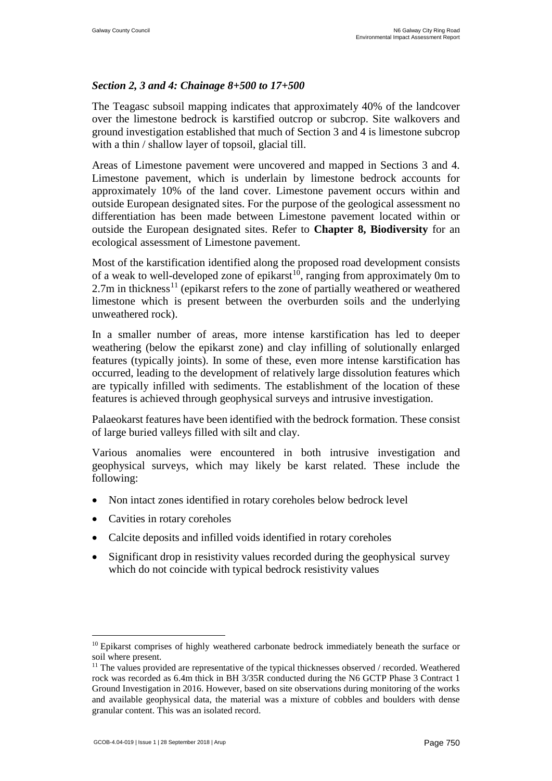#### *Section 2, 3 and 4: Chainage 8+500 to 17+500*

The Teagasc subsoil mapping indicates that approximately 40% of the landcover over the limestone bedrock is karstified outcrop or subcrop. Site walkovers and ground investigation established that much of Section 3 and 4 is limestone subcrop with a thin / shallow layer of topsoil, glacial till.

Areas of Limestone pavement were uncovered and mapped in Sections 3 and 4. Limestone pavement, which is underlain by limestone bedrock accounts for approximately 10% of the land cover. Limestone pavement occurs within and outside European designated sites. For the purpose of the geological assessment no differentiation has been made between Limestone pavement located within or outside the European designated sites. Refer to **Chapter 8, Biodiversity** for an ecological assessment of Limestone pavement.

Most of the karstification identified along the proposed road development consists of a weak to well-developed zone of epikarst<sup>[10](#page-22-0)</sup>, ranging from approximately 0m to  $2.7m$  in thickness<sup>[11](#page-22-1)</sup> (epikarst refers to the zone of partially weathered or weathered limestone which is present between the overburden soils and the underlying unweathered rock).

In a smaller number of areas, more intense karstification has led to deeper weathering (below the epikarst zone) and clay infilling of solutionally enlarged features (typically joints). In some of these, even more intense karstification has occurred, leading to the development of relatively large dissolution features which are typically infilled with sediments. The establishment of the location of these features is achieved through geophysical surveys and intrusive investigation.

Palaeokarst features have been identified with the bedrock formation. These consist of large buried valleys filled with silt and clay.

Various anomalies were encountered in both intrusive investigation and geophysical surveys, which may likely be karst related. These include the following:

- Non intact zones identified in rotary coreholes below bedrock level
- Cavities in rotary coreholes
- Calcite deposits and infilled voids identified in rotary coreholes
- Significant drop in resistivity values recorded during the geophysical survey which do not coincide with typical bedrock resistivity values

<sup>&</sup>lt;sup>10</sup> Epikarst comprises of highly weathered carbonate bedrock immediately beneath the surface or soil where present.

 $11$  The values provided are representative of the typical thicknesses observed / recorded. Weathered rock was recorded as 6.4m thick in BH 3/35R conducted during the N6 GCTP Phase 3 Contract 1 Ground Investigation in 2016. However, based on site observations during monitoring of the works and available geophysical data, the material was a mixture of cobbles and boulders with dense granular content. This was an isolated record.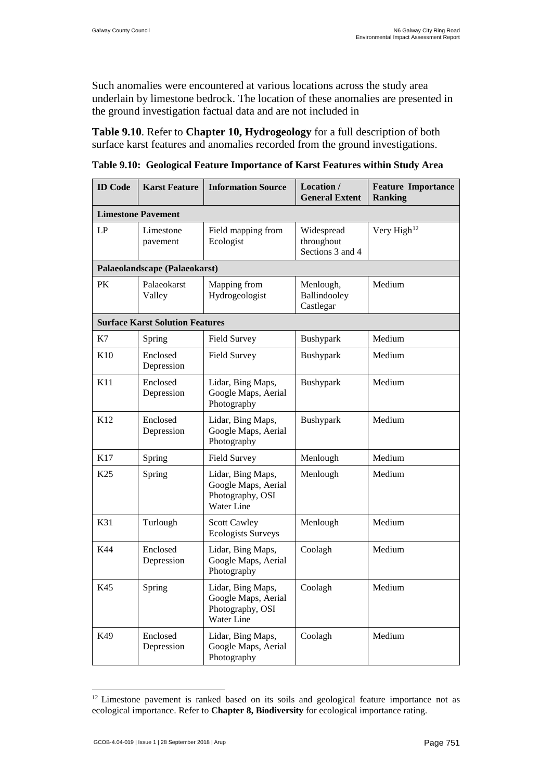Such anomalies were encountered at various locations across the study area underlain by limestone bedrock. The location of these anomalies are presented in the ground investigation factual data and are not included in

<span id="page-22-2"></span>**[Table 9.10](#page-22-2)**. Refer to **Chapter 10, Hydrogeology** for a full description of both surface karst features and anomalies recorded from the ground investigations.

**Table 9.10: Geological Feature Importance of Karst Features within Study Area**

| <b>ID</b> Code  | <b>Karst Feature</b>                   | <b>Information Source</b><br>Location /<br><b>General Extent</b>                |                                        | <b>Feature Importance</b><br><b>Ranking</b> |
|-----------------|----------------------------------------|---------------------------------------------------------------------------------|----------------------------------------|---------------------------------------------|
|                 | <b>Limestone Pavement</b>              |                                                                                 |                                        |                                             |
| LP              | Limestone<br>pavement                  | Field mapping from<br>Widespread<br>Ecologist<br>throughout<br>Sections 3 and 4 |                                        | Very High <sup>12</sup>                     |
|                 | Palaeolandscape (Palaeokarst)          |                                                                                 |                                        |                                             |
| PK              | Palaeokarst<br>Valley                  | Mapping from<br>Hydrogeologist                                                  | Menlough,<br>Ballindooley<br>Castlegar | Medium                                      |
|                 | <b>Surface Karst Solution Features</b> |                                                                                 |                                        |                                             |
| K7              | Spring                                 | <b>Field Survey</b>                                                             | Bushypark                              | Medium                                      |
| K10             | Enclosed<br>Depression                 | <b>Field Survey</b>                                                             | Bushypark                              | Medium                                      |
| K11             | Enclosed<br>Depression                 | Lidar, Bing Maps,<br>Google Maps, Aerial<br>Photography                         | Bushypark                              | Medium                                      |
| K <sub>12</sub> | Enclosed<br>Depression                 | Lidar, Bing Maps,<br>Google Maps, Aerial<br>Photography                         | Bushypark                              | Medium                                      |
| K17             | Spring                                 | <b>Field Survey</b>                                                             | Menlough                               | Medium                                      |
| K <sub>25</sub> | Spring                                 | Lidar, Bing Maps,<br>Google Maps, Aerial<br>Photography, OSI<br>Water Line      | Menlough                               | Medium                                      |
| K31             | Turlough                               | <b>Scott Cawley</b><br><b>Ecologists Surveys</b>                                | Menlough                               | Medium                                      |
| K44             | Enclosed<br>Depression                 | Lidar, Bing Maps,<br>Google Maps, Aerial<br>Photography                         | Coolagh                                | Medium                                      |
| K45             | Spring                                 | Lidar, Bing Maps,<br>Google Maps, Aerial<br>Photography, OSI<br>Water Line      | Coolagh                                | Medium                                      |
| K49             | Enclosed<br>Depression                 | Lidar, Bing Maps,<br>Google Maps, Aerial<br>Photography                         | Coolagh                                | Medium                                      |

<span id="page-22-1"></span><span id="page-22-0"></span> $12$  Limestone pavement is ranked based on its soils and geological feature importance not as ecological importance. Refer to **Chapter 8, Biodiversity** for ecological importance rating.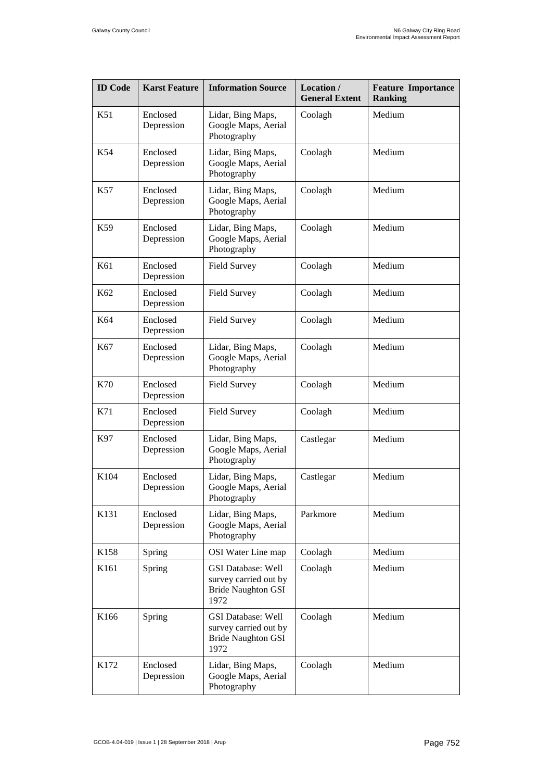| <b>ID</b> Code   | <b>Karst Feature</b>   | <b>Information Source</b><br>Location /<br><b>General Extent</b>                        |                   | <b>Feature Importance</b><br><b>Ranking</b> |
|------------------|------------------------|-----------------------------------------------------------------------------------------|-------------------|---------------------------------------------|
| K51              | Enclosed<br>Depression | Lidar, Bing Maps,<br>Google Maps, Aerial<br>Photography                                 | Medium<br>Coolagh |                                             |
| K54              | Enclosed<br>Depression | Lidar, Bing Maps,<br>Google Maps, Aerial<br>Photography                                 | Coolagh           | Medium                                      |
| K57              | Enclosed<br>Depression | Lidar, Bing Maps,<br>Google Maps, Aerial<br>Photography                                 | Coolagh           | Medium                                      |
| K59              | Enclosed<br>Depression | Lidar, Bing Maps,<br>Google Maps, Aerial<br>Photography                                 | Coolagh           | Medium                                      |
| K61              | Enclosed<br>Depression | <b>Field Survey</b>                                                                     | Coolagh           | Medium                                      |
| K62              | Enclosed<br>Depression | <b>Field Survey</b>                                                                     | Coolagh           | Medium                                      |
| K64              | Enclosed<br>Depression | <b>Field Survey</b>                                                                     | Coolagh           | Medium                                      |
| K <sub>67</sub>  | Enclosed<br>Depression | Lidar, Bing Maps,<br>Google Maps, Aerial<br>Photography                                 | Coolagh           | Medium                                      |
| K70              | Enclosed<br>Depression | <b>Field Survey</b>                                                                     | Coolagh           | Medium                                      |
| K71              | Enclosed<br>Depression | <b>Field Survey</b>                                                                     | Coolagh           | Medium                                      |
| K97              | Enclosed<br>Depression | Lidar, Bing Maps,<br>Google Maps, Aerial<br>Photography                                 | Castlegar         | Medium                                      |
| K104             | Enclosed<br>Depression | Lidar, Bing Maps,<br>Google Maps, Aerial<br>Photography                                 | Castlegar         | Medium                                      |
| K131             | Enclosed<br>Depression | Lidar, Bing Maps,<br>Google Maps, Aerial<br>Photography                                 | Parkmore          | Medium                                      |
| K <sub>158</sub> | Spring                 | OSI Water Line map                                                                      | Coolagh           | Medium                                      |
| K161             | Spring                 | <b>GSI Database: Well</b><br>survey carried out by<br><b>Bride Naughton GSI</b><br>1972 | Coolagh           | Medium                                      |
| K166             | Spring                 | <b>GSI Database: Well</b><br>survey carried out by<br><b>Bride Naughton GSI</b><br>1972 | Coolagh           | Medium                                      |
| K172             | Enclosed<br>Depression | Lidar, Bing Maps,<br>Google Maps, Aerial<br>Photography                                 | Coolagh           | Medium                                      |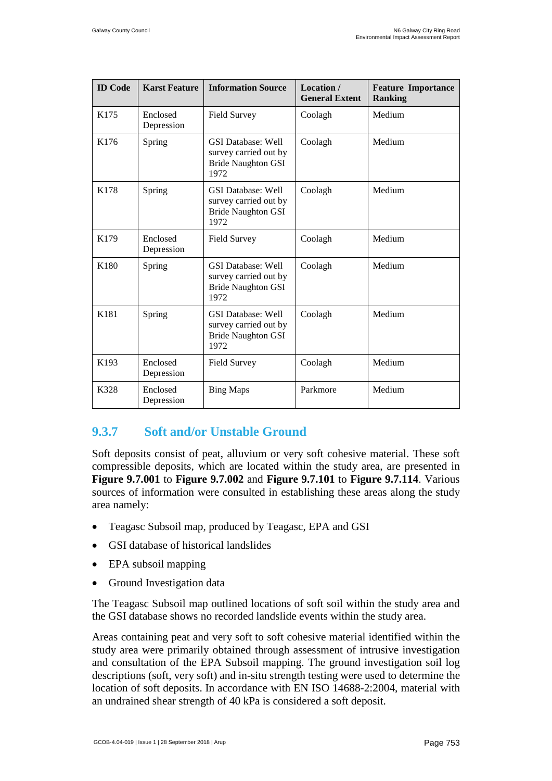| <b>ID</b> Code | <b>Karst Feature</b>   | <b>Information Source</b>                                                               | Location /<br><b>General Extent</b> | <b>Feature Importance</b><br><b>Ranking</b> |
|----------------|------------------------|-----------------------------------------------------------------------------------------|-------------------------------------|---------------------------------------------|
| K175           | Enclosed<br>Depression | <b>Field Survey</b>                                                                     | Coolagh                             | Medium                                      |
| K176           | Spring                 | <b>GSI</b> Database: Well<br>survey carried out by<br><b>Bride Naughton GSI</b><br>1972 | Coolagh                             | Medium                                      |
| K178           | Spring                 | <b>GSI</b> Database: Well<br>survey carried out by<br><b>Bride Naughton GSI</b><br>1972 | Coolagh                             | Medium                                      |
| K179           | Enclosed<br>Depression | <b>Field Survey</b>                                                                     | Coolagh                             | Medium                                      |
| K180           | Spring                 | <b>GSI</b> Database: Well<br>survey carried out by<br><b>Bride Naughton GSI</b><br>1972 | Coolagh                             | Medium                                      |
| K181           | Spring                 | <b>GSI Database: Well</b><br>survey carried out by<br><b>Bride Naughton GSI</b><br>1972 | Coolagh                             | Medium                                      |
| K193           | Enclosed<br>Depression | <b>Field Survey</b>                                                                     | Coolagh                             | Medium                                      |
| K328           | Enclosed<br>Depression | <b>Bing Maps</b>                                                                        | Parkmore                            | Medium                                      |

### <span id="page-24-0"></span>**9.3.7 Soft and/or Unstable Ground**

Soft deposits consist of peat, alluvium or very soft cohesive material. These soft compressible deposits, which are located within the study area, are presented in **Figure 9.7.001** to **Figure 9.7.002** and **Figure 9.7.101** to **Figure 9.7.114**. Various sources of information were consulted in establishing these areas along the study area namely:

- Teagasc Subsoil map, produced by Teagasc, EPA and GSI
- GSI database of historical landslides
- EPA subsoil mapping
- Ground Investigation data

The Teagasc Subsoil map outlined locations of soft soil within the study area and the GSI database shows no recorded landslide events within the study area.

<span id="page-24-1"></span>Areas containing peat and very soft to soft cohesive material identified within the study area were primarily obtained through assessment of intrusive investigation and consultation of the EPA Subsoil mapping. The ground investigation soil log descriptions (soft, very soft) and in-situ strength testing were used to determine the location of soft deposits. In accordance with EN ISO 14688-2:2004, material with an undrained shear strength of 40 kPa is considered a soft deposit.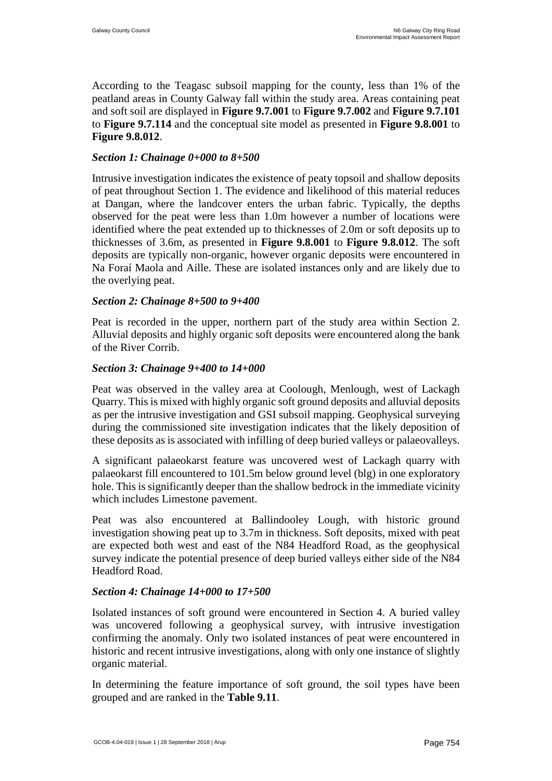According to the Teagasc subsoil mapping for the county, less than 1% of the peatland areas in County Galway fall within the study area. Areas containing peat and soft soil are displayed in **Figure 9.7.001** to **Figure 9.7.002** and **Figure 9.7.101** to **Figure 9.7.114** and the conceptual site model as presented in **Figure 9.8.001** to **Figure 9.8.012**.

#### *Section 1: Chainage 0+000 to 8+500*

Intrusive investigation indicates the existence of peaty topsoil and shallow deposits of peat throughout Section 1. The evidence and likelihood of this material reduces at Dangan, where the landcover enters the urban fabric. Typically, the depths observed for the peat were less than 1.0m however a number of locations were identified where the peat extended up to thicknesses of 2.0m or soft deposits up to thicknesses of 3.6m, as presented in **Figure 9.8.001** to **Figure 9.8.012**. The soft deposits are typically non-organic, however organic deposits were encountered in Na Foraí Maola and Aille. These are isolated instances only and are likely due to the overlying peat.

#### *Section 2: Chainage 8+500 to 9+400*

Peat is recorded in the upper, northern part of the study area within Section 2. Alluvial deposits and highly organic soft deposits were encountered along the bank of the River Corrib.

#### *Section 3: Chainage 9+400 to 14+000*

Peat was observed in the valley area at Coolough, Menlough, west of Lackagh Quarry. This is mixed with highly organic soft ground deposits and alluvial deposits as per the intrusive investigation and GSI subsoil mapping. Geophysical surveying during the commissioned site investigation indicates that the likely deposition of these deposits as is associated with infilling of deep buried valleys or palaeovalleys.

A significant palaeokarst feature was uncovered west of Lackagh quarry with palaeokarst fill encountered to 101.5m below ground level (blg) in one exploratory hole. This is significantly deeper than the shallow bedrock in the immediate vicinity which includes Limestone pavement.

Peat was also encountered at Ballindooley Lough, with historic ground investigation showing peat up to 3.7m in thickness. Soft deposits, mixed with peat are expected both west and east of the N84 Headford Road, as the geophysical survey indicate the potential presence of deep buried valleys either side of the N84 Headford Road.

#### *Section 4: Chainage 14+000 to 17+500*

Isolated instances of soft ground were encountered in Section 4. A buried valley was uncovered following a geophysical survey, with intrusive investigation confirming the anomaly. Only two isolated instances of peat were encountered in historic and recent intrusive investigations, along with only one instance of slightly organic material.

In determining the feature importance of soft ground, the soil types have been grouped and are ranked in the **[Table 9.11](#page-26-1)**.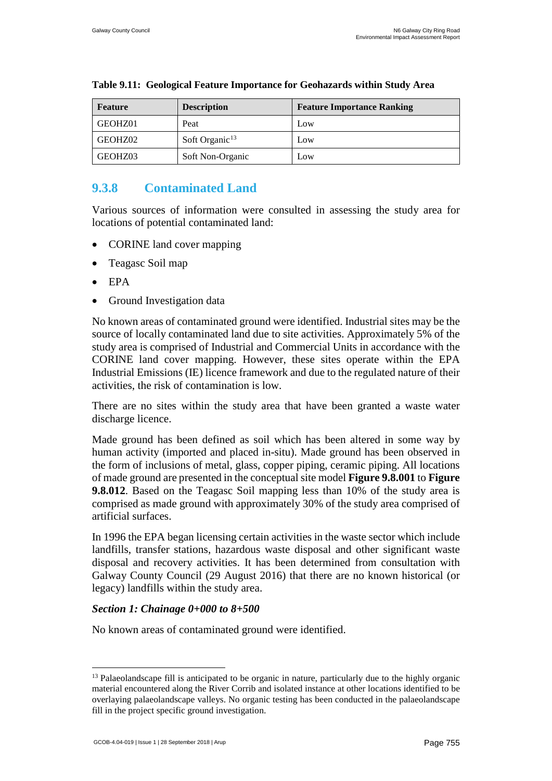| Feature | <b>Description</b> | <b>Feature Importance Ranking</b> |
|---------|--------------------|-----------------------------------|
| GEOHZ01 | Peat               | Low                               |
| GEOHZ02 | Soft Organic $13$  | Low                               |
| GEOHZ03 | Soft Non-Organic   | Low                               |

#### <span id="page-26-1"></span>**Table 9.11: Geological Feature Importance for Geohazards within Study Area**

### <span id="page-26-0"></span>**9.3.8 Contaminated Land**

Various sources of information were consulted in assessing the study area for locations of potential contaminated land:

- CORINE land cover mapping
- Teagasc Soil map
- EPA
- Ground Investigation data

No known areas of contaminated ground were identified. Industrial sites may be the source of locally contaminated land due to site activities. Approximately 5% of the study area is comprised of Industrial and Commercial Units in accordance with the CORINE land cover mapping. However, these sites operate within the EPA Industrial Emissions (IE) licence framework and due to the regulated nature of their activities, the risk of contamination is low.

There are no sites within the study area that have been granted a waste water discharge licence.

Made ground has been defined as soil which has been altered in some way by human activity (imported and placed in-situ). Made ground has been observed in the form of inclusions of metal, glass, copper piping, ceramic piping. All locations of made ground are presented in the conceptual site model **Figure 9.8.001** to **Figure 9.8.012**. Based on the Teagasc Soil mapping less than 10% of the study area is comprised as made ground with approximately 30% of the study area comprised of artificial surfaces.

In 1996 the EPA began licensing certain activities in the waste sector which include landfills, transfer stations, hazardous waste disposal and other significant waste disposal and recovery activities. It has been determined from consultation with Galway County Council (29 August 2016) that there are no known historical (or legacy) landfills within the study area.

#### *Section 1: Chainage 0+000 to 8+500*

No known areas of contaminated ground were identified.

<sup>&</sup>lt;sup>13</sup> Palaeolandscape fill is anticipated to be organic in nature, particularly due to the highly organic material encountered along the River Corrib and isolated instance at other locations identified to be overlaying palaeolandscape valleys. No organic testing has been conducted in the palaeolandscape fill in the project specific ground investigation.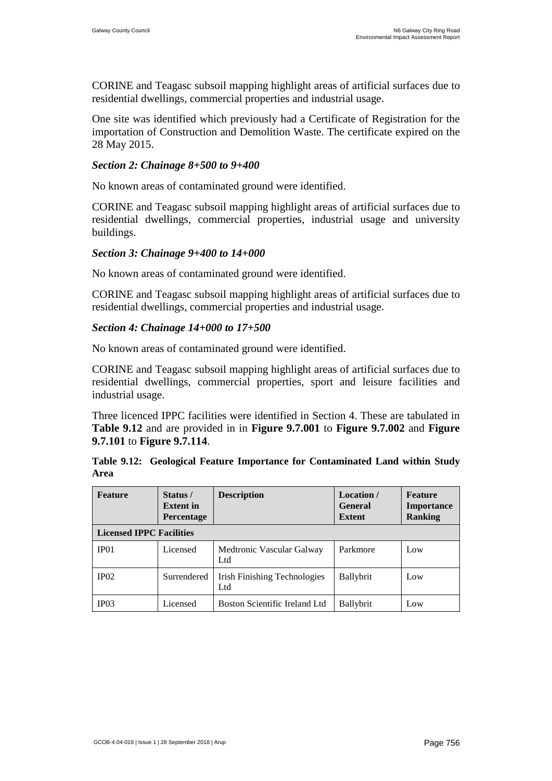CORINE and Teagasc subsoil mapping highlight areas of artificial surfaces due to residential dwellings, commercial properties and industrial usage.

One site was identified which previously had a Certificate of Registration for the importation of Construction and Demolition Waste. The certificate expired on the 28 May 2015.

#### *Section 2: Chainage 8+500 to 9+400*

No known areas of contaminated ground were identified.

CORINE and Teagasc subsoil mapping highlight areas of artificial surfaces due to residential dwellings, commercial properties, industrial usage and university buildings.

#### *Section 3: Chainage 9+400 to 14+000*

No known areas of contaminated ground were identified.

CORINE and Teagasc subsoil mapping highlight areas of artificial surfaces due to residential dwellings, commercial properties and industrial usage.

#### *Section 4: Chainage 14+000 to 17+500*

No known areas of contaminated ground were identified.

CORINE and Teagasc subsoil mapping highlight areas of artificial surfaces due to residential dwellings, commercial properties, sport and leisure facilities and industrial usage.

Three licenced IPPC facilities were identified in Section 4. These are tabulated in **[Table 9.12](#page-27-0)** and are provided in in **Figure 9.7.001** to **Figure 9.7.002** and **Figure 9.7.101** to **Figure 9.7.114**.

<span id="page-27-0"></span>

|      |  |  | Table 9.12: Geological Feature Importance for Contaminated Land within Study |  |  |
|------|--|--|------------------------------------------------------------------------------|--|--|
| Area |  |  |                                                                              |  |  |

| <b>Feature</b>                  | Status /<br><b>Extent</b> in<br>Percentage | <b>Description</b>                   | Location /<br><b>General</b><br><b>Extent</b> | Feature<br>Importance<br><b>Ranking</b> |  |  |
|---------------------------------|--------------------------------------------|--------------------------------------|-----------------------------------------------|-----------------------------------------|--|--|
| <b>Licensed IPPC Facilities</b> |                                            |                                      |                                               |                                         |  |  |
| IP <sub>01</sub>                | Licensed                                   | Medtronic Vascular Galway<br>Ltd     | Parkmore                                      | Low                                     |  |  |
| IP02                            | Surrendered                                | Irish Finishing Technologies<br>Ltd  | <b>Ballybrit</b>                              | Low                                     |  |  |
| IP03                            | Licensed                                   | <b>Boston Scientific Ireland Ltd</b> | Ballybrit                                     | Low                                     |  |  |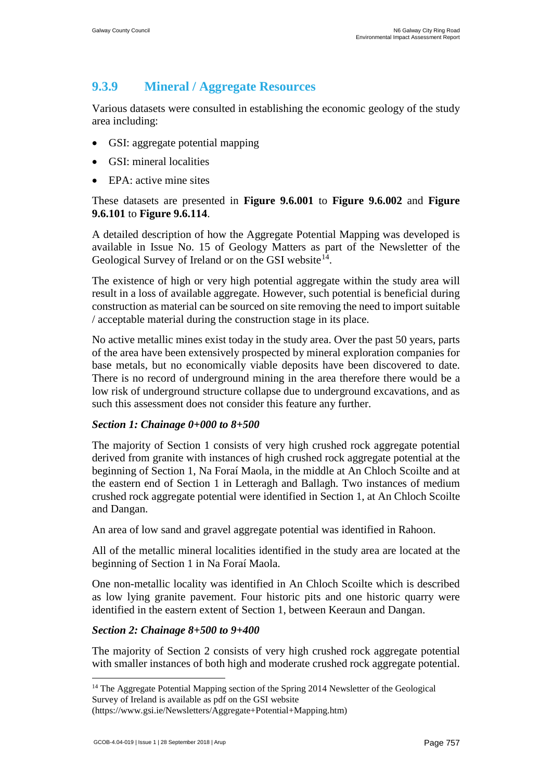### **9.3.9 Mineral / Aggregate Resources**

Various datasets were consulted in establishing the economic geology of the study area including:

- GSI: aggregate potential mapping
- GSI: mineral localities
- EPA: active mine sites

#### These datasets are presented in **Figure 9.6.001** to **Figure 9.6.002** and **Figure 9.6.101** to **Figure 9.6.114**.

A detailed description of how the Aggregate Potential Mapping was developed is available in Issue No. 15 of Geology Matters as part of the Newsletter of the Geological Survey of Ireland or on the GSI website  $14$ .

The existence of high or very high potential aggregate within the study area will result in a loss of available aggregate. However, such potential is beneficial during construction as material can be sourced on site removing the need to import suitable / acceptable material during the construction stage in its place.

No active metallic mines exist today in the study area. Over the past 50 years, parts of the area have been extensively prospected by mineral exploration companies for base metals, but no economically viable deposits have been discovered to date. There is no record of underground mining in the area therefore there would be a low risk of underground structure collapse due to underground excavations, and as such this assessment does not consider this feature any further.

#### *Section 1: Chainage 0+000 to 8+500*

The majority of Section 1 consists of very high crushed rock aggregate potential derived from granite with instances of high crushed rock aggregate potential at the beginning of Section 1, Na Foraí Maola, in the middle at An Chloch Scoilte and at the eastern end of Section 1 in Letteragh and Ballagh. Two instances of medium crushed rock aggregate potential were identified in Section 1, at An Chloch Scoilte and Dangan.

An area of low sand and gravel aggregate potential was identified in Rahoon.

All of the metallic mineral localities identified in the study area are located at the beginning of Section 1 in Na Foraí Maola.

One non-metallic locality was identified in An Chloch Scoilte which is described as low lying granite pavement. Four historic pits and one historic quarry were identified in the eastern extent of Section 1, between Keeraun and Dangan.

#### *Section 2: Chainage 8+500 to 9+400*

The majority of Section 2 consists of very high crushed rock aggregate potential with smaller instances of both high and moderate crushed rock aggregate potential.

<span id="page-28-0"></span><sup>&</sup>lt;sup>14</sup> The Aggregate Potential Mapping section of the Spring 2014 Newsletter of the Geological Survey of Ireland is available as pdf on the GSI website

<sup>(</sup>https://www.gsi.ie/Newsletters/Aggregate+Potential+Mapping.htm)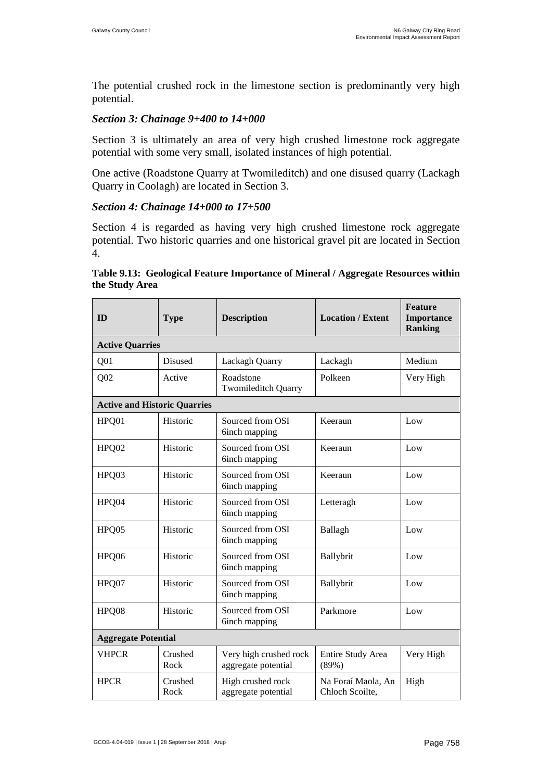The potential crushed rock in the limestone section is predominantly very high potential.

#### *Section 3: Chainage 9+400 to 14+000*

Section 3 is ultimately an area of very high crushed limestone rock aggregate potential with some very small, isolated instances of high potential.

One active (Roadstone Quarry at Twomileditch) and one disused quarry (Lackagh Quarry in Coolagh) are located in Section 3.

#### *Section 4: Chainage 14+000 to 17+500*

Section 4 is regarded as having very high crushed limestone rock aggregate potential. Two historic quarries and one historical gravel pit are located in Section 4.

| ID                                  | <b>Type</b>     | <b>Description</b>                            | <b>Location / Extent</b>              | <b>Feature</b><br><b>Importance</b><br><b>Ranking</b> |
|-------------------------------------|-----------------|-----------------------------------------------|---------------------------------------|-------------------------------------------------------|
| <b>Active Quarries</b>              |                 |                                               |                                       |                                                       |
| Q <sub>01</sub>                     | <b>Disused</b>  | Lackagh Quarry                                | Lackagh                               | Medium                                                |
| Q <sub>02</sub>                     | Active          | Roadstone<br><b>Twomileditch Quarry</b>       | Polkeen                               | Very High                                             |
| <b>Active and Historic Quarries</b> |                 |                                               |                                       |                                                       |
| HPQ01                               | Historic        | Sourced from OSI<br>6inch mapping             | Keeraun                               | Low                                                   |
| HPQ02                               | Historic        | Sourced from OSI<br>6inch mapping             | Keeraun                               | Low                                                   |
| HPQ03                               | Historic        | Sourced from OSI<br>6inch mapping             | Keeraun                               | Low                                                   |
| HPQ04                               | Historic        | Sourced from OSI<br>6inch mapping             | Letteragh                             | Low                                                   |
| HPQ05                               | Historic        | Sourced from OSI<br>6inch mapping             | Ballagh                               | Low                                                   |
| HPQ06                               | Historic        | Sourced from OSI<br>6inch mapping             | Ballybrit                             | Low                                                   |
| HPQ07                               | Historic        | Sourced from OSI<br>6inch mapping             | Ballybrit                             | Low                                                   |
| HPQ08                               | Historic        | Sourced from OSI<br>6inch mapping             | Parkmore                              | Low                                                   |
| <b>Aggregate Potential</b>          |                 |                                               |                                       |                                                       |
| <b>VHPCR</b>                        | Crushed<br>Rock | Very high crushed rock<br>aggregate potential | Entire Study Area<br>(89%)            | Very High                                             |
| <b>HPCR</b>                         | Crushed<br>Rock | High crushed rock<br>aggregate potential      | Na Foraí Maola, An<br>Chloch Scoilte, | High                                                  |

#### **Table 9.13: Geological Feature Importance of Mineral / Aggregate Resources within the Study Area**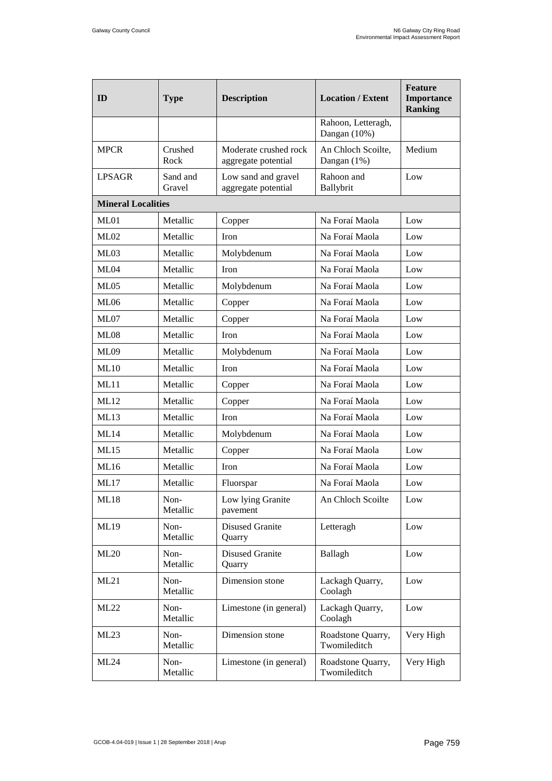<span id="page-30-0"></span>

| ID                        | <b>Type</b>        | <b>Description</b>                           | <b>Location / Extent</b>           | <b>Feature</b><br>Importance<br><b>Ranking</b> |
|---------------------------|--------------------|----------------------------------------------|------------------------------------|------------------------------------------------|
|                           |                    |                                              | Rahoon, Letteragh,<br>Dangan (10%) |                                                |
| <b>MPCR</b>               | Crushed<br>Rock    | Moderate crushed rock<br>aggregate potential | An Chloch Scoilte,<br>Dangan (1%)  | Medium                                         |
| <b>LPSAGR</b>             | Sand and<br>Gravel | Low sand and gravel<br>aggregate potential   | Rahoon and<br>Ballybrit            | Low                                            |
| <b>Mineral Localities</b> |                    |                                              |                                    |                                                |
| ML01                      | Metallic           | Copper                                       | Na Foraí Maola                     | Low                                            |
| ML02                      | Metallic           | <b>Iron</b>                                  | Na Foraí Maola                     | Low                                            |
| ML03                      | Metallic           | Molybdenum                                   | Na Foraí Maola                     | Low                                            |
| ML04                      | Metallic           | Iron                                         | Na Foraí Maola                     | Low                                            |
| ML05                      | Metallic           | Molybdenum                                   | Na Foraí Maola                     | Low                                            |
| ML06                      | Metallic           | Copper                                       | Na Foraí Maola                     | Low                                            |
| <b>ML07</b>               | Metallic           | Copper                                       | Na Foraí Maola                     | Low                                            |
| <b>ML08</b>               | Metallic           | Iron                                         | Na Foraí Maola                     | Low                                            |
| ML09                      | Metallic           | Molybdenum                                   | Na Foraí Maola                     | Low                                            |
| ML10                      | Metallic           | Iron                                         | Na Foraí Maola                     | Low                                            |
| ML11                      | Metallic           | Copper                                       | Na Foraí Maola                     | Low                                            |
| ML12                      | Metallic           | Copper                                       | Na Foraí Maola                     | Low                                            |
| ML13                      | Metallic           | Iron                                         | Na Foraí Maola                     | Low                                            |
| ML14                      | Metallic           | Molybdenum                                   | Na Foraí Maola                     | Low                                            |
| ML15                      | Metallic           | Copper                                       | Na Foraí Maola                     | Low                                            |
| ML16                      | Metallic           | <b>Iron</b>                                  | Na Foraí Maola                     | Low                                            |
| ML17                      | Metallic           | Fluorspar                                    | Na Foraí Maola                     | Low                                            |
| ML18                      | Non-<br>Metallic   | Low lying Granite<br>pavement                | An Chloch Scoilte                  | Low                                            |
| ML19                      | Non-<br>Metallic   | <b>Disused Granite</b><br>Quarry             | Letteragh                          | Low                                            |
| ML20                      | Non-<br>Metallic   | <b>Disused Granite</b><br>Quarry             | Ballagh                            | Low                                            |
| ML21                      | Non-<br>Metallic   | Dimension stone                              | Lackagh Quarry,<br>Coolagh         | Low                                            |
| ML22                      | Non-<br>Metallic   | Limestone (in general)                       | Lackagh Quarry,<br>Coolagh         | Low                                            |
| ML23                      | Non-<br>Metallic   | Dimension stone                              | Roadstone Quarry,<br>Twomileditch  | Very High                                      |
| ML24                      | Non-<br>Metallic   | Limestone (in general)                       | Roadstone Quarry,<br>Twomileditch  | Very High                                      |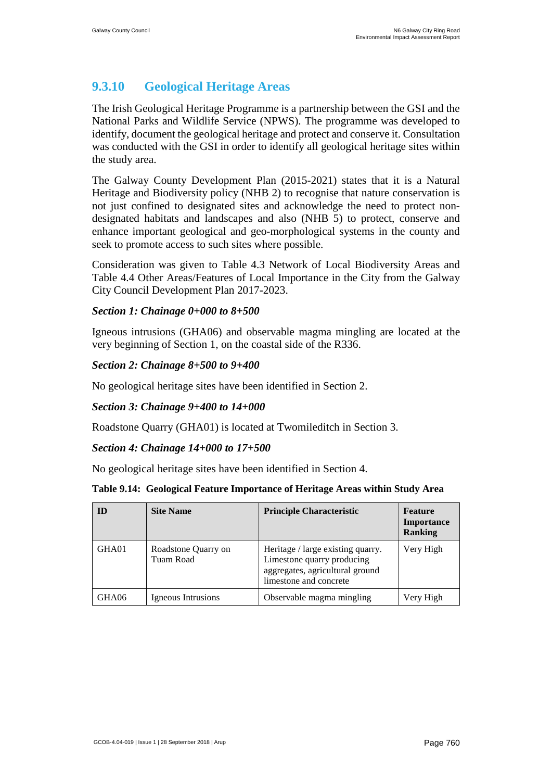### **9.3.10 Geological Heritage Areas**

The Irish Geological Heritage Programme is a partnership between the GSI and the National Parks and Wildlife Service (NPWS). The programme was developed to identify, document the geological heritage and protect and conserve it. Consultation was conducted with the GSI in order to identify all geological heritage sites within the study area.

The Galway County Development Plan (2015-2021) states that it is a Natural Heritage and Biodiversity policy (NHB 2) to recognise that nature conservation is not just confined to designated sites and acknowledge the need to protect nondesignated habitats and landscapes and also (NHB 5) to protect, conserve and enhance important geological and geo-morphological systems in the county and seek to promote access to such sites where possible.

Consideration was given to Table 4.3 Network of Local Biodiversity Areas and Table 4.4 Other Areas/Features of Local Importance in the City from the Galway City Council Development Plan 2017-2023.

#### *Section 1: Chainage 0+000 to 8+500*

Igneous intrusions (GHA06) and observable magma mingling are located at the very beginning of Section 1, on the coastal side of the R336.

#### *Section 2: Chainage 8+500 to 9+400*

No geological heritage sites have been identified in Section 2.

#### *Section 3: Chainage 9+400 to 14+000*

Roadstone Quarry (GHA01) is located at Twomileditch in Section 3.

#### *Section 4: Chainage 14+000 to 17+500*

No geological heritage sites have been identified in Section 4.

#### **Table 9.14: Geological Feature Importance of Heritage Areas within Study Area**

| ID    | <b>Site Name</b>                 | <b>Principle Characteristic</b>                                                                                              | Feature<br><b>Importance</b><br><b>Ranking</b> |
|-------|----------------------------------|------------------------------------------------------------------------------------------------------------------------------|------------------------------------------------|
| GHA01 | Roadstone Quarry on<br>Tuam Road | Heritage / large existing quarry.<br>Limestone quarry producing<br>aggregates, agricultural ground<br>limestone and concrete | Very High                                      |
| GHA06 | Igneous Intrusions               | Observable magma mingling                                                                                                    | Very High                                      |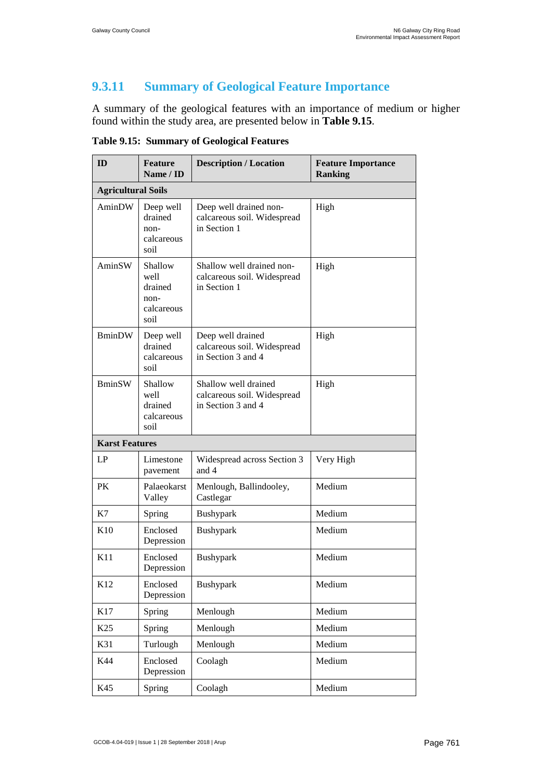### **9.3.11 Summary of Geological Feature Importance**

A summary of the geological features with an importance of medium or higher found within the study area, are presented below in **[Table 9.15](#page-32-0)**.

| ID                        | <b>Feature</b><br>Name / ID                              | <b>Description / Location</b>                                             | <b>Feature Importance</b><br><b>Ranking</b> |  |  |  |  |
|---------------------------|----------------------------------------------------------|---------------------------------------------------------------------------|---------------------------------------------|--|--|--|--|
| <b>Agricultural Soils</b> |                                                          |                                                                           |                                             |  |  |  |  |
| AminDW                    | Deep well<br>drained<br>non-<br>calcareous<br>soil       | Deep well drained non-<br>calcareous soil. Widespread<br>in Section 1     | High                                        |  |  |  |  |
| AminSW                    | Shallow<br>well<br>drained<br>non-<br>calcareous<br>soil | Shallow well drained non-<br>calcareous soil. Widespread<br>in Section 1  | High                                        |  |  |  |  |
| <b>BminDW</b>             | Deep well<br>drained<br>calcareous<br>soil               | Deep well drained<br>calcareous soil. Widespread<br>in Section 3 and 4    | High                                        |  |  |  |  |
| <b>BminSW</b>             | Shallow<br>well<br>drained<br>calcareous<br>soil         | Shallow well drained<br>calcareous soil. Widespread<br>in Section 3 and 4 | High                                        |  |  |  |  |
| <b>Karst Features</b>     |                                                          |                                                                           |                                             |  |  |  |  |
| LP                        | Limestone<br>pavement                                    | Widespread across Section 3<br>and 4                                      | Very High                                   |  |  |  |  |
| PK                        | Palaeokarst<br>Valley                                    | Menlough, Ballindooley,<br>Castlegar                                      | Medium                                      |  |  |  |  |
| K7                        | Spring                                                   | Bushypark                                                                 | Medium                                      |  |  |  |  |
| K10                       | Enclosed<br>Depression                                   | Bushypark                                                                 | Medium                                      |  |  |  |  |
| K11                       | Enclosed<br>Depression                                   | Bushypark                                                                 | Medium                                      |  |  |  |  |
| K12                       | Enclosed<br>Depression                                   | Bushypark                                                                 | Medium                                      |  |  |  |  |
| K17                       | Spring                                                   | Menlough                                                                  | Medium                                      |  |  |  |  |
| K <sub>25</sub>           | Spring                                                   | Menlough                                                                  | Medium                                      |  |  |  |  |
| K31                       | Turlough                                                 | Menlough                                                                  | Medium                                      |  |  |  |  |
| K44                       | Enclosed<br>Depression                                   | Coolagh                                                                   | Medium                                      |  |  |  |  |
| K45                       | Spring                                                   | Coolagh                                                                   | Medium                                      |  |  |  |  |

<span id="page-32-0"></span>**Table 9.15: Summary of Geological Features**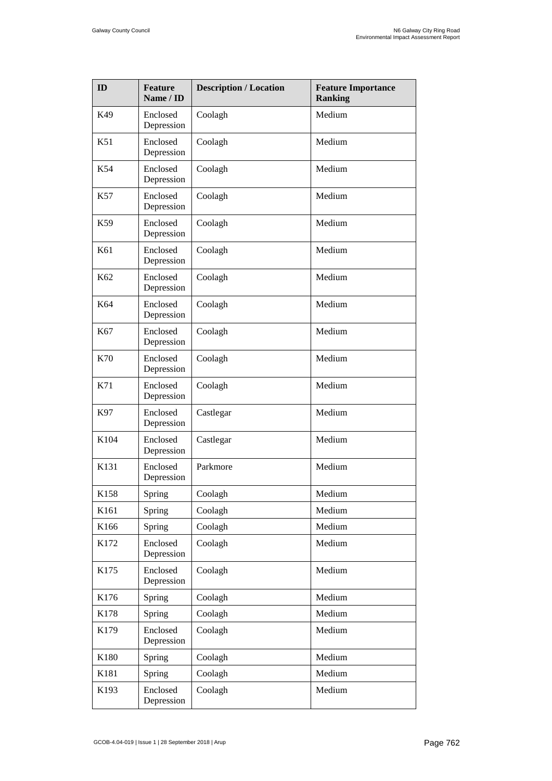| ID   | <b>Feature</b><br>Name / ID | <b>Description / Location</b> | <b>Feature Importance</b><br><b>Ranking</b> |
|------|-----------------------------|-------------------------------|---------------------------------------------|
| K49  | Enclosed<br>Depression      | Coolagh                       | Medium                                      |
| K51  | Enclosed<br>Depression      | Coolagh                       | Medium                                      |
| K54  | Enclosed<br>Depression      | Coolagh                       | Medium                                      |
| K57  | Enclosed<br>Depression      | Coolagh                       | Medium                                      |
| K59  | Enclosed<br>Depression      | Coolagh                       | Medium                                      |
| K61  | Enclosed<br>Depression      | Coolagh                       | Medium                                      |
| K62  | Enclosed<br>Depression      | Coolagh                       | Medium                                      |
| K64  | Enclosed<br>Depression      | Coolagh                       | Medium                                      |
| K67  | Enclosed<br>Depression      | Coolagh                       | Medium                                      |
| K70  | Enclosed<br>Depression      | Coolagh                       | Medium                                      |
| K71  | Enclosed<br>Depression      | Coolagh                       | Medium                                      |
| K97  | Enclosed<br>Depression      | Castlegar                     | Medium                                      |
| K104 | Enclosed<br>Depression      | Castlegar                     | Medium                                      |
| K131 | Enclosed<br>Depression      | Parkmore                      | Medium                                      |
| K158 | Spring                      | Coolagh                       | Medium                                      |
| K161 | Spring                      | Coolagh                       | Medium                                      |
| K166 | Spring                      | Coolagh                       | Medium                                      |
| K172 | Enclosed<br>Depression      | Coolagh                       | Medium                                      |
| K175 | Enclosed<br>Depression      | Coolagh                       | Medium                                      |
| K176 | Spring                      | Coolagh                       | Medium                                      |
| K178 | Spring                      | Coolagh                       | Medium                                      |
| K179 | Enclosed<br>Depression      | Coolagh                       | Medium                                      |
| K180 | Spring                      | Coolagh                       | Medium                                      |
| K181 | Spring                      | Coolagh                       | Medium                                      |
| K193 | Enclosed<br>Depression      | Coolagh                       | Medium                                      |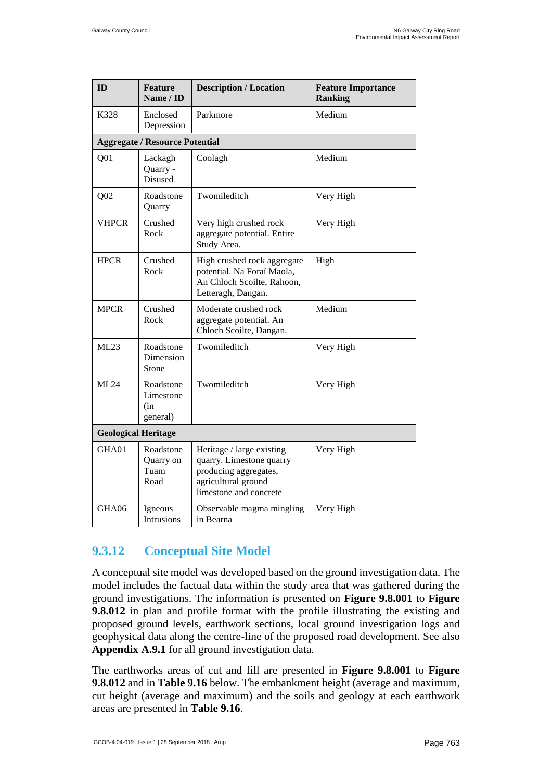| ID              | <b>Feature</b><br>Name / ID               | <b>Description / Location</b>                                                                                                   | <b>Feature Importance</b><br><b>Ranking</b> |  |  |  |  |  |
|-----------------|-------------------------------------------|---------------------------------------------------------------------------------------------------------------------------------|---------------------------------------------|--|--|--|--|--|
| K328            | Enclosed<br>Depression                    | Parkmore                                                                                                                        | Medium                                      |  |  |  |  |  |
|                 | <b>Aggregate / Resource Potential</b>     |                                                                                                                                 |                                             |  |  |  |  |  |
| Q <sub>01</sub> | Lackagh<br>Quarry -<br>Disused            | Coolagh                                                                                                                         | Medium                                      |  |  |  |  |  |
| Q <sub>02</sub> | Roadstone<br>Quarry                       | Twomileditch                                                                                                                    | Very High                                   |  |  |  |  |  |
| <b>VHPCR</b>    | Crushed<br>Rock                           | Very high crushed rock<br>aggregate potential. Entire<br>Study Area.                                                            | Very High                                   |  |  |  |  |  |
| <b>HPCR</b>     | Crushed<br>Rock                           | High crushed rock aggregate<br>potential. Na Foraí Maola,<br>An Chloch Scoilte, Rahoon,<br>Letteragh, Dangan.                   | High                                        |  |  |  |  |  |
| <b>MPCR</b>     | Crushed<br>Rock                           | Moderate crushed rock<br>aggregate potential. An<br>Chloch Scoilte, Dangan.                                                     | Medium                                      |  |  |  |  |  |
| ML23            | Roadstone<br>Dimension<br>Stone           | Twomileditch                                                                                                                    | Very High                                   |  |  |  |  |  |
| ML24            | Roadstone<br>Limestone<br>(in<br>general) | Twomileditch                                                                                                                    | Very High                                   |  |  |  |  |  |
|                 | <b>Geological Heritage</b>                |                                                                                                                                 |                                             |  |  |  |  |  |
| GHA01           | Roadstone<br>Quarry on<br>Tuam<br>Road    | Heritage / large existing<br>quarry. Limestone quarry<br>producing aggregates,<br>agricultural ground<br>limestone and concrete | Very High                                   |  |  |  |  |  |
| GHA06           | Igneous<br><b>Intrusions</b>              | Observable magma mingling<br>in Bearna                                                                                          | Very High                                   |  |  |  |  |  |

### <span id="page-34-0"></span>**9.3.12 Conceptual Site Model**

A conceptual site model was developed based on the ground investigation data. The model includes the factual data within the study area that was gathered during the ground investigations. The information is presented on **Figure 9.8.001** to **Figure 9.8.012** in plan and profile format with the profile illustrating the existing and proposed ground levels, earthwork sections, local ground investigation logs and geophysical data along the centre-line of the proposed road development. See also **Appendix A.9.1** for all ground investigation data.

The earthworks areas of cut and fill are presented in **Figure 9.8.001** to **Figure 9.8.012** and in **[Table 9.16](#page-35-0)** below. The embankment height (average and maximum, cut height (average and maximum) and the soils and geology at each earthwork areas are presented in **[Table 9.16](#page-35-0)**.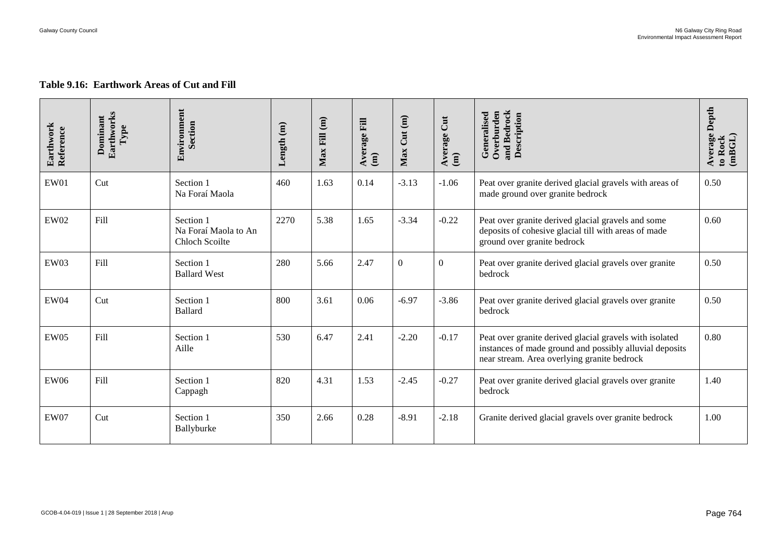#### **Table 9.16: Earthwork Areas of Cut and Fill**

<span id="page-35-0"></span>

| Earthwork<br>Reference | Earthworks<br>Dominant<br>Type | Environment<br>Section                                     | Length (m) | $Max$ Fill $(m)$ | Average Fill<br>$\binom{m}{m}$ | Cut(m)<br>Max | $\overline{\text{Cut}}$<br>Average<br>$\mathbf{m}$ | and Bedrock<br>Overburden<br>Generalised<br>Description                                                                                                           | Depth<br>Average<br>(mBGL)<br>to Rock |
|------------------------|--------------------------------|------------------------------------------------------------|------------|------------------|--------------------------------|---------------|----------------------------------------------------|-------------------------------------------------------------------------------------------------------------------------------------------------------------------|---------------------------------------|
| EW01                   | Cut                            | Section 1<br>Na Foraí Maola                                | 460        | 1.63             | 0.14                           | $-3.13$       | $-1.06$                                            | Peat over granite derived glacial gravels with areas of<br>made ground over granite bedrock                                                                       | 0.50                                  |
| <b>EW02</b>            | Fill                           | Section 1<br>Na Foraí Maola to An<br><b>Chloch Scoilte</b> | 2270       | 5.38             | 1.65                           | $-3.34$       | $-0.22$                                            | Peat over granite derived glacial gravels and some<br>deposits of cohesive glacial till with areas of made<br>ground over granite bedrock                         | 0.60                                  |
| EW03                   | Fill                           | Section 1<br><b>Ballard West</b>                           | 280        | 5.66             | 2.47                           | $\mathbf{0}$  | $\overline{0}$                                     | Peat over granite derived glacial gravels over granite<br>bedrock                                                                                                 | 0.50                                  |
| <b>EW04</b>            | Cut                            | Section 1<br><b>Ballard</b>                                | 800        | 3.61             | 0.06                           | $-6.97$       | $-3.86$                                            | Peat over granite derived glacial gravels over granite<br>bedrock                                                                                                 | 0.50                                  |
| EW05                   | Fill                           | Section 1<br>Aille                                         | 530        | 6.47             | 2.41                           | $-2.20$       | $-0.17$                                            | Peat over granite derived glacial gravels with isolated<br>instances of made ground and possibly alluvial deposits<br>near stream. Area overlying granite bedrock | 0.80                                  |
| <b>EW06</b>            | Fill                           | Section 1<br>Cappagh                                       | 820        | 4.31             | 1.53                           | $-2.45$       | $-0.27$                                            | Peat over granite derived glacial gravels over granite<br>bedrock                                                                                                 | 1.40                                  |
| <b>EW07</b>            | Cut                            | Section 1<br>Ballyburke                                    | 350        | 2.66             | 0.28                           | $-8.91$       | $-2.18$                                            | Granite derived glacial gravels over granite bedrock                                                                                                              | 1.00                                  |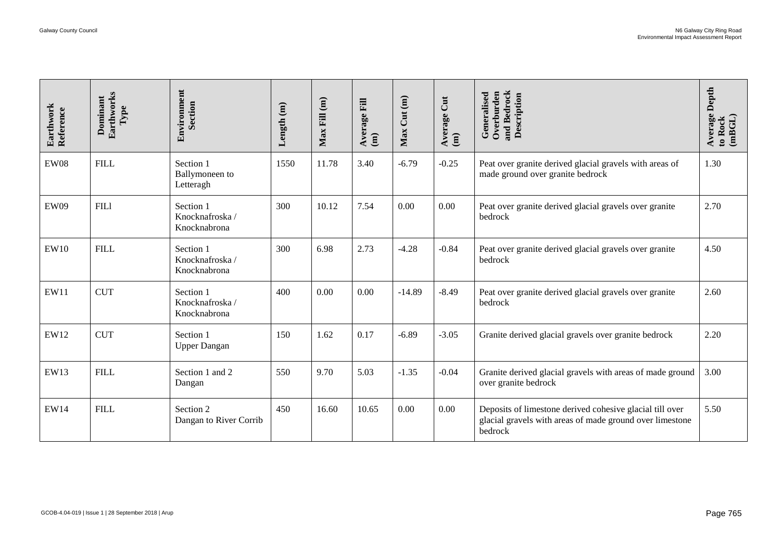| Earthwork<br>Reference | Earthworks<br>Dominant<br>Type                     | Environment<br>Section                      | Length $(m)$ | $Max$ Fill $(m)$ | Average Fill<br>$\hat{a}$ | Max Cut (m) | Average Cut<br>$\widehat{a}$ | and Bedrock<br>Description<br>Overburden<br>Generalised                                                                         | <b>Average Depth</b><br>(mBGL)<br>to Rock |
|------------------------|----------------------------------------------------|---------------------------------------------|--------------|------------------|---------------------------|-------------|------------------------------|---------------------------------------------------------------------------------------------------------------------------------|-------------------------------------------|
| <b>EW08</b>            | <b>FILL</b>                                        | Section 1<br>Ballymoneen to<br>Letteragh    | 1550         | 11.78            | 3.40                      | $-6.79$     | $-0.25$                      | Peat over granite derived glacial gravels with areas of<br>made ground over granite bedrock                                     | 1.30                                      |
| <b>EW09</b>            | <b>FIL1</b>                                        | Section 1<br>Knocknafroska/<br>Knocknabrona | 300          | 10.12            | 7.54                      | 0.00        | 0.00                         | Peat over granite derived glacial gravels over granite<br>bedrock                                                               | 2.70                                      |
| <b>EW10</b>            | <b>FILL</b>                                        | Section 1<br>Knocknafroska/<br>Knocknabrona | 300          | 6.98             | 2.73                      | $-4.28$     | $-0.84$                      | Peat over granite derived glacial gravels over granite<br>bedrock                                                               | 4.50                                      |
| EW11                   | <b>CUT</b>                                         | Section 1<br>Knocknafroska/<br>Knocknabrona | 400          | 0.00             | 0.00                      | $-14.89$    | $-8.49$                      | Peat over granite derived glacial gravels over granite<br>bedrock                                                               | 2.60                                      |
| EW12                   | <b>CUT</b>                                         | Section 1<br><b>Upper Dangan</b>            | 150          | 1.62             | 0.17                      | $-6.89$     | $-3.05$                      | Granite derived glacial gravels over granite bedrock                                                                            | 2.20                                      |
| EW13                   | <b>FILL</b>                                        | Section 1 and 2<br>Dangan                   | 550          | 9.70             | 5.03                      | $-1.35$     | $-0.04$                      | Granite derived glacial gravels with areas of made ground<br>over granite bedrock                                               | 3.00                                      |
| <b>EW14</b>            | <b>FILL</b>                                        | Section 2<br>Dangan to River Corrib         | 450          | 16.60            | 10.65                     | 0.00        | 0.00                         | Deposits of limestone derived cohesive glacial till over<br>glacial gravels with areas of made ground over limestone<br>bedrock | 5.50                                      |
|                        |                                                    |                                             |              |                  |                           |             |                              |                                                                                                                                 |                                           |
|                        | GCOB-4.04-019   Issue 1   28 September 2018   Arup |                                             |              |                  |                           |             |                              |                                                                                                                                 | Page 765                                  |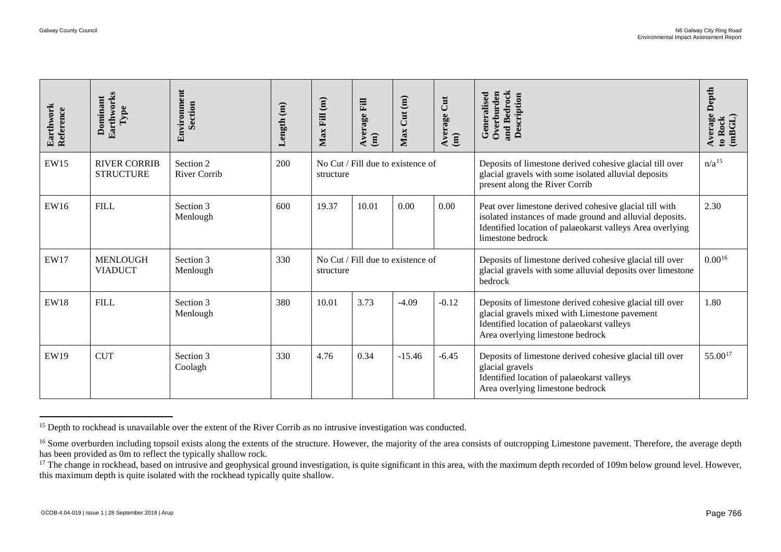| Earthwork<br>Reference | Earthworks<br>Dominant<br>Type                     | Environment<br>Section                                                                                                                                                                                                                                                               | Length (m) | $Max$ Fill $(m)$ | Average Fill<br>$\widehat{a}$     | Max Cut(m) | Average Cut<br>(m) | and Bedrock<br>Description<br>Overburden<br>Generalised                                                                                                                                                                                                                                                                                                                                                         | Depth<br>Average<br>to Rock<br>(mBGL) |
|------------------------|----------------------------------------------------|--------------------------------------------------------------------------------------------------------------------------------------------------------------------------------------------------------------------------------------------------------------------------------------|------------|------------------|-----------------------------------|------------|--------------------|-----------------------------------------------------------------------------------------------------------------------------------------------------------------------------------------------------------------------------------------------------------------------------------------------------------------------------------------------------------------------------------------------------------------|---------------------------------------|
| <b>EW15</b>            | <b>RIVER CORRIB</b><br><b>STRUCTURE</b>            | Section 2<br><b>River Corrib</b>                                                                                                                                                                                                                                                     | 200        | structure        | No Cut / Fill due to existence of |            |                    | Deposits of limestone derived cohesive glacial till over<br>glacial gravels with some isolated alluvial deposits<br>present along the River Corrib                                                                                                                                                                                                                                                              | $n/a^{15}$                            |
| EW16                   | <b>FILL</b>                                        | Section 3<br>Menlough                                                                                                                                                                                                                                                                | 600        | 19.37            | 10.01                             | 0.00       | 0.00               | Peat over limestone derived cohesive glacial till with<br>isolated instances of made ground and alluvial deposits.<br>Identified location of palaeokarst valleys Area overlying<br>limestone bedrock                                                                                                                                                                                                            | 2.30                                  |
| EW17                   | <b>MENLOUGH</b><br><b>VIADUCT</b>                  | Section 3<br>Menlough                                                                                                                                                                                                                                                                | 330        | structure        | No Cut / Fill due to existence of |            |                    | Deposits of limestone derived cohesive glacial till over<br>glacial gravels with some alluvial deposits over limestone<br>bedrock                                                                                                                                                                                                                                                                               | $0.00^{16}$                           |
| <b>EW18</b>            | <b>FILL</b>                                        | Section 3<br>Menlough                                                                                                                                                                                                                                                                | 380        | 10.01            | 3.73                              | $-4.09$    | $-0.12$            | Deposits of limestone derived cohesive glacial till over<br>glacial gravels mixed with Limestone pavement<br>Identified location of palaeokarst valleys<br>Area overlying limestone bedrock                                                                                                                                                                                                                     | 1.80                                  |
| EW19                   | <b>CUT</b>                                         | Section 3<br>Coolagh                                                                                                                                                                                                                                                                 | 330        | 4.76             | 0.34                              | $-15.46$   | $-6.45$            | Deposits of limestone derived cohesive glacial till over<br>glacial gravels<br>Identified location of palaeokarst valleys<br>Area overlying limestone bedrock                                                                                                                                                                                                                                                   | 55.0017                               |
|                        |                                                    | <sup>15</sup> Depth to rockhead is unavailable over the extent of the River Corrib as no intrusive investigation was conducted.<br>has been provided as 0m to reflect the typically shallow rock.<br>this maximum depth is quite isolated with the rockhead typically quite shallow. |            |                  |                                   |            |                    | <sup>16</sup> Some overburden including topsoil exists along the extents of the structure. However, the majority of the area consists of outcropping Limestone pavement. Therefore, the average depth<br><sup>17</sup> The change in rockhead, based on intrusive and geophysical ground investigation, is quite significant in this area, with the maximum depth recorded of 109m below ground level. However, |                                       |
|                        | GCOB-4.04-019   Issue 1   28 September 2018   Arup |                                                                                                                                                                                                                                                                                      |            |                  |                                   |            |                    |                                                                                                                                                                                                                                                                                                                                                                                                                 | Page 766                              |

<sup>&</sup>lt;sup>15</sup> Depth to rockhead is unavailable over the extent of the River Corrib as no intrusive investigation was conducted.

<sup>&</sup>lt;sup>16</sup> Some overburden including topsoil exists along the extents of the structure. However, the majority of the area consists of outcropping Limestone pavement. Therefore, the average depth has been provided as 0m to reflect the typically shallow rock.

<sup>&</sup>lt;sup>17</sup> The change in rockhead, based on intrusive and geophysical ground investigation, is quite significant in this area, with the maximum depth recorded of 109m below ground level. However, this maximum depth is quite isolated with the rockhead typically quite shallow.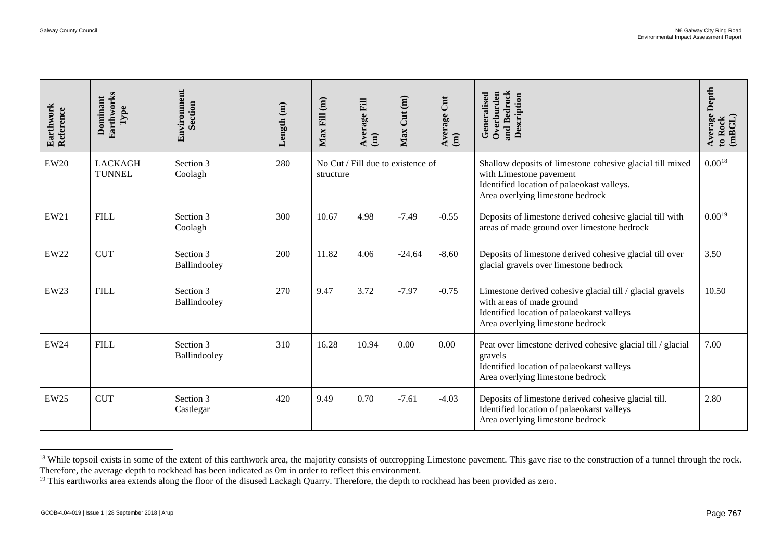| Earthwork<br>Reference | Earthworks<br>Dominant<br>Type                     | Environment<br>Section                                                                                                                                                                                                                                           | Length (m) | $Max$ Fill $(m)$ | Average Fill<br>$\widehat{a}$ | Max Cut (m)                       | Average Cut (m) | and Bedrock<br>Overburden<br>Generalised<br>Description                                                                                                                                                    | <b>Average Depth</b><br>(mBGL)<br>to Rock |
|------------------------|----------------------------------------------------|------------------------------------------------------------------------------------------------------------------------------------------------------------------------------------------------------------------------------------------------------------------|------------|------------------|-------------------------------|-----------------------------------|-----------------|------------------------------------------------------------------------------------------------------------------------------------------------------------------------------------------------------------|-------------------------------------------|
| <b>EW20</b>            | <b>LACKAGH</b><br><b>TUNNEL</b>                    | Section 3<br>Coolagh                                                                                                                                                                                                                                             | 280        | structure        |                               | No Cut / Fill due to existence of |                 | Shallow deposits of limestone cohesive glacial till mixed<br>with Limestone pavement<br>Identified location of palaeokast valleys.<br>Area overlying limestone bedrock                                     | $0.00^{18}$                               |
| EW21                   | <b>FILL</b>                                        | Section 3<br>Coolagh                                                                                                                                                                                                                                             | 300        | 10.67            | 4.98                          | $-7.49$                           | $-0.55$         | Deposits of limestone derived cohesive glacial till with<br>areas of made ground over limestone bedrock                                                                                                    | $0.00^{19}$                               |
| <b>EW22</b>            | <b>CUT</b>                                         | Section 3<br>Ballindooley                                                                                                                                                                                                                                        | 200        | 11.82            | 4.06                          | $-24.64$                          | $-8.60$         | Deposits of limestone derived cohesive glacial till over<br>glacial gravels over limestone bedrock                                                                                                         | 3.50                                      |
| <b>EW23</b>            | <b>FILL</b>                                        | Section 3<br>Ballindooley                                                                                                                                                                                                                                        | 270        | 9.47             | 3.72                          | $-7.97$                           | $-0.75$         | Limestone derived cohesive glacial till / glacial gravels<br>with areas of made ground<br>Identified location of palaeokarst valleys<br>Area overlying limestone bedrock                                   | 10.50                                     |
| <b>EW24</b>            | <b>FILL</b>                                        | Section 3<br>Ballindooley                                                                                                                                                                                                                                        | 310        | 16.28            | 10.94                         | 0.00                              | 0.00            | Peat over limestone derived cohesive glacial till / glacial<br>gravels<br>Identified location of palaeokarst valleys<br>Area overlying limestone bedrock                                                   | 7.00                                      |
| <b>EW25</b>            | <b>CUT</b>                                         | Section 3<br>Castlegar                                                                                                                                                                                                                                           | 420        | 9.49             | 0.70                          | $-7.61$                           | $-4.03$         | Deposits of limestone derived cohesive glacial till.<br>Identified location of palaeokarst valleys<br>Area overlying limestone bedrock                                                                     | 2.80                                      |
|                        |                                                    | Therefore, the average depth to rockhead has been indicated as 0m in order to reflect this environment.<br><sup>19</sup> This earthworks area extends along the floor of the disused Lackagh Quarry. Therefore, the depth to rockhead has been provided as zero. |            |                  |                               |                                   |                 | <sup>18</sup> While topsoil exists in some of the extent of this earthwork area, the majority consists of outcropping Limestone pavement. This gave rise to the construction of a tunnel through the rock. |                                           |
|                        | GCOB-4.04-019   Issue 1   28 September 2018   Arup |                                                                                                                                                                                                                                                                  |            |                  |                               |                                   |                 |                                                                                                                                                                                                            | Page 767                                  |

<sup>&</sup>lt;sup>18</sup> While topsoil exists in some of the extent of this earthwork area, the majority consists of outcropping Limestone pavement. This gave rise to the construction of a tunnel through the rock. Therefore, the average depth to rockhead has been indicated as 0m in order to reflect this environment.

<sup>&</sup>lt;sup>19</sup> This earthworks area extends along the floor of the disused Lackagh Quarry. Therefore, the depth to rockhead has been provided as zero.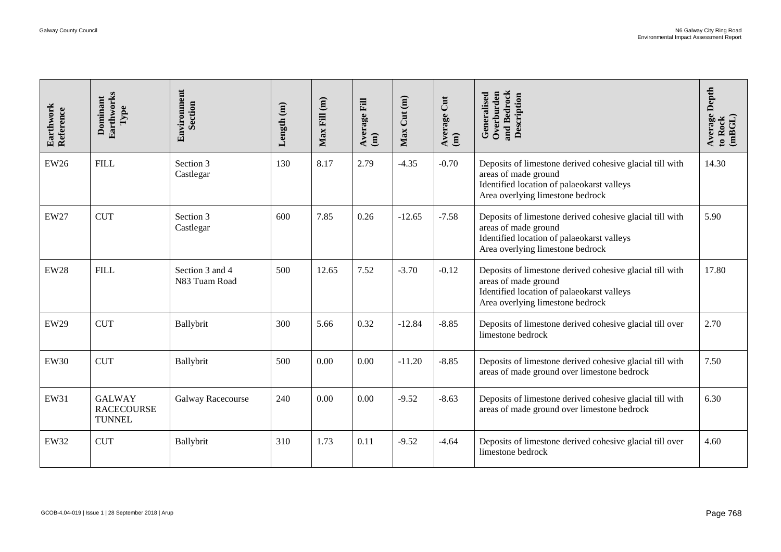<span id="page-39-2"></span><span id="page-39-1"></span><span id="page-39-0"></span>

| Earthwork<br>Reference | Earthworks<br>Dominant<br>Type                      | Environment<br>Section           | Length $(m)$ | $Max$ Fill $(m)$ | Average Fill<br>$\hat{a}$ | Max Cut (m) | Average Cut<br>(m) | and Bedrock<br>Description<br>Overburden<br>Generalised                                                                                                            | Average Depth<br>to Rock<br>(mBGL) |
|------------------------|-----------------------------------------------------|----------------------------------|--------------|------------------|---------------------------|-------------|--------------------|--------------------------------------------------------------------------------------------------------------------------------------------------------------------|------------------------------------|
| <b>EW26</b>            | <b>FILL</b>                                         | Section 3<br>Castlegar           | 130          | 8.17             | 2.79                      | $-4.35$     | $-0.70$            | Deposits of limestone derived cohesive glacial till with<br>areas of made ground<br>Identified location of palaeokarst valleys<br>Area overlying limestone bedrock | 14.30                              |
| EW27                   | <b>CUT</b>                                          | Section 3<br>Castlegar           | 600          | 7.85             | 0.26                      | $-12.65$    | $-7.58$            | Deposits of limestone derived cohesive glacial till with<br>areas of made ground<br>Identified location of palaeokarst valleys<br>Area overlying limestone bedrock | 5.90                               |
| <b>EW28</b>            | <b>FILL</b>                                         | Section 3 and 4<br>N83 Tuam Road | 500          | 12.65            | 7.52                      | $-3.70$     | $-0.12$            | Deposits of limestone derived cohesive glacial till with<br>areas of made ground<br>Identified location of palaeokarst valleys<br>Area overlying limestone bedrock | 17.80                              |
| <b>EW29</b>            | <b>CUT</b>                                          | Ballybrit                        | 300          | 5.66             | 0.32                      | $-12.84$    | $-8.85$            | Deposits of limestone derived cohesive glacial till over<br>limestone bedrock                                                                                      | 2.70                               |
| <b>EW30</b>            | <b>CUT</b>                                          | Ballybrit                        | 500          | 0.00             | 0.00                      | $-11.20$    | $-8.85$            | Deposits of limestone derived cohesive glacial till with<br>areas of made ground over limestone bedrock                                                            | 7.50                               |
| EW31                   | <b>GALWAY</b><br><b>RACECOURSE</b><br><b>TUNNEL</b> | Galway Racecourse                | 240          | 0.00             | 0.00                      | $-9.52$     | $-8.63$            | Deposits of limestone derived cohesive glacial till with<br>areas of made ground over limestone bedrock                                                            | 6.30                               |
| EW32                   | <b>CUT</b>                                          | Ballybrit                        | 310          | 1.73             | 0.11                      | $-9.52$     | $-4.64$            | Deposits of limestone derived cohesive glacial till over<br>limestone bedrock                                                                                      | 4.60                               |
|                        | GCOB-4.04-019   Issue 1   28 September 2018   Arup  |                                  |              |                  |                           |             |                    |                                                                                                                                                                    | Page 768                           |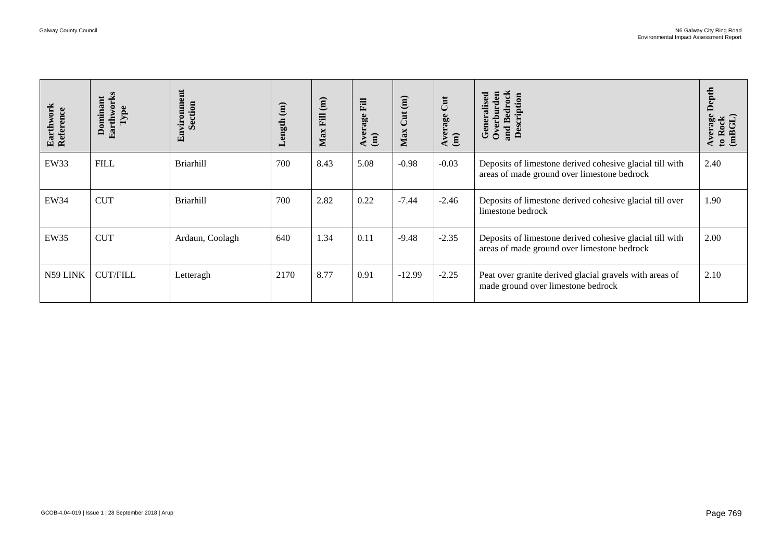<span id="page-40-1"></span><span id="page-40-0"></span>

| Earthwork<br>Reference | Earthworks<br>Dominant<br>${\bf Type}$                               | Environment<br>Section | Length $(m)$ | $Max$ Fill $(m)$ | Average Fill<br>$\widehat{E}$ | Max Cut (m) | Average Cut (m) | and Bedrock<br>Description<br>Overburden<br>Generalised                                                 | Average Depth<br>to Rock<br>(mBGL) |
|------------------------|----------------------------------------------------------------------|------------------------|--------------|------------------|-------------------------------|-------------|-----------------|---------------------------------------------------------------------------------------------------------|------------------------------------|
| EW33                   | ${\rm FILL}$                                                         | Briarhill              | 700          | 8.43             | 5.08                          | $-0.98$     | $-0.03$         | Deposits of limestone derived cohesive glacial till with<br>areas of made ground over limestone bedrock | 2.40                               |
| EW34                   | <b>CUT</b>                                                           | <b>Briarhill</b>       | 700          | 2.82             | 0.22                          | $-7.44$     | $-2.46$         | Deposits of limestone derived cohesive glacial till over<br>limestone bedrock                           | 1.90                               |
| EW35                   | <b>CUT</b>                                                           | Ardaun, Coolagh        | 640          | 1.34             | 0.11                          | $-9.48$     | $-2.35$         | Deposits of limestone derived cohesive glacial till with<br>areas of made ground over limestone bedrock | 2.00                               |
| N59 LINK               | $\ensuremath{\mathsf{CUT}}\xspace/\ensuremath{\mathsf{FILL}}\xspace$ | Letteragh              | 2170         | 8.77             | 0.91                          | $-12.99$    | $-2.25$         | Peat over granite derived glacial gravels with areas of<br>made ground over limestone bedrock           | 2.10                               |
|                        |                                                                      |                        |              |                  |                               |             |                 |                                                                                                         |                                    |
|                        |                                                                      |                        |              |                  |                               |             |                 |                                                                                                         |                                    |
|                        |                                                                      |                        |              |                  |                               |             |                 |                                                                                                         |                                    |
|                        |                                                                      |                        |              |                  |                               |             |                 |                                                                                                         |                                    |
|                        |                                                                      |                        |              |                  |                               |             |                 |                                                                                                         |                                    |
|                        | GCOB-4.04-019   Issue 1   28 September 2018   Arup                   |                        |              |                  |                               |             |                 |                                                                                                         | Page 769                           |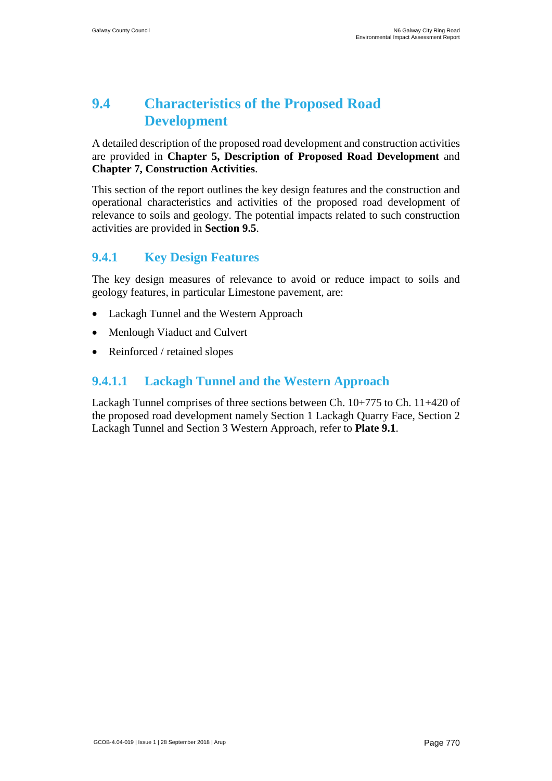# **9.4 Characteristics of the Proposed Road Development**

A detailed description of the proposed road development and construction activities are provided in **Chapter 5, Description of Proposed Road Development** and **Chapter 7, Construction Activities**.

This section of the report outlines the key design features and the construction and operational characteristics and activities of the proposed road development of relevance to soils and geology. The potential impacts related to such construction activities are provided in **Section 9.5**.

# <span id="page-41-0"></span>**9.4.1 Key Design Features**

The key design measures of relevance to avoid or reduce impact to soils and geology features, in particular Limestone pavement, are:

- Lackagh Tunnel and the Western Approach
- Menlough Viaduct and Culvert
- Reinforced / retained slopes

# <span id="page-41-1"></span>**9.4.1.1 Lackagh Tunnel and the Western Approach**

Lackagh Tunnel comprises of three sections between Ch. 10+775 to Ch. 11+420 of the proposed road development namely Section 1 Lackagh Quarry Face, Section 2 Lackagh Tunnel and Section 3 Western Approach, refer to **Plate 9.1**.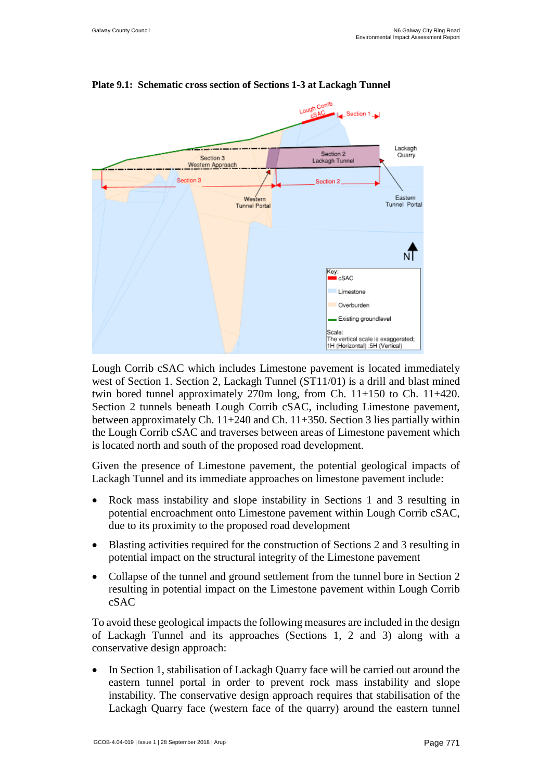

#### **Plate 9.1: Schematic cross section of Sections 1-3 at Lackagh Tunnel**

Lough Corrib cSAC which includes Limestone pavement is located immediately west of Section 1. Section 2, Lackagh Tunnel (ST11/01) is a drill and blast mined twin bored tunnel approximately  $270m$  long, from Ch.  $11+150$  to Ch.  $11+420$ . Section 2 tunnels beneath Lough Corrib cSAC, including Limestone pavement, between approximately Ch. 11+240 and Ch. 11+350. Section 3 lies partially within the Lough Corrib cSAC and traverses between areas of Limestone pavement which is located north and south of the proposed road development.

Given the presence of Limestone pavement, the potential geological impacts of Lackagh Tunnel and its immediate approaches on limestone pavement include:

- Rock mass instability and slope instability in Sections 1 and 3 resulting in potential encroachment onto Limestone pavement within Lough Corrib cSAC, due to its proximity to the proposed road development
- Blasting activities required for the construction of Sections 2 and 3 resulting in potential impact on the structural integrity of the Limestone pavement
- Collapse of the tunnel and ground settlement from the tunnel bore in Section 2 resulting in potential impact on the Limestone pavement within Lough Corrib cSAC

To avoid these geological impacts the following measures are included in the design of Lackagh Tunnel and its approaches (Sections 1, 2 and 3) along with a conservative design approach:

• In Section 1, stabilisation of Lackagh Quarry face will be carried out around the eastern tunnel portal in order to prevent rock mass instability and slope instability. The conservative design approach requires that stabilisation of the Lackagh Quarry face (western face of the quarry) around the eastern tunnel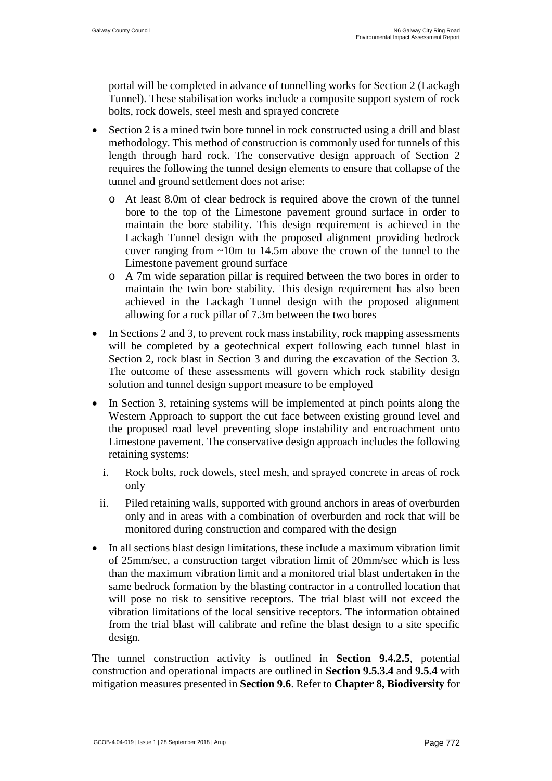portal will be completed in advance of tunnelling works for Section 2 (Lackagh Tunnel). These stabilisation works include a composite support system of rock bolts, rock dowels, steel mesh and sprayed concrete

- Section 2 is a mined twin bore tunnel in rock constructed using a drill and blast methodology. This method of construction is commonly used for tunnels of this length through hard rock. The conservative design approach of Section 2 requires the following the tunnel design elements to ensure that collapse of the tunnel and ground settlement does not arise:
	- o At least 8.0m of clear bedrock is required above the crown of the tunnel bore to the top of the Limestone pavement ground surface in order to maintain the bore stability. This design requirement is achieved in the Lackagh Tunnel design with the proposed alignment providing bedrock cover ranging from ~10m to 14.5m above the crown of the tunnel to the Limestone pavement ground surface
	- o A 7m wide separation pillar is required between the two bores in order to maintain the twin bore stability. This design requirement has also been achieved in the Lackagh Tunnel design with the proposed alignment allowing for a rock pillar of 7.3m between the two bores
- In Sections 2 and 3, to prevent rock mass instability, rock mapping assessments will be completed by a geotechnical expert following each tunnel blast in Section 2, rock blast in Section 3 and during the excavation of the Section 3. The outcome of these assessments will govern which rock stability design solution and tunnel design support measure to be employed
- In Section 3, retaining systems will be implemented at pinch points along the Western Approach to support the cut face between existing ground level and the proposed road level preventing slope instability and encroachment onto Limestone pavement. The conservative design approach includes the following retaining systems:
	- i. Rock bolts, rock dowels, steel mesh, and sprayed concrete in areas of rock only
	- ii. Piled retaining walls, supported with ground anchors in areas of overburden only and in areas with a combination of overburden and rock that will be monitored during construction and compared with the design
- In all sections blast design limitations, these include a maximum vibration limit of 25mm/sec, a construction target vibration limit of 20mm/sec which is less than the maximum vibration limit and a monitored trial blast undertaken in the same bedrock formation by the blasting contractor in a controlled location that will pose no risk to sensitive receptors. The trial blast will not exceed the vibration limitations of the local sensitive receptors. The information obtained from the trial blast will calibrate and refine the blast design to a site specific design.

The tunnel construction activity is outlined in **Section 9.4.2.5**, potential construction and operational impacts are outlined in **Section [9.5.3.4](#page-54-0)** and **[9.5.4](#page-58-0)** with mitigation measures presented in **Section [9.6](#page-58-1)**. Refer to **Chapter 8, Biodiversity** for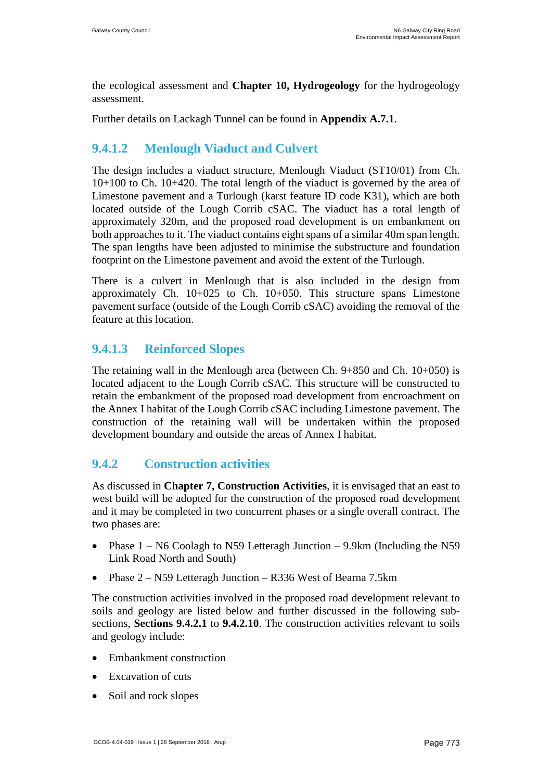the ecological assessment and **Chapter 10, Hydrogeology** for the hydrogeology assessment.

Further details on Lackagh Tunnel can be found in **Appendix A.7.1**.

# **9.4.1.2 Menlough Viaduct and Culvert**

The design includes a viaduct structure, Menlough Viaduct (ST10/01) from Ch. 10+100 to Ch. 10+420. The total length of the viaduct is governed by the area of Limestone pavement and a Turlough (karst feature ID code K31), which are both located outside of the Lough Corrib cSAC. The viaduct has a total length of approximately 320m, and the proposed road development is on embankment on both approaches to it. The viaduct contains eight spans of a similar 40m span length. The span lengths have been adjusted to minimise the substructure and foundation footprint on the Limestone pavement and avoid the extent of the Turlough.

There is a culvert in Menlough that is also included in the design from approximately Ch. 10+025 to Ch. 10+050. This structure spans Limestone pavement surface (outside of the Lough Corrib cSAC) avoiding the removal of the feature at this location.

# **9.4.1.3 Reinforced Slopes**

The retaining wall in the Menlough area (between Ch.  $9+850$  and Ch.  $10+050$ ) is located adjacent to the Lough Corrib cSAC. This structure will be constructed to retain the embankment of the proposed road development from encroachment on the Annex I habitat of the Lough Corrib cSAC including Limestone pavement. The construction of the retaining wall will be undertaken within the proposed development boundary and outside the areas of Annex I habitat.

# **9.4.2 Construction activities**

As discussed in **Chapter 7, Construction Activities**, it is envisaged that an east to west build will be adopted for the construction of the proposed road development and it may be completed in two concurrent phases or a single overall contract. The two phases are:

- Phase  $1 N6$  Coolagh to N59 Letteragh Junction  $-9.9$ km (Including the N59 Link Road North and South)
- Phase 2 N59 Letteragh Junction R336 West of Bearna 7.5km

The construction activities involved in the proposed road development relevant to soils and geology are listed below and further discussed in the following subsections, **Sections [9.4.2.1](#page-45-0)** to **[9.4.2.10](#page-50-0)**. The construction activities relevant to soils and geology include:

- Embankment construction
- Excavation of cuts
- Soil and rock slopes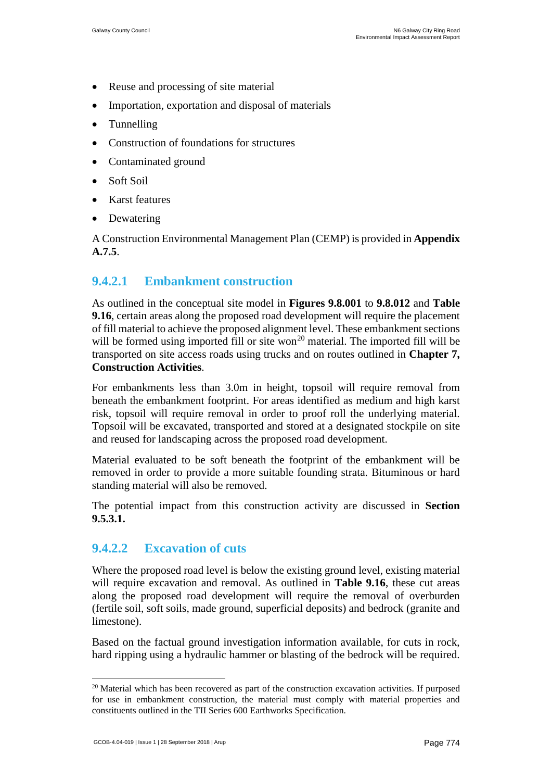- Reuse and processing of site material
- Importation, exportation and disposal of materials
- Tunnelling
- Construction of foundations for structures
- Contaminated ground
- Soft Soil
- Karst features
- **Dewatering**

A Construction Environmental Management Plan (CEMP) is provided in **Appendix A.7.5**.

## <span id="page-45-0"></span>**9.4.2.1 Embankment construction**

As outlined in the conceptual site model in **Figures 9.8.001** to **9.8.012** and **[Table](#page-35-0)  [9.16](#page-35-0)**, certain areas along the proposed road development will require the placement of fill material to achieve the proposed alignment level. These embankment sections will be formed using imported fill or site won<sup>[20](#page-47-0)</sup> material. The imported fill will be transported on site access roads using trucks and on routes outlined in **Chapter 7, Construction Activities**.

For embankments less than 3.0m in height, topsoil will require removal from beneath the embankment footprint. For areas identified as medium and high karst risk, topsoil will require removal in order to proof roll the underlying material. Topsoil will be excavated, transported and stored at a designated stockpile on site and reused for landscaping across the proposed road development.

Material evaluated to be soft beneath the footprint of the embankment will be removed in order to provide a more suitable founding strata. Bituminous or hard standing material will also be removed.

The potential impact from this construction activity are discussed in **Section [9.5.3.1.](#page-50-1)**

## **9.4.2.2 Excavation of cuts**

Where the proposed road level is below the existing ground level, existing material will require excavation and removal. As outlined in **[Table 9.16](#page-35-0)**, these cut areas along the proposed road development will require the removal of overburden (fertile soil, soft soils, made ground, superficial deposits) and bedrock (granite and limestone).

Based on the factual ground investigation information available, for cuts in rock, hard ripping using a hydraulic hammer or blasting of the bedrock will be required.

<sup>&</sup>lt;sup>20</sup> Material which has been recovered as part of the construction excavation activities. If purposed for use in embankment construction, the material must comply with material properties and constituents outlined in the TII Series 600 Earthworks Specification.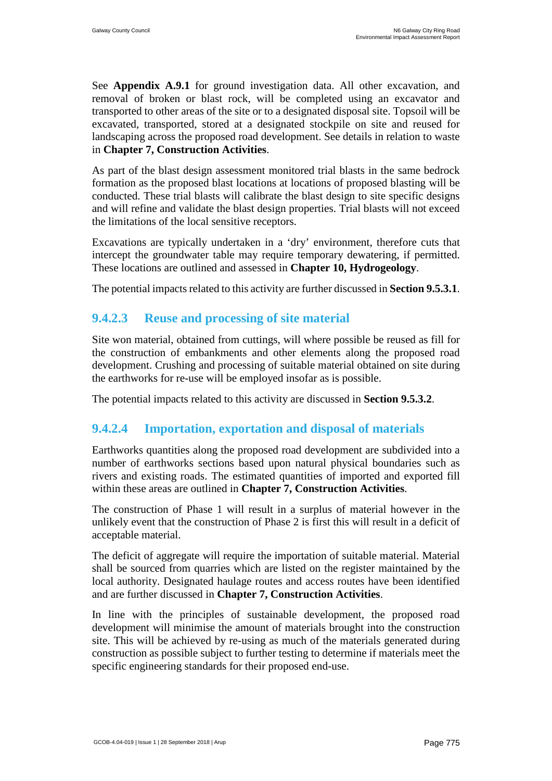See **Appendix A.9.1** for ground investigation data. All other excavation, and removal of broken or blast rock, will be completed using an excavator and transported to other areas of the site or to a designated disposal site. Topsoil will be excavated, transported, stored at a designated stockpile on site and reused for landscaping across the proposed road development. See details in relation to waste in **Chapter 7, Construction Activities**.

As part of the blast design assessment monitored trial blasts in the same bedrock formation as the proposed blast locations at locations of proposed blasting will be conducted. These trial blasts will calibrate the blast design to site specific designs and will refine and validate the blast design properties. Trial blasts will not exceed the limitations of the local sensitive receptors.

Excavations are typically undertaken in a 'dry' environment, therefore cuts that intercept the groundwater table may require temporary dewatering, if permitted. These locations are outlined and assessed in **Chapter 10, Hydrogeology**.

The potential impacts related to this activity are further discussed in **Section 9.5.3.1**.

## **9.4.2.3 Reuse and processing of site material**

Site won material, obtained from cuttings, will where possible be reused as fill for the construction of embankments and other elements along the proposed road development. Crushing and processing of suitable material obtained on site during the earthworks for re-use will be employed insofar as is possible.

The potential impacts related to this activity are discussed in **Section 9.5.3.2**.

## **9.4.2.4 Importation, exportation and disposal of materials**

Earthworks quantities along the proposed road development are subdivided into a number of earthworks sections based upon natural physical boundaries such as rivers and existing roads. The estimated quantities of imported and exported fill within these areas are outlined in **Chapter 7, Construction Activities**.

The construction of Phase 1 will result in a surplus of material however in the unlikely event that the construction of Phase 2 is first this will result in a deficit of acceptable material.

The deficit of aggregate will require the importation of suitable material. Material shall be sourced from quarries which are listed on the register maintained by the local authority. Designated haulage routes and access routes have been identified and are further discussed in **Chapter 7, Construction Activities**.

In line with the principles of sustainable development, the proposed road development will minimise the amount of materials brought into the construction site. This will be achieved by re-using as much of the materials generated during construction as possible subject to further testing to determine if materials meet the specific engineering standards for their proposed end-use.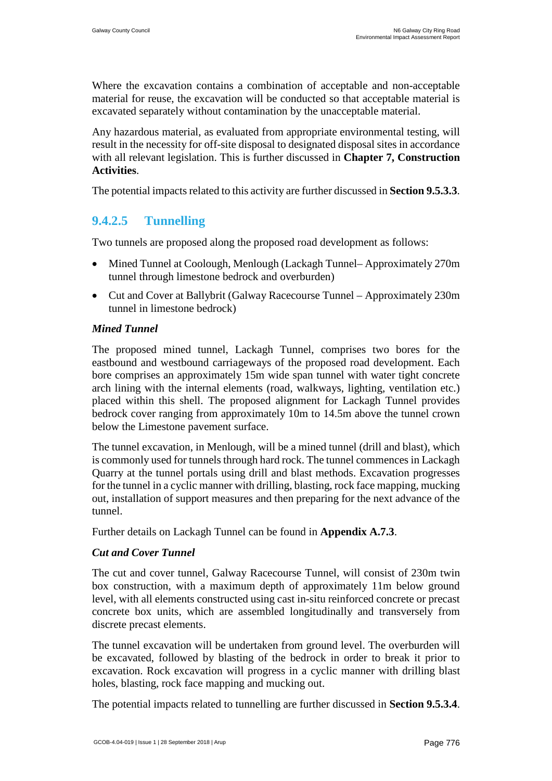Where the excavation contains a combination of acceptable and non-acceptable material for reuse, the excavation will be conducted so that acceptable material is excavated separately without contamination by the unacceptable material.

Any hazardous material, as evaluated from appropriate environmental testing, will result in the necessity for off-site disposal to designated disposal sites in accordance with all relevant legislation. This is further discussed in **Chapter 7, Construction Activities**.

The potential impacts related to this activity are further discussed in **Section 9.5.3.3**.

# **9.4.2.5 Tunnelling**

Two tunnels are proposed along the proposed road development as follows:

- Mined Tunnel at Coolough, Menlough (Lackagh Tunnel– Approximately 270m) tunnel through limestone bedrock and overburden)
- Cut and Cover at Ballybrit (Galway Racecourse Tunnel Approximately 230m tunnel in limestone bedrock)

### *Mined Tunnel*

The proposed mined tunnel, Lackagh Tunnel, comprises two bores for the eastbound and westbound carriageways of the proposed road development. Each bore comprises an approximately 15m wide span tunnel with water tight concrete arch lining with the internal elements (road, walkways, lighting, ventilation etc.) placed within this shell. The proposed alignment for Lackagh Tunnel provides bedrock cover ranging from approximately 10m to 14.5m above the tunnel crown below the Limestone pavement surface.

The tunnel excavation, in Menlough, will be a mined tunnel (drill and blast), which is commonly used for tunnels through hard rock. The tunnel commences in Lackagh Quarry at the tunnel portals using drill and blast methods. Excavation progresses for the tunnel in a cyclic manner with drilling, blasting, rock face mapping, mucking out, installation of support measures and then preparing for the next advance of the tunnel.

Further details on Lackagh Tunnel can be found in **Appendix A.7.3**.

#### *Cut and Cover Tunnel*

The cut and cover tunnel, Galway Racecourse Tunnel, will consist of 230m twin box construction, with a maximum depth of approximately 11m below ground level, with all elements constructed using cast in-situ reinforced concrete or precast concrete box units, which are assembled longitudinally and transversely from discrete precast elements.

The tunnel excavation will be undertaken from ground level. The overburden will be excavated, followed by blasting of the bedrock in order to break it prior to excavation. Rock excavation will progress in a cyclic manner with drilling blast holes, blasting, rock face mapping and mucking out.

<span id="page-47-0"></span>The potential impacts related to tunnelling are further discussed in **Section 9.5.3.4**.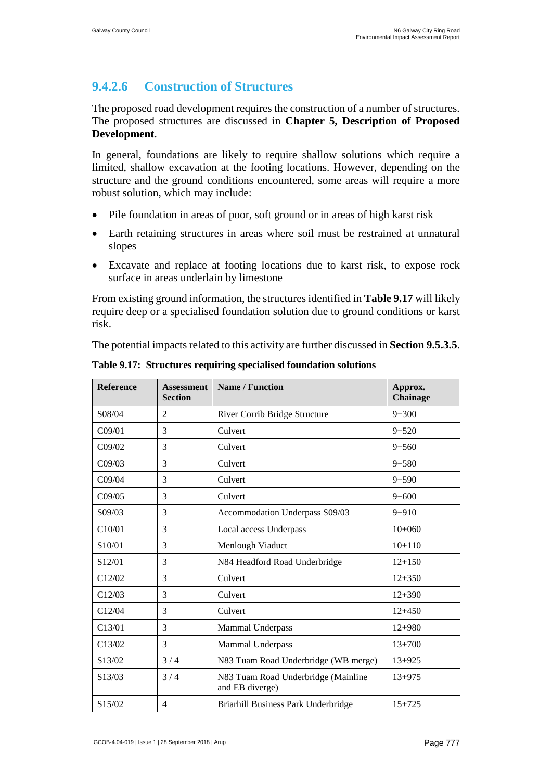# **9.4.2.6 Construction of Structures**

The proposed road development requires the construction of a number of structures. The proposed structures are discussed in **Chapter 5, Description of Proposed Development**.

In general, foundations are likely to require shallow solutions which require a limited, shallow excavation at the footing locations. However, depending on the structure and the ground conditions encountered, some areas will require a more robust solution, which may include:

- Pile foundation in areas of poor, soft ground or in areas of high karst risk
- Earth retaining structures in areas where soil must be restrained at unnatural slopes
- Excavate and replace at footing locations due to karst risk, to expose rock surface in areas underlain by limestone

From existing ground information, the structures identified in **[Table 9.17](#page-48-0)** will likely require deep or a specialised foundation solution due to ground conditions or karst risk.

The potential impacts related to this activity are further discussed in **Section 9.5.3.5**.

| <b>Reference</b>    | <b>Assessment</b><br><b>Section</b> | <b>Name / Function</b>                                 | Approx.<br>Chainage |
|---------------------|-------------------------------------|--------------------------------------------------------|---------------------|
| S08/04              | $\overline{2}$                      | River Corrib Bridge Structure                          | $9 + 300$           |
| CO9/01              | 3                                   | Culvert                                                | $9 + 520$           |
| C09/02              | 3                                   | Culvert                                                | $9 + 560$           |
| C09/03              | 3                                   | Culvert                                                | $9 + 580$           |
| C <sub>09/04</sub>  | 3                                   | Culvert                                                | $9 + 590$           |
| C09/05              | 3                                   | Culvert                                                | $9 + 600$           |
| S09/03              | 3                                   | Accommodation Underpass S09/03                         | $9 + 910$           |
| C10/01              | 3                                   | Local access Underpass                                 | $10+060$            |
| S <sub>10</sub> /01 | 3                                   | Menlough Viaduct                                       | $10+110$            |
| S12/01              | 3                                   | N84 Headford Road Underbridge                          | $12 + 150$          |
| C12/02              | 3                                   | Culvert                                                | $12 + 350$          |
| C12/03              | 3                                   | Culvert                                                | $12 + 390$          |
| C12/04              | 3                                   | Culvert                                                | $12+450$            |
| C13/01              | 3                                   | Mammal Underpass                                       | $12 + 980$          |
| C13/02              | 3                                   | <b>Mammal Underpass</b>                                | $13 + 700$          |
| S13/02              | 3/4                                 | N83 Tuam Road Underbridge (WB merge)                   | $13 + 925$          |
| S13/03              | 3/4                                 | N83 Tuam Road Underbridge (Mainline<br>and EB diverge) | $13 + 975$          |
| S15/02              | $\overline{4}$                      | Briarhill Business Park Underbridge                    | $15 + 725$          |

<span id="page-48-0"></span>**Table 9.17: Structures requiring specialised foundation solutions**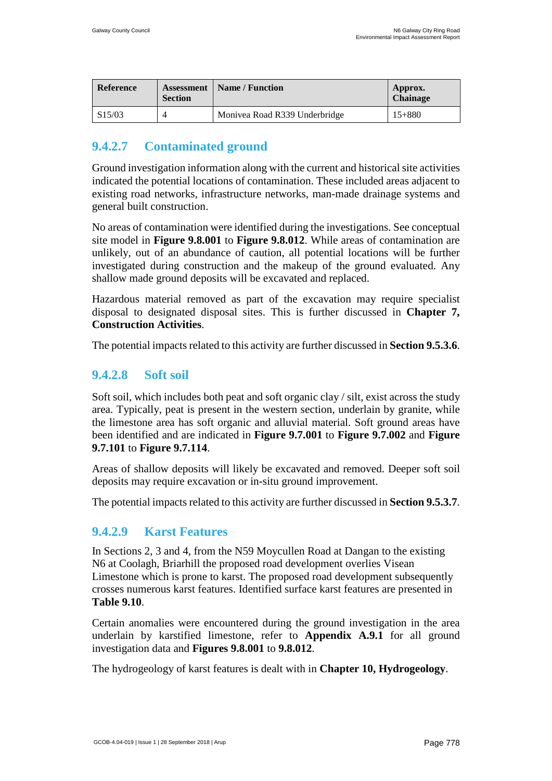| <b>Reference</b> | <b>Section</b> | <b>Assessment</b>   Name / Function | Approx.<br>Chainage |
|------------------|----------------|-------------------------------------|---------------------|
| S15/03           |                | Monivea Road R339 Underbridge       | $15 + 880$          |

# **9.4.2.7 Contaminated ground**

Ground investigation information along with the current and historical site activities indicated the potential locations of contamination. These included areas adjacent to existing road networks, infrastructure networks, man-made drainage systems and general built construction.

No areas of contamination were identified during the investigations. See conceptual site model in **Figure 9.8.001** to **Figure 9.8.012**. While areas of contamination are unlikely, out of an abundance of caution, all potential locations will be further investigated during construction and the makeup of the ground evaluated. Any shallow made ground deposits will be excavated and replaced.

Hazardous material removed as part of the excavation may require specialist disposal to designated disposal sites. This is further discussed in **Chapter 7, Construction Activities**.

The potential impacts related to this activity are further discussed in **Section 9.5.3.6**.

## **9.4.2.8 Soft soil**

Soft soil, which includes both peat and soft organic clay / silt, exist across the study area. Typically, peat is present in the western section, underlain by granite, while the limestone area has soft organic and alluvial material. Soft ground areas have been identified and are indicated in **Figure 9.7.001** to **Figure 9.7.002** and **Figure 9.7.101** to **Figure 9.7.114**.

Areas of shallow deposits will likely be excavated and removed. Deeper soft soil deposits may require excavation or in-situ ground improvement.

The potential impacts related to this activity are further discussed in **Section 9.5.3.7**.

## **9.4.2.9 Karst Features**

In Sections 2, 3 and 4, from the N59 Moycullen Road at Dangan to the existing N6 at Coolagh, Briarhill the proposed road development overlies Visean Limestone which is prone to karst. The proposed road development subsequently crosses numerous karst features. Identified surface karst features are presented in **[Table 9.10](#page-22-0)**.

Certain anomalies were encountered during the ground investigation in the area underlain by karstified limestone, refer to **Appendix A.9.1** for all ground investigation data and **Figures 9.8.001** to **9.8.012**.

The hydrogeology of karst features is dealt with in **Chapter 10, Hydrogeology**.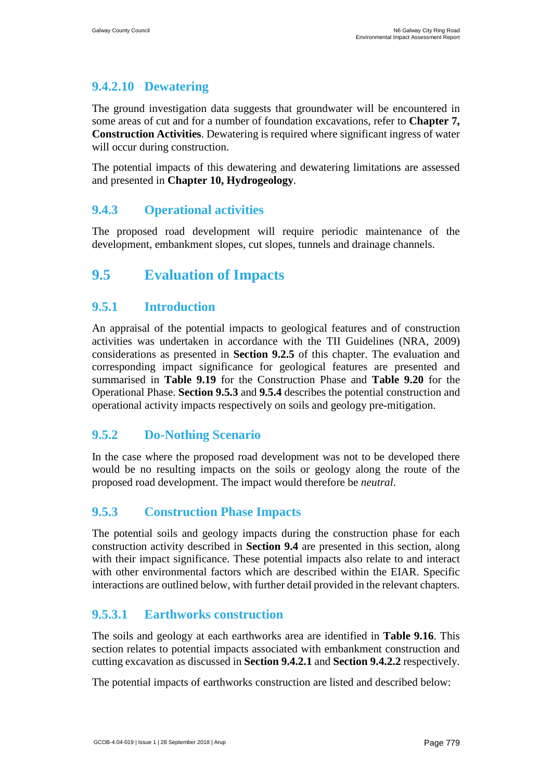# <span id="page-50-0"></span>**9.4.2.10 Dewatering**

The ground investigation data suggests that groundwater will be encountered in some areas of cut and for a number of foundation excavations, refer to **Chapter 7, Construction Activities**. Dewatering is required where significant ingress of water will occur during construction.

The potential impacts of this dewatering and dewatering limitations are assessed and presented in **Chapter 10, Hydrogeology**.

# **9.4.3 Operational activities**

The proposed road development will require periodic maintenance of the development, embankment slopes, cut slopes, tunnels and drainage channels.

# **9.5 Evaluation of Impacts**

# **9.5.1 Introduction**

An appraisal of the potential impacts to geological features and of construction activities was undertaken in accordance with the TII Guidelines (NRA, 2009) considerations as presented in **Section [9.2.5](#page-7-0)** of this chapter. The evaluation and corresponding impact significance for geological features are presented and summarised in **[Table 9.19](#page-65-0)** for the Construction Phase and **[Table 9.20](#page-79-0)** for the Operational Phase. **Section 9.5.3** and **9.5.4** describes the potential construction and operational activity impacts respectively on soils and geology pre-mitigation.

# **9.5.2 Do-Nothing Scenario**

In the case where the proposed road development was not to be developed there would be no resulting impacts on the soils or geology along the route of the proposed road development. The impact would therefore be *neutral*.

# **9.5.3 Construction Phase Impacts**

The potential soils and geology impacts during the construction phase for each construction activity described in **Section 9.4** are presented in this section, along with their impact significance. These potential impacts also relate to and interact with other environmental factors which are described within the EIAR. Specific interactions are outlined below, with further detail provided in the relevant chapters.

# <span id="page-50-1"></span>**9.5.3.1 Earthworks construction**

The soils and geology at each earthworks area are identified in **[Table 9.16](#page-35-0)**. This section relates to potential impacts associated with embankment construction and cutting excavation as discussed in **Section 9.4.2.1** and **Section 9.4.2.2** respectively.

The potential impacts of earthworks construction are listed and described below: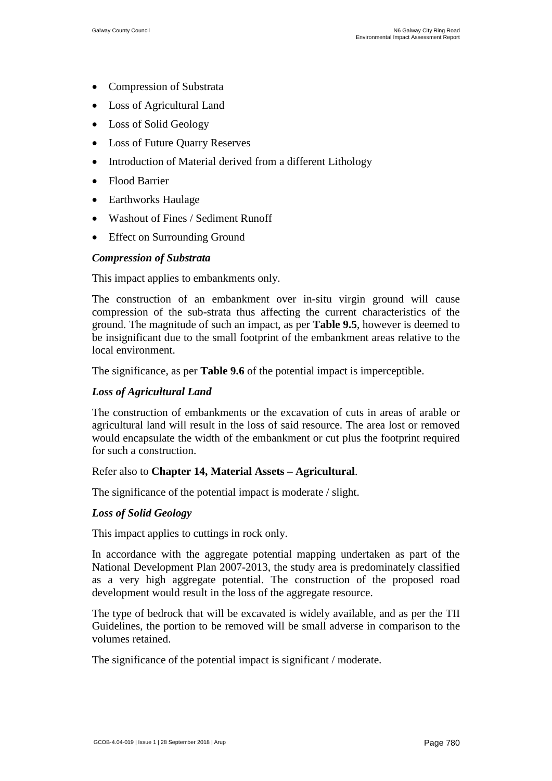- Compression of Substrata
- Loss of Agricultural Land
- Loss of Solid Geology
- Loss of Future Quarry Reserves
- Introduction of Material derived from a different Lithology
- Flood Barrier
- Earthworks Haulage
- Washout of Fines / Sediment Runoff
- **Effect on Surrounding Ground**

### *Compression of Substrata*

This impact applies to embankments only.

The construction of an embankment over in-situ virgin ground will cause compression of the sub-strata thus affecting the current characteristics of the ground. The magnitude of such an impact, as per **[Table 9.5](#page-10-0)**, however is deemed to be insignificant due to the small footprint of the embankment areas relative to the local environment.

The significance, as per **[Table 9.6](#page-11-0)** of the potential impact is imperceptible.

### *Loss of Agricultural Land*

The construction of embankments or the excavation of cuts in areas of arable or agricultural land will result in the loss of said resource. The area lost or removed would encapsulate the width of the embankment or cut plus the footprint required for such a construction.

#### Refer also to **Chapter 14, Material Assets – Agricultural**.

The significance of the potential impact is moderate / slight.

### *Loss of Solid Geology*

This impact applies to cuttings in rock only.

In accordance with the aggregate potential mapping undertaken as part of the National Development Plan 2007-2013, the study area is predominately classified as a very high aggregate potential. The construction of the proposed road development would result in the loss of the aggregate resource.

The type of bedrock that will be excavated is widely available, and as per the TII Guidelines, the portion to be removed will be small adverse in comparison to the volumes retained.

The significance of the potential impact is significant / moderate.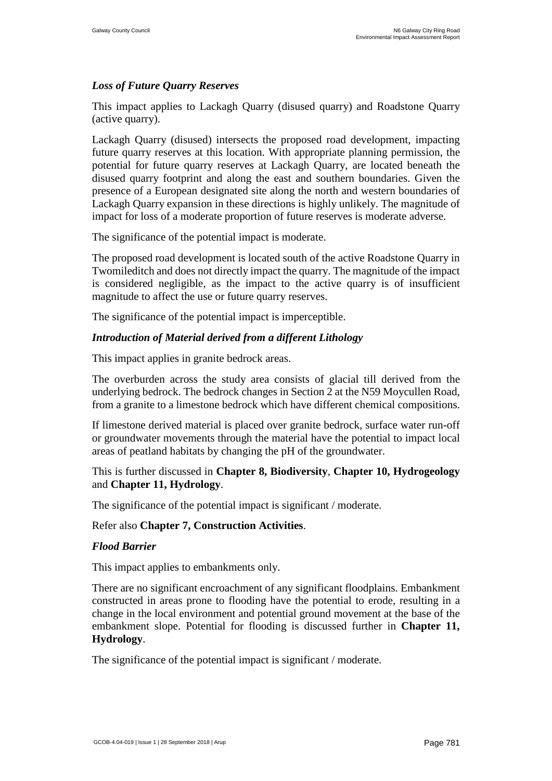### *Loss of Future Quarry Reserves*

This impact applies to Lackagh Quarry (disused quarry) and Roadstone Quarry (active quarry).

Lackagh Quarry (disused) intersects the proposed road development, impacting future quarry reserves at this location. With appropriate planning permission, the potential for future quarry reserves at Lackagh Quarry, are located beneath the disused quarry footprint and along the east and southern boundaries. Given the presence of a European designated site along the north and western boundaries of Lackagh Quarry expansion in these directions is highly unlikely. The magnitude of impact for loss of a moderate proportion of future reserves is moderate adverse.

The significance of the potential impact is moderate.

The proposed road development is located south of the active Roadstone Quarry in Twomileditch and does not directly impact the quarry. The magnitude of the impact is considered negligible, as the impact to the active quarry is of insufficient magnitude to affect the use or future quarry reserves.

The significance of the potential impact is imperceptible.

### *Introduction of Material derived from a different Lithology*

This impact applies in granite bedrock areas.

The overburden across the study area consists of glacial till derived from the underlying bedrock. The bedrock changes in Section 2 at the N59 Moycullen Road, from a granite to a limestone bedrock which have different chemical compositions.

If limestone derived material is placed over granite bedrock, surface water run-off or groundwater movements through the material have the potential to impact local areas of peatland habitats by changing the pH of the groundwater.

### This is further discussed in **Chapter 8, Biodiversity**, **Chapter 10, Hydrogeology** and **Chapter 11, Hydrology**.

The significance of the potential impact is significant / moderate.

#### Refer also **Chapter 7, Construction Activities**.

#### *Flood Barrier*

This impact applies to embankments only.

There are no significant encroachment of any significant floodplains. Embankment constructed in areas prone to flooding have the potential to erode, resulting in a change in the local environment and potential ground movement at the base of the embankment slope. Potential for flooding is discussed further in **Chapter 11, Hydrology**.

The significance of the potential impact is significant / moderate.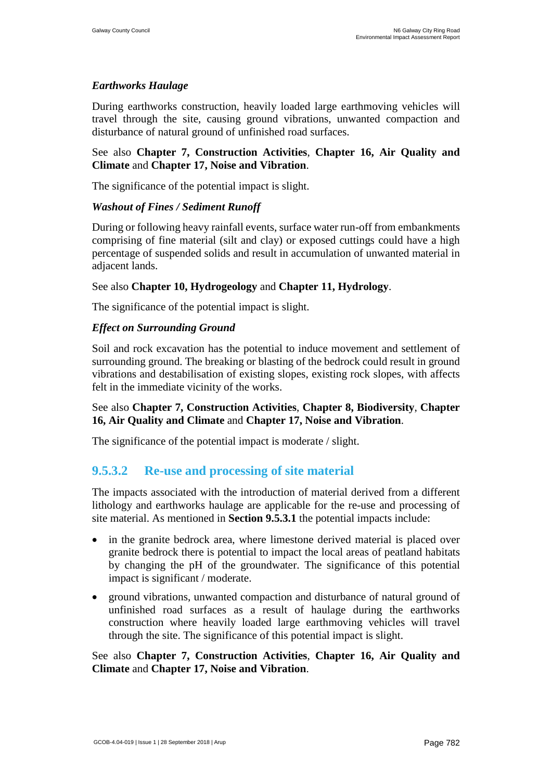## *Earthworks Haulage*

During earthworks construction, heavily loaded large earthmoving vehicles will travel through the site, causing ground vibrations, unwanted compaction and disturbance of natural ground of unfinished road surfaces.

### See also **Chapter 7, Construction Activities**, **Chapter 16, Air Quality and Climate** and **Chapter 17, Noise and Vibration**.

The significance of the potential impact is slight.

### *Washout of Fines / Sediment Runoff*

During or following heavy rainfall events, surface water run-off from embankments comprising of fine material (silt and clay) or exposed cuttings could have a high percentage of suspended solids and result in accumulation of unwanted material in adjacent lands.

### See also **Chapter 10, Hydrogeology** and **Chapter 11, Hydrology**.

The significance of the potential impact is slight.

### *Effect on Surrounding Ground*

Soil and rock excavation has the potential to induce movement and settlement of surrounding ground. The breaking or blasting of the bedrock could result in ground vibrations and destabilisation of existing slopes, existing rock slopes, with affects felt in the immediate vicinity of the works.

### See also **Chapter 7, Construction Activities**, **Chapter 8, Biodiversity**, **Chapter 16, Air Quality and Climate** and **Chapter 17, Noise and Vibration**.

The significance of the potential impact is moderate / slight.

## **9.5.3.2 Re-use and processing of site material**

The impacts associated with the introduction of material derived from a different lithology and earthworks haulage are applicable for the re-use and processing of site material. As mentioned in **Section [9.5.3.1](#page-50-1)** the potential impacts include:

- in the granite bedrock area, where limestone derived material is placed over granite bedrock there is potential to impact the local areas of peatland habitats by changing the pH of the groundwater. The significance of this potential impact is significant / moderate.
- ground vibrations, unwanted compaction and disturbance of natural ground of unfinished road surfaces as a result of haulage during the earthworks construction where heavily loaded large earthmoving vehicles will travel through the site. The significance of this potential impact is slight.

See also **Chapter 7, Construction Activities**, **Chapter 16, Air Quality and Climate** and **Chapter 17, Noise and Vibration**.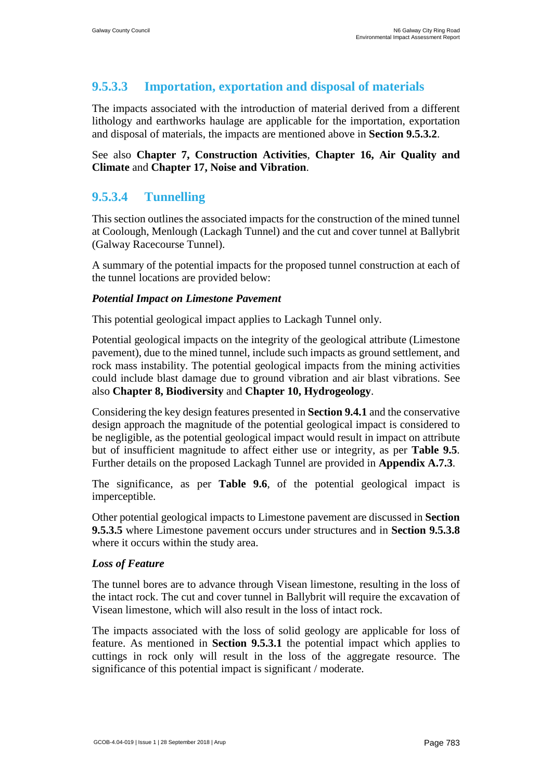# **9.5.3.3 Importation, exportation and disposal of materials**

The impacts associated with the introduction of material derived from a different lithology and earthworks haulage are applicable for the importation, exportation and disposal of materials, the impacts are mentioned above in **Section 9.5.3.2**.

### See also **Chapter 7, Construction Activities**, **Chapter 16, Air Quality and Climate** and **Chapter 17, Noise and Vibration**.

# <span id="page-54-0"></span>**9.5.3.4 Tunnelling**

This section outlines the associated impacts for the construction of the mined tunnel at Coolough, Menlough (Lackagh Tunnel) and the cut and cover tunnel at Ballybrit (Galway Racecourse Tunnel).

A summary of the potential impacts for the proposed tunnel construction at each of the tunnel locations are provided below:

### *Potential Impact on Limestone Pavement*

This potential geological impact applies to Lackagh Tunnel only.

Potential geological impacts on the integrity of the geological attribute (Limestone pavement), due to the mined tunnel, include such impacts as ground settlement, and rock mass instability. The potential geological impacts from the mining activities could include blast damage due to ground vibration and air blast vibrations. See also **Chapter 8, Biodiversity** and **Chapter 10, Hydrogeology**.

Considering the key design features presented in **Section [9.4.1](#page-41-0)** and the conservative design approach the magnitude of the potential geological impact is considered to be negligible, as the potential geological impact would result in impact on attribute but of insufficient magnitude to affect either use or integrity, as per **[Table 9.5](#page-10-0)**. Further details on the proposed Lackagh Tunnel are provided in **Appendix A.7.3**.

The significance, as per **[Table 9.6](#page-11-0)**, of the potential geological impact is imperceptible.

Other potential geological impacts to Limestone pavement are discussed in **Section [9.5.3.5](#page-55-0)** where Limestone pavement occurs under structures and in **Section [9.5.3.8](#page-57-0)** where it occurs within the study area.

### *Loss of Feature*

The tunnel bores are to advance through Visean limestone, resulting in the loss of the intact rock. The cut and cover tunnel in Ballybrit will require the excavation of Visean limestone, which will also result in the loss of intact rock.

The impacts associated with the loss of solid geology are applicable for loss of feature. As mentioned in **Section [9.5.3.1](#page-50-1)** the potential impact which applies to cuttings in rock only will result in the loss of the aggregate resource. The significance of this potential impact is significant / moderate.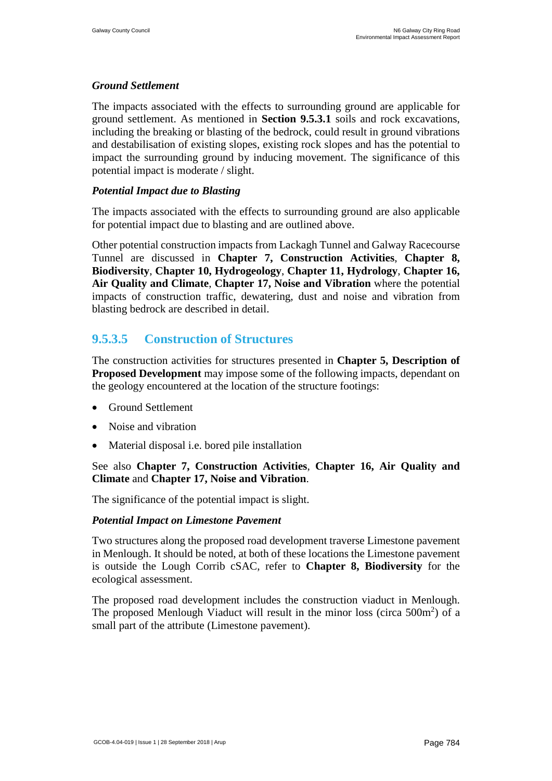#### *Ground Settlement*

The impacts associated with the effects to surrounding ground are applicable for ground settlement. As mentioned in **Section [9.5.3.1](#page-50-1)** soils and rock excavations, including the breaking or blasting of the bedrock, could result in ground vibrations and destabilisation of existing slopes, existing rock slopes and has the potential to impact the surrounding ground by inducing movement. The significance of this potential impact is moderate / slight.

#### *Potential Impact due to Blasting*

The impacts associated with the effects to surrounding ground are also applicable for potential impact due to blasting and are outlined above.

Other potential construction impacts from Lackagh Tunnel and Galway Racecourse Tunnel are discussed in **Chapter 7, Construction Activities**, **Chapter 8, Biodiversity**, **Chapter 10, Hydrogeology**, **Chapter 11, Hydrology**, **Chapter 16, Air Quality and Climate**, **Chapter 17, Noise and Vibration** where the potential impacts of construction traffic, dewatering, dust and noise and vibration from blasting bedrock are described in detail.

## <span id="page-55-0"></span>**9.5.3.5 Construction of Structures**

The construction activities for structures presented in **Chapter 5, Description of Proposed Development** may impose some of the following impacts, dependant on the geology encountered at the location of the structure footings:

- Ground Settlement
- Noise and vibration
- Material disposal i.e. bored pile installation

### See also **Chapter 7, Construction Activities**, **Chapter 16, Air Quality and Climate** and **Chapter 17, Noise and Vibration**.

The significance of the potential impact is slight.

#### *Potential Impact on Limestone Pavement*

Two structures along the proposed road development traverse Limestone pavement in Menlough. It should be noted, at both of these locations the Limestone pavement is outside the Lough Corrib cSAC, refer to **Chapter 8, Biodiversity** for the ecological assessment.

The proposed road development includes the construction viaduct in Menlough. The proposed Menlough Viaduct will result in the minor loss (circa  $500m^2$ ) of a small part of the attribute (Limestone pavement).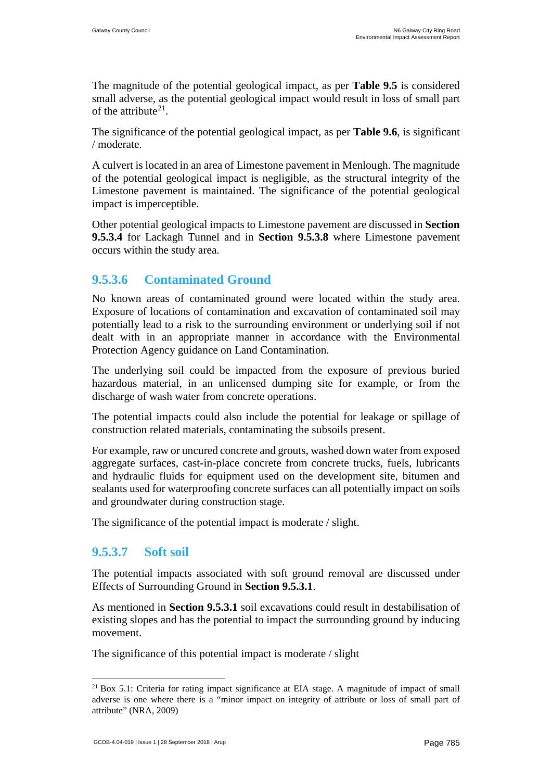The magnitude of the potential geological impact, as per **[Table 9.5](#page-10-0)** is considered small adverse, as the potential geological impact would result in loss of small part of the attribute $21$ .

The significance of the potential geological impact, as per **[Table 9.6](#page-11-0)**, is significant / moderate.

A culvert is located in an area of Limestone pavement in Menlough. The magnitude of the potential geological impact is negligible, as the structural integrity of the Limestone pavement is maintained. The significance of the potential geological impact is imperceptible.

Other potential geological impacts to Limestone pavement are discussed in **Section [9.5.3.4](#page-54-0)** for Lackagh Tunnel and in **Section [9.5.3.8](#page-57-0)** where Limestone pavement occurs within the study area.

## **9.5.3.6 Contaminated Ground**

No known areas of contaminated ground were located within the study area. Exposure of locations of contamination and excavation of contaminated soil may potentially lead to a risk to the surrounding environment or underlying soil if not dealt with in an appropriate manner in accordance with the Environmental Protection Agency guidance on Land Contamination.

The underlying soil could be impacted from the exposure of previous buried hazardous material, in an unlicensed dumping site for example, or from the discharge of wash water from concrete operations.

The potential impacts could also include the potential for leakage or spillage of construction related materials, contaminating the subsoils present.

For example, raw or uncured concrete and grouts, washed down water from exposed aggregate surfaces, cast-in-place concrete from concrete trucks, fuels, lubricants and hydraulic fluids for equipment used on the development site, bitumen and sealants used for waterproofing concrete surfaces can all potentially impact on soils and groundwater during construction stage.

The significance of the potential impact is moderate / slight.

# **9.5.3.7 Soft soil**

The potential impacts associated with soft ground removal are discussed under Effects of Surrounding Ground in **Section 9.5.3.1**.

As mentioned in **Section [9.5.3.1](#page-50-1)** soil excavations could result in destabilisation of existing slopes and has the potential to impact the surrounding ground by inducing movement.

The significance of this potential impact is moderate / slight

<sup>&</sup>lt;sup>21</sup> Box 5.1: Criteria for rating impact significance at EIA stage. A magnitude of impact of small adverse is one where there is a "minor impact on integrity of attribute or loss of small part of attribute" (NRA, 2009)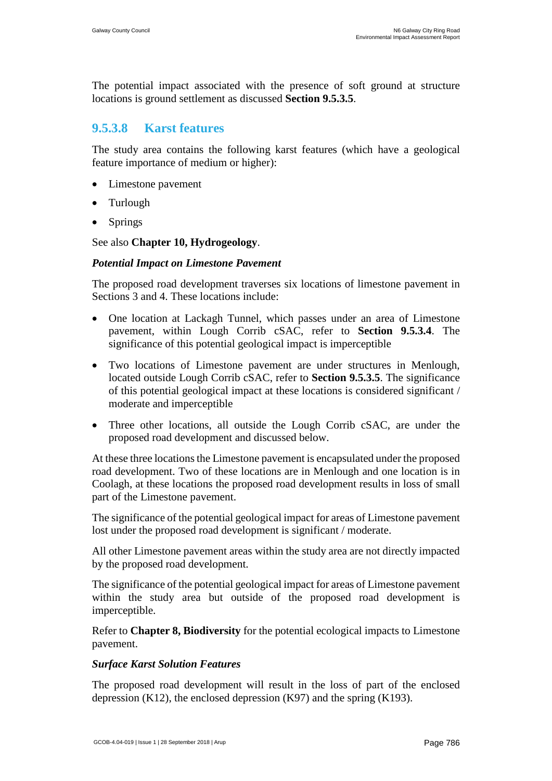The potential impact associated with the presence of soft ground at structure locations is ground settlement as discussed **Section 9.5.3.5**.

## <span id="page-57-0"></span>**9.5.3.8 Karst features**

The study area contains the following karst features (which have a geological feature importance of medium or higher):

- Limestone pavement
- Turlough
- **Springs**

See also **Chapter 10, Hydrogeology**.

#### *Potential Impact on Limestone Pavement*

The proposed road development traverses six locations of limestone pavement in Sections 3 and 4. These locations include:

- One location at Lackagh Tunnel, which passes under an area of Limestone pavement, within Lough Corrib cSAC, refer to **Section 9.5.3.4**. The significance of this potential geological impact is imperceptible
- Two locations of Limestone pavement are under structures in Menlough, located outside Lough Corrib cSAC, refer to **Section [9.5.3.5](#page-55-0)**. The significance of this potential geological impact at these locations is considered significant / moderate and imperceptible
- Three other locations, all outside the Lough Corrib cSAC, are under the proposed road development and discussed below.

At these three locations the Limestone pavement is encapsulated under the proposed road development. Two of these locations are in Menlough and one location is in Coolagh, at these locations the proposed road development results in loss of small part of the Limestone pavement.

The significance of the potential geological impact for areas of Limestone pavement lost under the proposed road development is significant / moderate.

All other Limestone pavement areas within the study area are not directly impacted by the proposed road development.

The significance of the potential geological impact for areas of Limestone pavement within the study area but outside of the proposed road development is imperceptible.

Refer to **Chapter 8, Biodiversity** for the potential ecological impacts to Limestone pavement.

#### *Surface Karst Solution Features*

The proposed road development will result in the loss of part of the enclosed depression  $(K12)$ , the enclosed depression  $(K97)$  and the spring  $(K193)$ .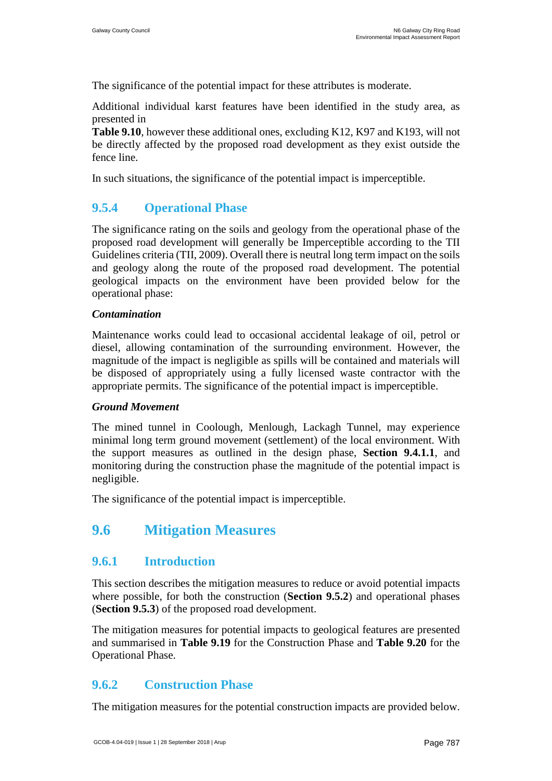The significance of the potential impact for these attributes is moderate.

Additional [individual karst features have been identified in the study area, as](#page-22-1)  presented in

**[Table 9.10](#page-22-1)**, however these additional ones, excluding K12, K97 and K193, will not be directly affected by the proposed road development as they exist outside the fence line.

In such situations, the significance of the potential impact is imperceptible.

## <span id="page-58-0"></span>**9.5.4 Operational Phase**

The significance rating on the soils and geology from the operational phase of the proposed road development will generally be Imperceptible according to the TII Guidelines criteria (TII, 2009). Overall there is neutral long term impact on the soils and geology along the route of the proposed road development. The potential geological impacts on the environment have been provided below for the operational phase:

#### *Contamination*

Maintenance works could lead to occasional accidental leakage of oil, petrol or diesel, allowing contamination of the surrounding environment. However, the magnitude of the impact is negligible as spills will be contained and materials will be disposed of appropriately using a fully licensed waste contractor with the appropriate permits. The significance of the potential impact is imperceptible.

#### *Ground Movement*

The mined tunnel in Coolough, Menlough, Lackagh Tunnel, may experience minimal long term ground movement (settlement) of the local environment. With the support measures as outlined in the design phase, **Section 9.4.1.1**, and monitoring during the construction phase the magnitude of the potential impact is negligible.

The significance of the potential impact is imperceptible.

# <span id="page-58-1"></span>**9.6 Mitigation Measures**

## **9.6.1 Introduction**

This section describes the mitigation measures to reduce or avoid potential impacts where possible, for both the construction (**Section 9.5.2**) and operational phases (**Section 9.5.3**) of the proposed road development.

The mitigation measures for potential impacts to geological features are presented and summarised in **[Table 9.19](#page-65-0)** for the Construction Phase and **[Table 9.20](#page-79-0)** for the Operational Phase.

## <span id="page-58-2"></span>**9.6.2 Construction Phase**

The mitigation measures for the potential construction impacts are provided below.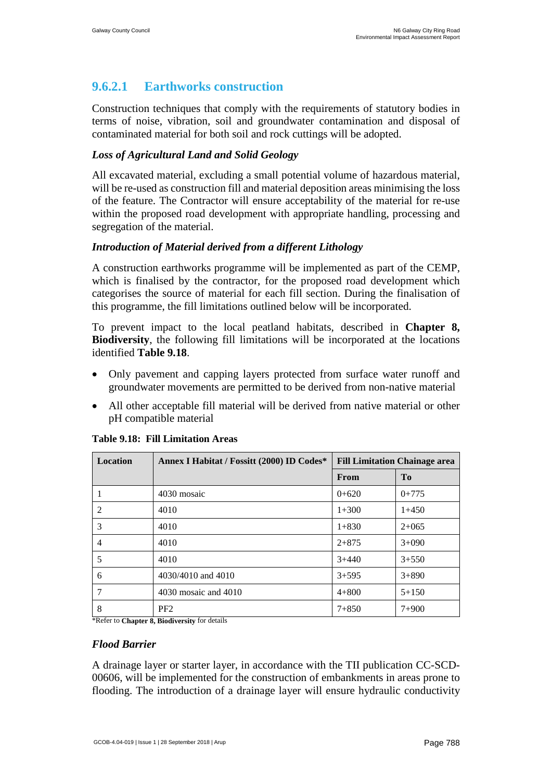# <span id="page-59-0"></span>**9.6.2.1 Earthworks construction**

Construction techniques that comply with the requirements of statutory bodies in terms of noise, vibration, soil and groundwater contamination and disposal of contaminated material for both soil and rock cuttings will be adopted.

## *Loss of Agricultural Land and Solid Geology*

All excavated material, excluding a small potential volume of hazardous material, will be re-used as construction fill and material deposition areas minimising the loss of the feature. The Contractor will ensure acceptability of the material for re-use within the proposed road development with appropriate handling, processing and segregation of the material.

## *Introduction of Material derived from a different Lithology*

A construction earthworks programme will be implemented as part of the CEMP, which is finalised by the contractor, for the proposed road development which categorises the source of material for each fill section. During the finalisation of this programme, the fill limitations outlined below will be incorporated.

To prevent impact to the local peatland habitats, described in **Chapter 8, Biodiversity**, the following fill limitations will be incorporated at the locations identified **Table 9.18**.

- Only pavement and capping layers protected from surface water runoff and groundwater movements are permitted to be derived from non-native material
- All other acceptable fill material will be derived from native material or other pH compatible material

| <b>Location</b> | Annex I Habitat / Fossitt (2000) ID Codes* |           | <b>Fill Limitation Chainage area</b> |
|-----------------|--------------------------------------------|-----------|--------------------------------------|
|                 |                                            | From      | T <sub>0</sub>                       |
|                 | 4030 mosaic                                | $0+620$   | $0+775$                              |
| 2               | 4010                                       | $1+300$   | $1+450$                              |
| 3               | 4010                                       | $1 + 830$ | $2+065$                              |
| 4               | 4010                                       | $2 + 875$ | $3+090$                              |
| 5               | 4010                                       | $3+440$   | $3 + 550$                            |
| 6               | 4030/4010 and 4010                         | $3 + 595$ | $3 + 890$                            |
|                 | 4030 mosaic and 4010                       | $4 + 800$ | $5 + 150$                            |
| 8               | PF <sub>2</sub>                            | $7 + 850$ | $7 + 900$                            |

#### **Table 9.18: Fill Limitation Areas**

\*Refer to **Chapter 8, Biodiversity** for details

#### *Flood Barrier*

A drainage layer or starter layer, in accordance with the TII publication CC-SCD-00606, will be implemented for the construction of embankments in areas prone to flooding. The introduction of a drainage layer will ensure hydraulic conductivity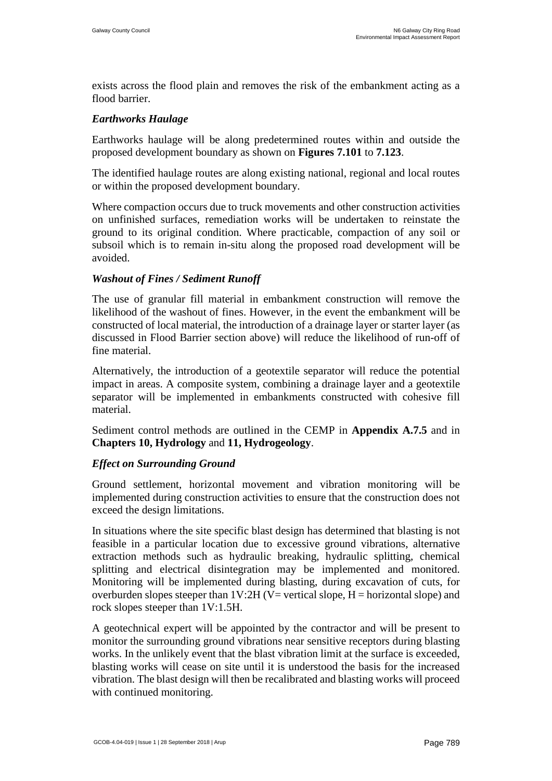exists across the flood plain and removes the risk of the embankment acting as a flood barrier.

#### *Earthworks Haulage*

Earthworks haulage will be along predetermined routes within and outside the proposed development boundary as shown on **Figures 7.101** to **7.123**.

The identified haulage routes are along existing national, regional and local routes or within the proposed development boundary.

Where compaction occurs due to truck movements and other construction activities on unfinished surfaces, remediation works will be undertaken to reinstate the ground to its original condition. Where practicable, compaction of any soil or subsoil which is to remain in-situ along the proposed road development will be avoided.

### *Washout of Fines / Sediment Runoff*

The use of granular fill material in embankment construction will remove the likelihood of the washout of fines. However, in the event the embankment will be constructed of local material, the introduction of a drainage layer or starter layer (as discussed in Flood Barrier section above) will reduce the likelihood of run-off of fine material.

Alternatively, the introduction of a geotextile separator will reduce the potential impact in areas. A composite system, combining a drainage layer and a geotextile separator will be implemented in embankments constructed with cohesive fill material.

Sediment control methods are outlined in the CEMP in **Appendix A.7.5** and in **Chapters 10, Hydrology** and **11, Hydrogeology**.

#### *Effect on Surrounding Ground*

Ground settlement, horizontal movement and vibration monitoring will be implemented during construction activities to ensure that the construction does not exceed the design limitations.

In situations where the site specific blast design has determined that blasting is not feasible in a particular location due to excessive ground vibrations, alternative extraction methods such as hydraulic breaking, hydraulic splitting, chemical splitting and electrical disintegration may be implemented and monitored. Monitoring will be implemented during blasting, during excavation of cuts, for overburden slopes steeper than  $1V:2H (V= vertical slope, H= horizontal slope)$  and rock slopes steeper than 1V:1.5H.

A geotechnical expert will be appointed by the contractor and will be present to monitor the surrounding ground vibrations near sensitive receptors during blasting works. In the unlikely event that the blast vibration limit at the surface is exceeded, blasting works will cease on site until it is understood the basis for the increased vibration. The blast design will then be recalibrated and blasting works will proceed with continued monitoring.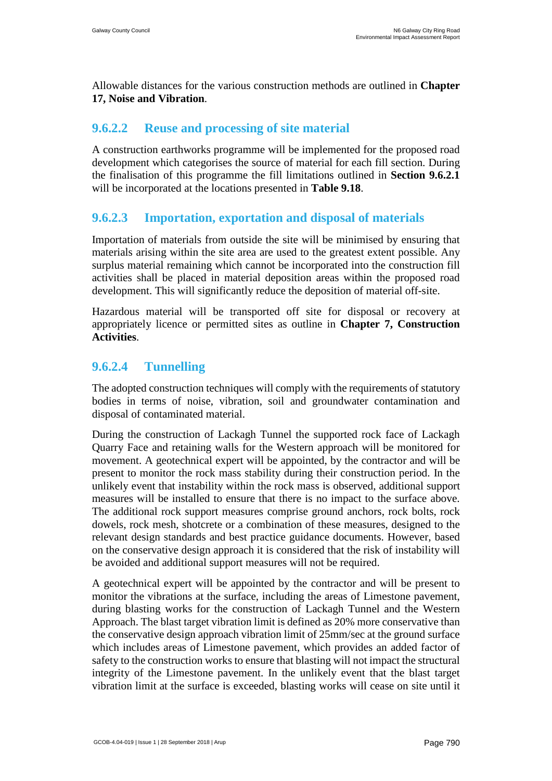Allowable distances for the various construction methods are outlined in **Chapter 17, Noise and Vibration**.

## **9.6.2.2 Reuse and processing of site material**

A construction earthworks programme will be implemented for the proposed road development which categorises the source of material for each fill section. During the finalisation of this programme the fill limitations outlined in **Section [9.6.2.1](#page-59-0)** will be incorporated at the locations presented in **Table 9.18**.

## **9.6.2.3 Importation, exportation and disposal of materials**

Importation of materials from outside the site will be minimised by ensuring that materials arising within the site area are used to the greatest extent possible. Any surplus material remaining which cannot be incorporated into the construction fill activities shall be placed in material deposition areas within the proposed road development. This will significantly reduce the deposition of material off-site.

Hazardous material will be transported off site for disposal or recovery at appropriately licence or permitted sites as outline in **Chapter 7, Construction Activities**.

## <span id="page-61-0"></span>**9.6.2.4 Tunnelling**

The adopted construction techniques will comply with the requirements of statutory bodies in terms of noise, vibration, soil and groundwater contamination and disposal of contaminated material.

During the construction of Lackagh Tunnel the supported rock face of Lackagh Quarry Face and retaining walls for the Western approach will be monitored for movement. A geotechnical expert will be appointed, by the contractor and will be present to monitor the rock mass stability during their construction period. In the unlikely event that instability within the rock mass is observed, additional support measures will be installed to ensure that there is no impact to the surface above. The additional rock support measures comprise ground anchors, rock bolts, rock dowels, rock mesh, shotcrete or a combination of these measures, designed to the relevant design standards and best practice guidance documents. However, based on the conservative design approach it is considered that the risk of instability will be avoided and additional support measures will not be required.

A geotechnical expert will be appointed by the contractor and will be present to monitor the vibrations at the surface, including the areas of Limestone pavement, during blasting works for the construction of Lackagh Tunnel and the Western Approach. The blast target vibration limit is defined as 20% more conservative than the conservative design approach vibration limit of 25mm/sec at the ground surface which includes areas of Limestone pavement, which provides an added factor of safety to the construction works to ensure that blasting will not impact the structural integrity of the Limestone pavement. In the unlikely event that the blast target vibration limit at the surface is exceeded, blasting works will cease on site until it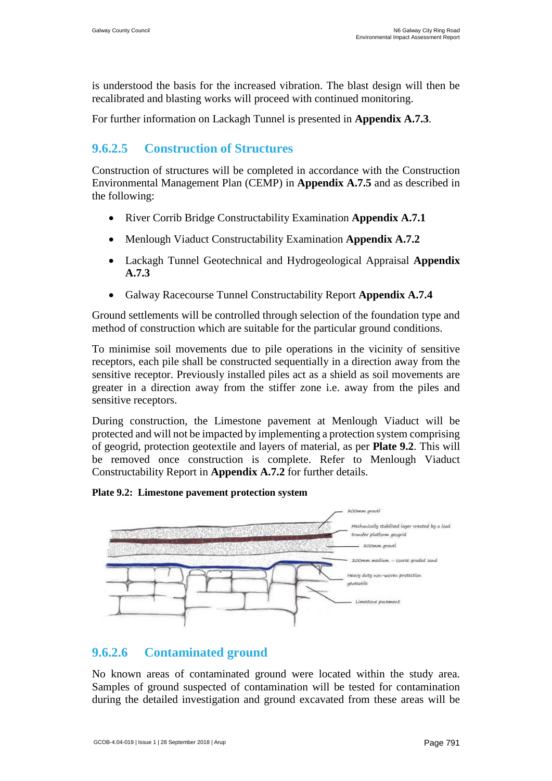is understood the basis for the increased vibration. The blast design will then be recalibrated and blasting works will proceed with continued monitoring.

For further information on Lackagh Tunnel is presented in **Appendix A.7.3**.

# **9.6.2.5 Construction of Structures**

Construction of structures will be completed in accordance with the Construction Environmental Management Plan (CEMP) in **Appendix A.7.5** and as described in the following:

- River Corrib Bridge Constructability Examination **Appendix A.7.1**
- Menlough Viaduct Constructability Examination **Appendix A.7.2**
- Lackagh Tunnel Geotechnical and Hydrogeological Appraisal **Appendix A.7.3**
- Galway Racecourse Tunnel Constructability Report **Appendix A.7.4**

Ground settlements will be controlled through selection of the foundation type and method of construction which are suitable for the particular ground conditions.

To minimise soil movements due to pile operations in the vicinity of sensitive receptors, each pile shall be constructed sequentially in a direction away from the sensitive receptor. Previously installed piles act as a shield as soil movements are greater in a direction away from the stiffer zone i.e. away from the piles and sensitive receptors.

During construction, the Limestone pavement at Menlough Viaduct will be protected and will not be impacted by implementing a protection system comprising of geogrid, protection geotextile and layers of material, as per **Plate 9.2**. This will be removed once construction is complete. Refer to Menlough Viaduct Constructability Report in **Appendix A.7.2** for further details.

#### **Plate 9.2: Limestone pavement protection system**



## **9.6.2.6 Contaminated ground**

No known areas of contaminated ground were located within the study area. Samples of ground suspected of contamination will be tested for contamination during the detailed investigation and ground excavated from these areas will be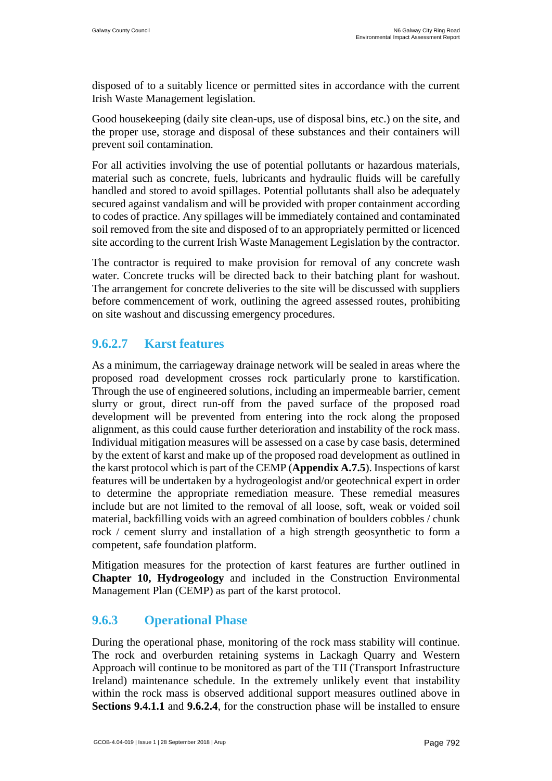disposed of to a suitably licence or permitted sites in accordance with the current Irish Waste Management legislation.

Good housekeeping (daily site clean-ups, use of disposal bins, etc.) on the site, and the proper use, storage and disposal of these substances and their containers will prevent soil contamination.

For all activities involving the use of potential pollutants or hazardous materials, material such as concrete, fuels, lubricants and hydraulic fluids will be carefully handled and stored to avoid spillages. Potential pollutants shall also be adequately secured against vandalism and will be provided with proper containment according to codes of practice. Any spillages will be immediately contained and contaminated soil removed from the site and disposed of to an appropriately permitted or licenced site according to the current Irish Waste Management Legislation by the contractor.

The contractor is required to make provision for removal of any concrete wash water. Concrete trucks will be directed back to their batching plant for washout. The arrangement for concrete deliveries to the site will be discussed with suppliers before commencement of work, outlining the agreed assessed routes, prohibiting on site washout and discussing emergency procedures.

## **9.6.2.7 Karst features**

As a minimum, the carriageway drainage network will be sealed in areas where the proposed road development crosses rock particularly prone to karstification. Through the use of engineered solutions, including an impermeable barrier, cement slurry or grout, direct run-off from the paved surface of the proposed road development will be prevented from entering into the rock along the proposed alignment, as this could cause further deterioration and instability of the rock mass. Individual mitigation measures will be assessed on a case by case basis, determined by the extent of karst and make up of the proposed road development as outlined in the karst protocol which is part of the CEMP (**Appendix A.7.5**). Inspections of karst features will be undertaken by a hydrogeologist and/or geotechnical expert in order to determine the appropriate remediation measure. These remedial measures include but are not limited to the removal of all loose, soft, weak or voided soil material, backfilling voids with an agreed combination of boulders cobbles / chunk rock / cement slurry and installation of a high strength geosynthetic to form a competent, safe foundation platform.

Mitigation measures for the protection of karst features are further outlined in **Chapter 10, Hydrogeology** and included in the Construction Environmental Management Plan (CEMP) as part of the karst protocol.

# **9.6.3 Operational Phase**

During the operational phase, monitoring of the rock mass stability will continue. The rock and overburden retaining systems in Lackagh Quarry and Western Approach will continue to be monitored as part of the TII (Transport Infrastructure Ireland) maintenance schedule. In the extremely unlikely event that instability within the rock mass is observed additional support measures outlined above in **Sections [9.4.1.1](#page-41-1)** and **[9.6.2.4](#page-61-0)**, for the construction phase will be installed to ensure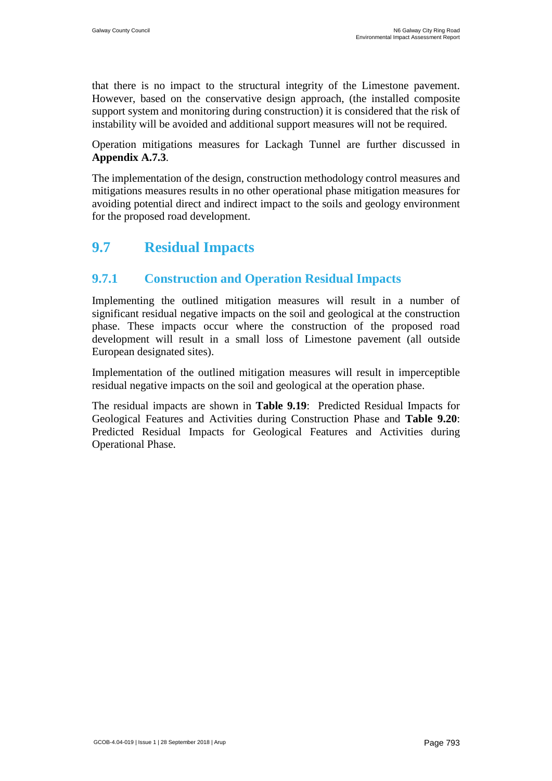that there is no impact to the structural integrity of the Limestone pavement. However, based on the conservative design approach, (the installed composite support system and monitoring during construction) it is considered that the risk of instability will be avoided and additional support measures will not be required.

Operation mitigations measures for Lackagh Tunnel are further discussed in **Appendix A.7.3**.

The implementation of the design, construction methodology control measures and mitigations measures results in no other operational phase mitigation measures for avoiding potential direct and indirect impact to the soils and geology environment for the proposed road development.

# **9.7 Residual Impacts**

# **9.7.1 Construction and Operation Residual Impacts**

Implementing the outlined mitigation measures will result in a number of significant residual negative impacts on the soil and geological at the construction phase. These impacts occur where the construction of the proposed road development will result in a small loss of Limestone pavement (all outside European designated sites).

Implementation of the outlined mitigation measures will result in imperceptible residual negative impacts on the soil and geological at the operation phase.

The residual impacts are shown in **Table 9.19**[: Predicted Residual Impacts for](#page-65-0)  [Geological Features and Activities during Construction Phase](#page-65-0) and **[Table 9.20](#page-79-0)**: [Predicted Residual Impacts for Geological Features and Activities during](#page-79-0)  [Operational Phase.](#page-79-0)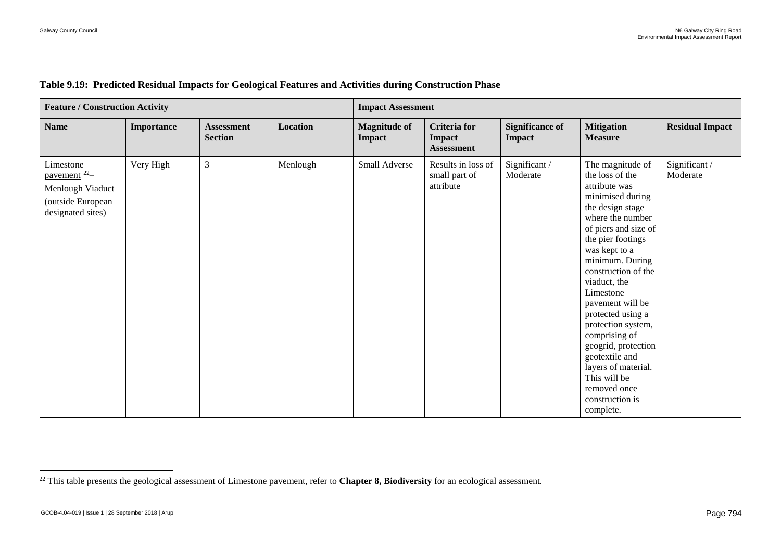| <b>Feature / Construction Activity</b>                                                              |            |                                     |          | <b>Impact Assessment</b>      |                                                           |                                         |                                                                                                                                                                                                                                                                                                                                                                                                                                                                       |                           |  |  |  |
|-----------------------------------------------------------------------------------------------------|------------|-------------------------------------|----------|-------------------------------|-----------------------------------------------------------|-----------------------------------------|-----------------------------------------------------------------------------------------------------------------------------------------------------------------------------------------------------------------------------------------------------------------------------------------------------------------------------------------------------------------------------------------------------------------------------------------------------------------------|---------------------------|--|--|--|
| <b>Name</b>                                                                                         | Importance | <b>Assessment</b><br><b>Section</b> | Location | <b>Magnitude of</b><br>Impact | <b>Criteria</b> for<br><b>Impact</b><br><b>Assessment</b> | <b>Significance of</b><br><b>Impact</b> | <b>Mitigation</b><br><b>Measure</b>                                                                                                                                                                                                                                                                                                                                                                                                                                   | <b>Residual Impact</b>    |  |  |  |
| Limestone<br>pavement <sup>22</sup> -<br>Menlough Viaduct<br>(outside European<br>designated sites) | Very High  | 3                                   | Menlough | Small Adverse                 | Results in loss of<br>small part of<br>attribute          | Significant/<br>Moderate                | The magnitude of<br>the loss of the<br>attribute was<br>minimised during<br>the design stage<br>where the number<br>of piers and size of<br>the pier footings<br>was kept to a<br>minimum. During<br>construction of the<br>viaduct, the<br>Limestone<br>pavement will be<br>protected using a<br>protection system,<br>comprising of<br>geogrid, protection<br>geotextile and<br>layers of material.<br>This will be<br>removed once<br>construction is<br>complete. | Significant /<br>Moderate |  |  |  |

#### **Table 9.19: Predicted Residual Impacts for Geological Features and Activities during Construction Phase**

<span id="page-65-0"></span> <sup>22</sup> This table presents the geological assessment of Limestone pavement, refer to **Chapter 8, Biodiversity** for an ecological assessment.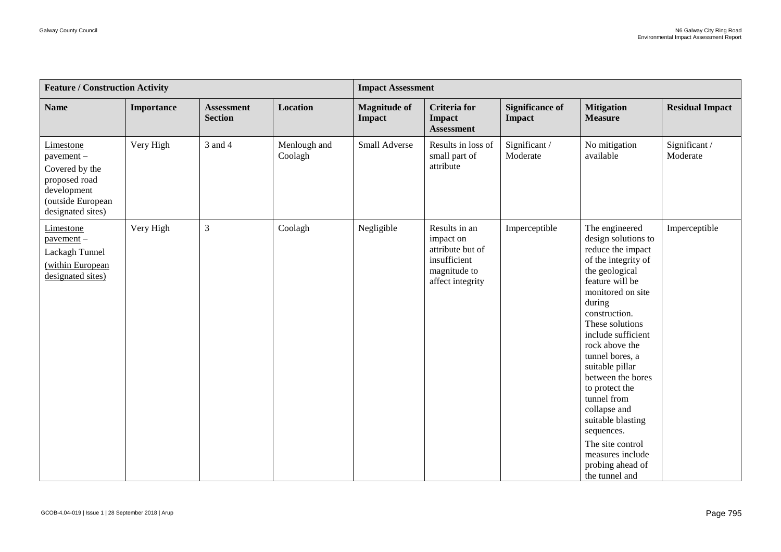| <b>Feature / Construction Activity</b>                                                                                   |            |                                     |                         | <b>Impact Assessment</b>             |                                                                                                    |                                  |                                                                                                                                                                                                                                                                                                                                                                                                                                                                |                           |  |  |
|--------------------------------------------------------------------------------------------------------------------------|------------|-------------------------------------|-------------------------|--------------------------------------|----------------------------------------------------------------------------------------------------|----------------------------------|----------------------------------------------------------------------------------------------------------------------------------------------------------------------------------------------------------------------------------------------------------------------------------------------------------------------------------------------------------------------------------------------------------------------------------------------------------------|---------------------------|--|--|
| <b>Name</b>                                                                                                              | Importance | <b>Assessment</b><br><b>Section</b> | <b>Location</b>         | <b>Magnitude of</b><br><b>Impact</b> | <b>Criteria</b> for<br><b>Impact</b><br><b>Assessment</b>                                          | <b>Significance of</b><br>Impact | <b>Mitigation</b><br><b>Measure</b>                                                                                                                                                                                                                                                                                                                                                                                                                            | <b>Residual Impact</b>    |  |  |
| Limestone<br>$p$ avement $-$<br>Covered by the<br>proposed road<br>development<br>(outside European<br>designated sites) | Very High  | 3 and 4                             | Menlough and<br>Coolagh | Small Adverse                        | Results in loss of<br>small part of<br>attribute                                                   | Significant /<br>Moderate        | No mitigation<br>available                                                                                                                                                                                                                                                                                                                                                                                                                                     | Significant /<br>Moderate |  |  |
| Limestone<br>$powerment -$<br>Lackagh Tunnel<br>(within European<br>designated sites)                                    | Very High  | $\mathfrak{Z}$                      | Coolagh                 | Negligible                           | Results in an<br>impact on<br>attribute but of<br>insufficient<br>magnitude to<br>affect integrity | Imperceptible                    | The engineered<br>design solutions to<br>reduce the impact<br>of the integrity of<br>the geological<br>feature will be<br>monitored on site<br>during<br>construction.<br>These solutions<br>include sufficient<br>rock above the<br>tunnel bores, a<br>suitable pillar<br>between the bores<br>to protect the<br>tunnel from<br>collapse and<br>suitable blasting<br>sequences.<br>The site control<br>measures include<br>probing ahead of<br>the tunnel and | Imperceptible             |  |  |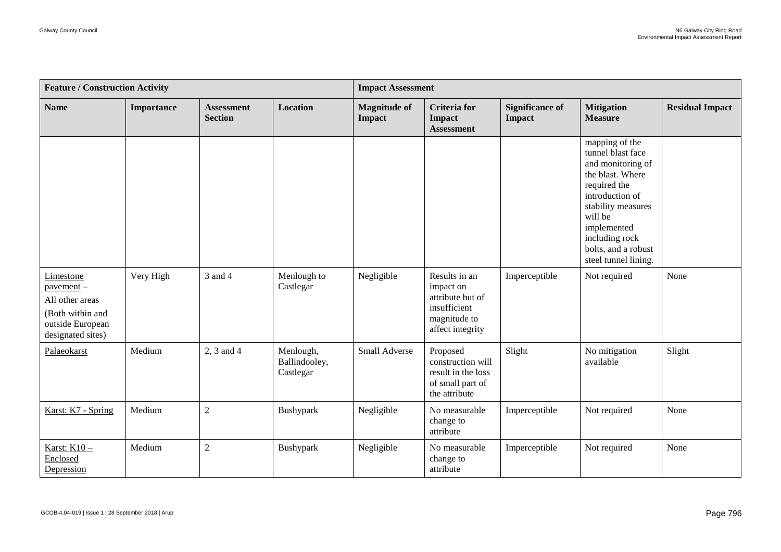| <b>Feature / Construction Activity</b>                                                                       |                   |                                     |                                         | <b>Impact Assessment</b>      |                                                                                                    |                                         |                                                                                                                                                                                                                                  |                        |  |  |
|--------------------------------------------------------------------------------------------------------------|-------------------|-------------------------------------|-----------------------------------------|-------------------------------|----------------------------------------------------------------------------------------------------|-----------------------------------------|----------------------------------------------------------------------------------------------------------------------------------------------------------------------------------------------------------------------------------|------------------------|--|--|
| <b>Name</b>                                                                                                  | <b>Importance</b> | <b>Assessment</b><br><b>Section</b> | <b>Location</b>                         | <b>Magnitude of</b><br>Impact | <b>Criteria</b> for<br>Impact<br><b>Assessment</b>                                                 | <b>Significance of</b><br><b>Impact</b> | <b>Mitigation</b><br><b>Measure</b>                                                                                                                                                                                              | <b>Residual Impact</b> |  |  |
|                                                                                                              |                   |                                     |                                         |                               |                                                                                                    |                                         | mapping of the<br>tunnel blast face<br>and monitoring of<br>the blast. Where<br>required the<br>introduction of<br>stability measures<br>will be<br>implemented<br>including rock<br>bolts, and a robust<br>steel tunnel lining. |                        |  |  |
| Limestone<br>$p$ avement $-$<br>All other areas<br>(Both within and<br>outside European<br>designated sites) | Very High         | 3 and 4                             | Menlough to<br>Castlegar                | Negligible                    | Results in an<br>impact on<br>attribute but of<br>insufficient<br>magnitude to<br>affect integrity | Imperceptible                           | Not required                                                                                                                                                                                                                     | None                   |  |  |
| Palaeokarst                                                                                                  | Medium            | 2, 3 and 4                          | Menlough,<br>Ballindooley,<br>Castlegar | Small Adverse                 | Proposed<br>construction will<br>result in the loss<br>of small part of<br>the attribute           | Slight                                  | No mitigation<br>available                                                                                                                                                                                                       | Slight                 |  |  |
| Karst: K7 - Spring                                                                                           | Medium            | $\overline{2}$                      | Bushypark                               | Negligible                    | No measurable<br>change to<br>attribute                                                            | Imperceptible                           | Not required                                                                                                                                                                                                                     | None                   |  |  |
| Karst: K10 -<br>Enclosed<br>Depression                                                                       | Medium            | $\overline{2}$                      | Bushypark                               | Negligible                    | No measurable<br>change to<br>attribute                                                            | Imperceptible                           | Not required                                                                                                                                                                                                                     | None                   |  |  |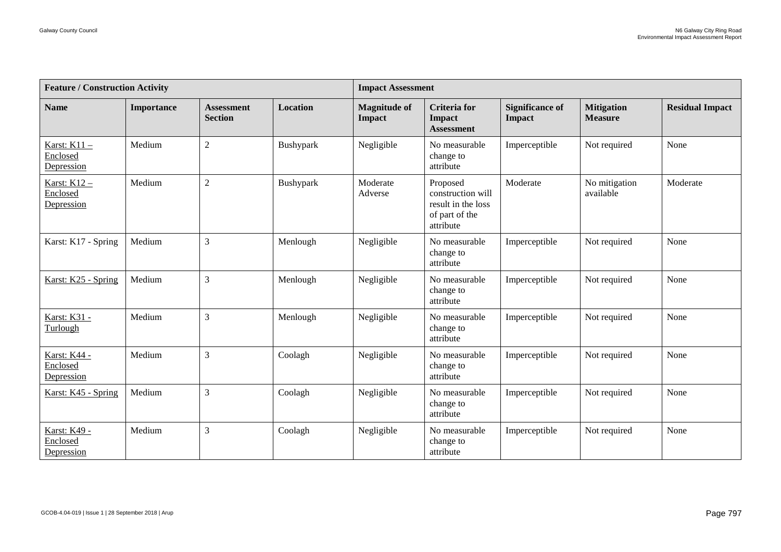<span id="page-68-0"></span>

| <b>Feature / Construction Activity</b>        |            |                                     |           | <b>Impact Assessment</b>             |                                                                                    |                                         |                                     |                        |  |  |
|-----------------------------------------------|------------|-------------------------------------|-----------|--------------------------------------|------------------------------------------------------------------------------------|-----------------------------------------|-------------------------------------|------------------------|--|--|
| <b>Name</b>                                   | Importance | <b>Assessment</b><br><b>Section</b> | Location  | <b>Magnitude of</b><br><b>Impact</b> | <b>Criteria</b> for<br><b>Impact</b><br><b>Assessment</b>                          | <b>Significance of</b><br><b>Impact</b> | <b>Mitigation</b><br><b>Measure</b> | <b>Residual Impact</b> |  |  |
| Karst: K11 -<br>Enclosed<br>Depression        | Medium     | $\sqrt{2}$                          | Bushypark | Negligible                           | No measurable<br>change to<br>attribute                                            | Imperceptible                           | Not required                        | None                   |  |  |
| <b>Karst: K12 -</b><br>Enclosed<br>Depression | Medium     | $\sqrt{2}$                          | Bushypark | Moderate<br>Adverse                  | Proposed<br>construction will<br>result in the loss<br>of part of the<br>attribute | Moderate                                | No mitigation<br>available          | Moderate               |  |  |
| Karst: K17 - Spring                           | Medium     | 3                                   | Menlough  | Negligible                           | No measurable<br>change to<br>attribute                                            | Imperceptible                           | Not required                        | None                   |  |  |
| Karst: K25 - Spring                           | Medium     | $\mathfrak{Z}$                      | Menlough  | Negligible                           | No measurable<br>change to<br>attribute                                            | Imperceptible                           | Not required                        | None                   |  |  |
| <b>Karst: K31 -</b><br>Turlough               | Medium     | $\mathfrak{Z}$                      | Menlough  | Negligible                           | No measurable<br>change to<br>attribute                                            | Imperceptible                           | Not required                        | None                   |  |  |
| Karst: K44 -<br>Enclosed<br>Depression        | Medium     | 3                                   | Coolagh   | Negligible                           | No measurable<br>change to<br>attribute                                            | Imperceptible                           | Not required                        | None                   |  |  |
| Karst: K45 - Spring                           | Medium     | $\mathfrak{Z}$                      | Coolagh   | Negligible                           | No measurable<br>change to<br>attribute                                            | Imperceptible                           | Not required                        | None                   |  |  |
| Karst: K49 -<br>Enclosed<br>Depression        | Medium     | $\mathfrak{Z}$                      | Coolagh   | Negligible                           | No measurable<br>change to<br>attribute                                            | Imperceptible                           | Not required                        | None                   |  |  |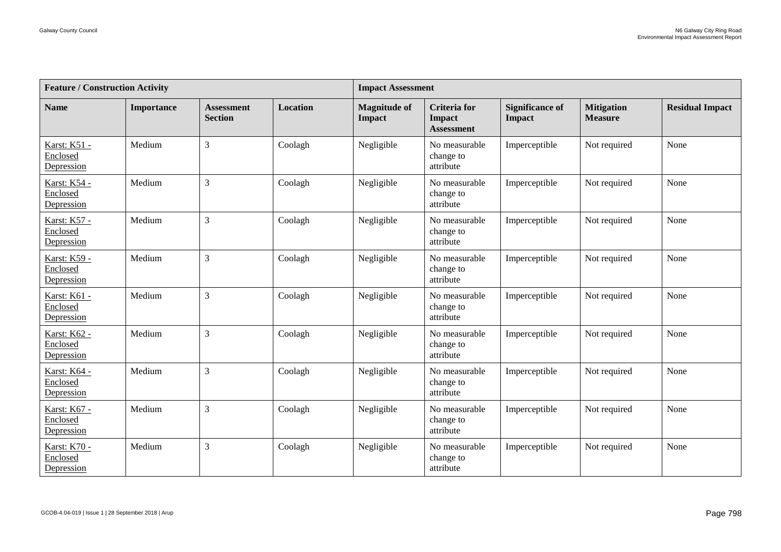| <b>Feature / Construction Activity</b>        |            |                                     |                 |                                      | <b>Impact Assessment</b>                                  |                                         |                                     |                        |  |  |
|-----------------------------------------------|------------|-------------------------------------|-----------------|--------------------------------------|-----------------------------------------------------------|-----------------------------------------|-------------------------------------|------------------------|--|--|
| <b>Name</b>                                   | Importance | <b>Assessment</b><br><b>Section</b> | <b>Location</b> | <b>Magnitude of</b><br><b>Impact</b> | <b>Criteria</b> for<br><b>Impact</b><br><b>Assessment</b> | <b>Significance of</b><br><b>Impact</b> | <b>Mitigation</b><br><b>Measure</b> | <b>Residual Impact</b> |  |  |
| Karst: K51 -<br>Enclosed<br>Depression        | Medium     | $\overline{3}$                      | Coolagh         | Negligible                           | No measurable<br>change to<br>attribute                   | Imperceptible                           | Not required                        | None                   |  |  |
| <b>Karst: K54 -</b><br>Enclosed<br>Depression | Medium     | $\overline{3}$                      | Coolagh         | Negligible                           | No measurable<br>change to<br>attribute                   | Imperceptible                           | Not required                        | None                   |  |  |
| Karst: K57 -<br>Enclosed<br>Depression        | Medium     | $\overline{3}$                      | Coolagh         | Negligible                           | No measurable<br>change to<br>attribute                   | Imperceptible                           | Not required                        | None                   |  |  |
| <b>Karst: K59 -</b><br>Enclosed<br>Depression | Medium     | $\overline{3}$                      | Coolagh         | Negligible                           | No measurable<br>change to<br>attribute                   | Imperceptible                           | Not required                        | None                   |  |  |
| Karst: K61 -<br>Enclosed<br>Depression        | Medium     | $\overline{3}$                      | Coolagh         | Negligible                           | No measurable<br>change to<br>attribute                   | Imperceptible                           | Not required                        | None                   |  |  |
| Karst: K62 -<br>Enclosed<br>Depression        | Medium     | $\overline{3}$                      | Coolagh         | Negligible                           | No measurable<br>change to<br>attribute                   | Imperceptible                           | Not required                        | None                   |  |  |
| Karst: K64 -<br>Enclosed<br>Depression        | Medium     | 3                                   | Coolagh         | Negligible                           | No measurable<br>change to<br>attribute                   | Imperceptible                           | Not required                        | None                   |  |  |
| <b>Karst: K67 -</b><br>Enclosed<br>Depression | Medium     | 3                                   | Coolagh         | Negligible                           | No measurable<br>change to<br>attribute                   | Imperceptible                           | Not required                        | None                   |  |  |
| Karst: K70 -<br>Enclosed<br>Depression        | Medium     | $\overline{3}$                      | Coolagh         | Negligible                           | No measurable<br>change to<br>attribute                   | Imperceptible                           | Not required                        | None                   |  |  |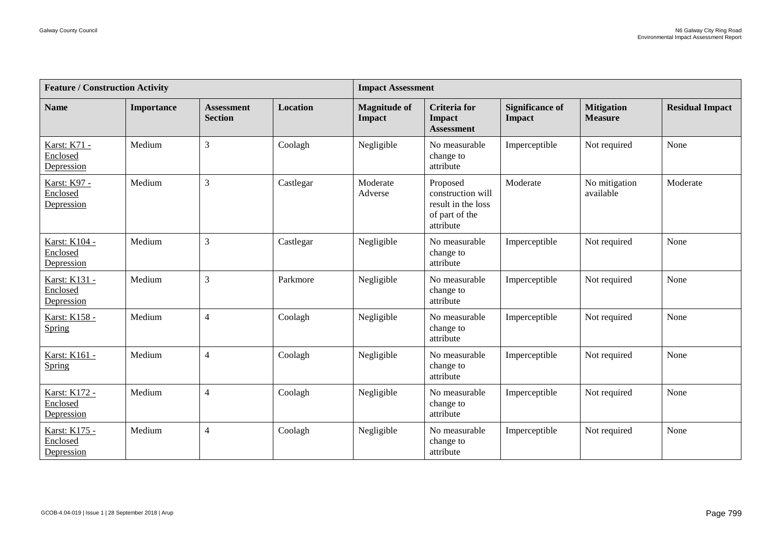| <b>Feature / Construction Activity</b>        |            |                                     |           | <b>Impact Assessment</b>             |                                                                                    |                                         |                                     |                        |  |
|-----------------------------------------------|------------|-------------------------------------|-----------|--------------------------------------|------------------------------------------------------------------------------------|-----------------------------------------|-------------------------------------|------------------------|--|
| <b>Name</b>                                   | Importance | <b>Assessment</b><br><b>Section</b> | Location  | <b>Magnitude of</b><br><b>Impact</b> | <b>Criteria</b> for<br>Impact<br><b>Assessment</b>                                 | <b>Significance of</b><br><b>Impact</b> | <b>Mitigation</b><br><b>Measure</b> | <b>Residual Impact</b> |  |
| Karst: K71 -<br>Enclosed<br>Depression        | Medium     | 3                                   | Coolagh   | Negligible                           | No measurable<br>change to<br>attribute                                            | Imperceptible                           | Not required                        | None                   |  |
| <b>Karst: K97 -</b><br>Enclosed<br>Depression | Medium     | 3                                   | Castlegar | Moderate<br>Adverse                  | Proposed<br>construction will<br>result in the loss<br>of part of the<br>attribute | Moderate                                | No mitigation<br>available          | Moderate               |  |
| Karst: K104 -<br>Enclosed<br>Depression       | Medium     | 3                                   | Castlegar | Negligible                           | No measurable<br>change to<br>attribute                                            | Imperceptible                           | Not required                        | None                   |  |
| Karst: K131 -<br>Enclosed<br>Depression       | Medium     | 3                                   | Parkmore  | Negligible                           | No measurable<br>change to<br>attribute                                            | Imperceptible                           | Not required                        | None                   |  |
| <b>Karst: K158 -</b><br>Spring                | Medium     | 4                                   | Coolagh   | Negligible                           | No measurable<br>change to<br>attribute                                            | Imperceptible                           | Not required                        | None                   |  |
| Karst: K161 -<br>Spring                       | Medium     | $\overline{4}$                      | Coolagh   | Negligible                           | No measurable<br>change to<br>attribute                                            | Imperceptible                           | Not required                        | None                   |  |
| Karst: K172 -<br>Enclosed<br>Depression       | Medium     | $\overline{4}$                      | Coolagh   | Negligible                           | No measurable<br>change to<br>attribute                                            | Imperceptible                           | Not required                        | None                   |  |
| Karst: K175 -<br>Enclosed<br>Depression       | Medium     | 4                                   | Coolagh   | Negligible                           | No measurable<br>change to<br>attribute                                            | Imperceptible                           | Not required                        | None                   |  |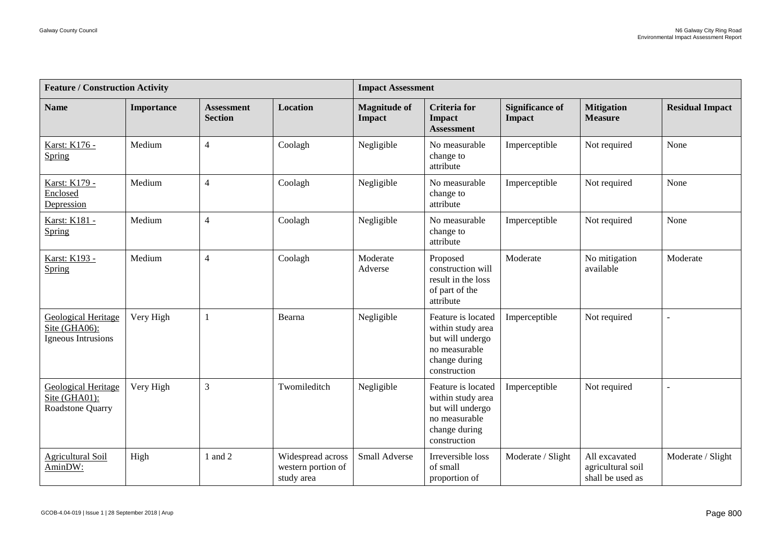| <b>Feature / Construction Activity</b>                            |            |                                     |                                                       | <b>Impact Assessment</b>             |                                                                                                               |                                  |                                                        |                        |  |
|-------------------------------------------------------------------|------------|-------------------------------------|-------------------------------------------------------|--------------------------------------|---------------------------------------------------------------------------------------------------------------|----------------------------------|--------------------------------------------------------|------------------------|--|
| <b>Name</b>                                                       | Importance | <b>Assessment</b><br><b>Section</b> | <b>Location</b>                                       | <b>Magnitude of</b><br><b>Impact</b> | <b>Criteria</b> for<br>Impact<br><b>Assessment</b>                                                            | <b>Significance of</b><br>Impact | <b>Mitigation</b><br><b>Measure</b>                    | <b>Residual Impact</b> |  |
| Karst: K176 -<br>Spring                                           | Medium     | $\overline{4}$                      | Coolagh                                               | Negligible                           | No measurable<br>change to<br>attribute                                                                       | Imperceptible                    | Not required                                           | None                   |  |
| Karst: K179 -<br>Enclosed<br>Depression                           | Medium     | $\overline{4}$                      | Coolagh                                               | Negligible                           | No measurable<br>change to<br>attribute                                                                       | Imperceptible                    | Not required                                           | None                   |  |
| Karst: K181 -<br>Spring                                           | Medium     | $\overline{4}$                      | Coolagh                                               | Negligible                           | No measurable<br>change to<br>attribute                                                                       | Imperceptible                    | Not required                                           | None                   |  |
| Karst: K193 -<br>Spring                                           | Medium     | $\overline{4}$                      | Coolagh                                               | Moderate<br>Adverse                  | Proposed<br>construction will<br>result in the loss<br>of part of the<br>attribute                            | Moderate                         | No mitigation<br>available                             | Moderate               |  |
| <b>Geological Heritage</b><br>Site (GHA06):<br>Igneous Intrusions | Very High  | $\mathbf{1}$                        | Bearna                                                | Negligible                           | Feature is located<br>within study area<br>but will undergo<br>no measurable<br>change during<br>construction | Imperceptible                    | Not required                                           | $\overline{a}$         |  |
| Geological Heritage<br>Site (GHA01):<br>Roadstone Quarry          | Very High  | 3                                   | Twomileditch                                          | Negligible                           | Feature is located<br>within study area<br>but will undergo<br>no measurable<br>change during<br>construction | Imperceptible                    | Not required                                           |                        |  |
| <b>Agricultural Soil</b><br>AminDW:                               | High       | 1 and 2                             | Widespread across<br>western portion of<br>study area | Small Adverse                        | Irreversible loss<br>of small<br>proportion of                                                                | Moderate / Slight                | All excavated<br>agricultural soil<br>shall be used as | Moderate / Slight      |  |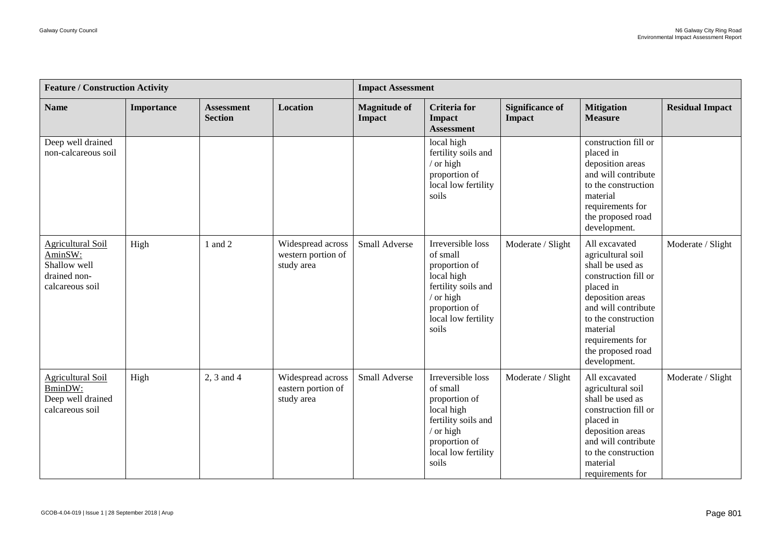| <b>Feature / Construction Activity</b>                                          |            |                                     |                                                       | <b>Impact Assessment</b>      |                                                                                                                                                     |                                         |                                                                                                                                                                                                                                    |                        |  |
|---------------------------------------------------------------------------------|------------|-------------------------------------|-------------------------------------------------------|-------------------------------|-----------------------------------------------------------------------------------------------------------------------------------------------------|-----------------------------------------|------------------------------------------------------------------------------------------------------------------------------------------------------------------------------------------------------------------------------------|------------------------|--|
| <b>Name</b>                                                                     | Importance | <b>Assessment</b><br><b>Section</b> | <b>Location</b>                                       | <b>Magnitude of</b><br>Impact | <b>Criteria</b> for<br>Impact<br><b>Assessment</b>                                                                                                  | <b>Significance of</b><br><b>Impact</b> | <b>Mitigation</b><br><b>Measure</b>                                                                                                                                                                                                | <b>Residual Impact</b> |  |
| Deep well drained<br>non-calcareous soil                                        |            |                                     |                                                       |                               | local high<br>fertility soils and<br>$/$ or high<br>proportion of<br>local low fertility<br>soils                                                   |                                         | construction fill or<br>placed in<br>deposition areas<br>and will contribute<br>to the construction<br>material<br>requirements for<br>the proposed road<br>development.                                                           |                        |  |
| Agricultural Soil<br>AminSW:<br>Shallow well<br>drained non-<br>calcareous soil | High       | 1 and 2                             | Widespread across<br>western portion of<br>study area | Small Adverse                 | Irreversible loss<br>of small<br>proportion of<br>local high<br>fertility soils and<br>$/$ or high<br>proportion of<br>local low fertility<br>soils | Moderate / Slight                       | All excavated<br>agricultural soil<br>shall be used as<br>construction fill or<br>placed in<br>deposition areas<br>and will contribute<br>to the construction<br>material<br>requirements for<br>the proposed road<br>development. | Moderate / Slight      |  |
| <b>Agricultural Soil</b><br>BminDW:<br>Deep well drained<br>calcareous soil     | High       | 2, 3 and 4                          | Widespread across<br>eastern portion of<br>study area | Small Adverse                 | Irreversible loss<br>of small<br>proportion of<br>local high<br>fertility soils and<br>/ or high<br>proportion of<br>local low fertility<br>soils   | Moderate / Slight                       | All excavated<br>agricultural soil<br>shall be used as<br>construction fill or<br>placed in<br>deposition areas<br>and will contribute<br>to the construction<br>material<br>requirements for                                      | Moderate / Slight      |  |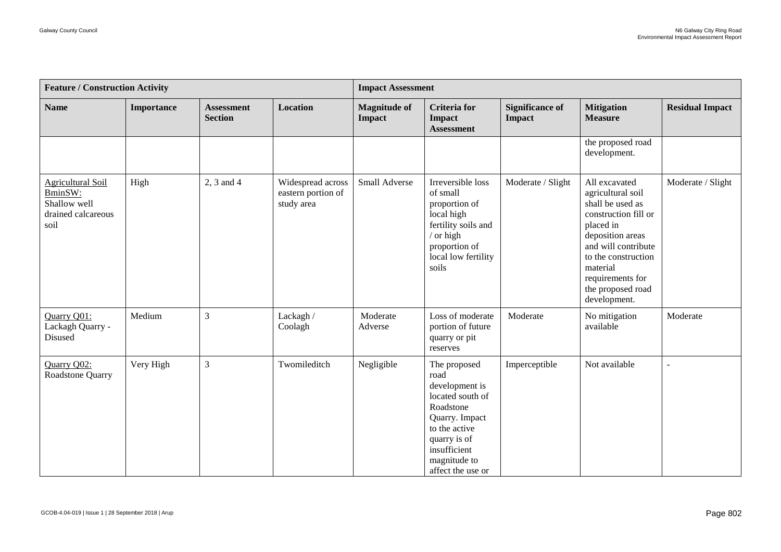| <b>Feature / Construction Activity</b>                                            |            |                                     |                                                       | <b>Impact Assessment</b>      |                                                                                                                                                                                 |                                  |                                                                                                                                                                                                                                    |                        |  |
|-----------------------------------------------------------------------------------|------------|-------------------------------------|-------------------------------------------------------|-------------------------------|---------------------------------------------------------------------------------------------------------------------------------------------------------------------------------|----------------------------------|------------------------------------------------------------------------------------------------------------------------------------------------------------------------------------------------------------------------------------|------------------------|--|
| <b>Name</b>                                                                       | Importance | <b>Assessment</b><br><b>Section</b> | Location                                              | <b>Magnitude of</b><br>Impact | <b>Criteria</b> for<br>Impact<br><b>Assessment</b>                                                                                                                              | <b>Significance of</b><br>Impact | <b>Mitigation</b><br><b>Measure</b>                                                                                                                                                                                                | <b>Residual Impact</b> |  |
|                                                                                   |            |                                     |                                                       |                               |                                                                                                                                                                                 |                                  | the proposed road<br>development.                                                                                                                                                                                                  |                        |  |
| <b>Agricultural Soil</b><br>BminSW:<br>Shallow well<br>drained calcareous<br>soil | High       | 2, 3 and 4                          | Widespread across<br>eastern portion of<br>study area | Small Adverse                 | Irreversible loss<br>of small<br>proportion of<br>local high<br>fertility soils and<br>/ or high<br>proportion of<br>local low fertility<br>soils                               | Moderate / Slight                | All excavated<br>agricultural soil<br>shall be used as<br>construction fill or<br>placed in<br>deposition areas<br>and will contribute<br>to the construction<br>material<br>requirements for<br>the proposed road<br>development. | Moderate / Slight      |  |
| Quarry Q01:<br>Lackagh Quarry -<br>Disused                                        | Medium     | $\overline{3}$                      | Lackagh /<br>Coolagh                                  | Moderate<br>Adverse           | Loss of moderate<br>portion of future<br>quarry or pit<br>reserves                                                                                                              | Moderate                         | No mitigation<br>available                                                                                                                                                                                                         | Moderate               |  |
| Quarry Q02:<br>Roadstone Quarry                                                   | Very High  | $\ensuremath{\mathfrak{Z}}$         | Twomileditch                                          | Negligible                    | The proposed<br>road<br>development is<br>located south of<br>Roadstone<br>Quarry. Impact<br>to the active<br>quarry is of<br>insufficient<br>magnitude to<br>affect the use or | Imperceptible                    | Not available                                                                                                                                                                                                                      | $\overline{a}$         |  |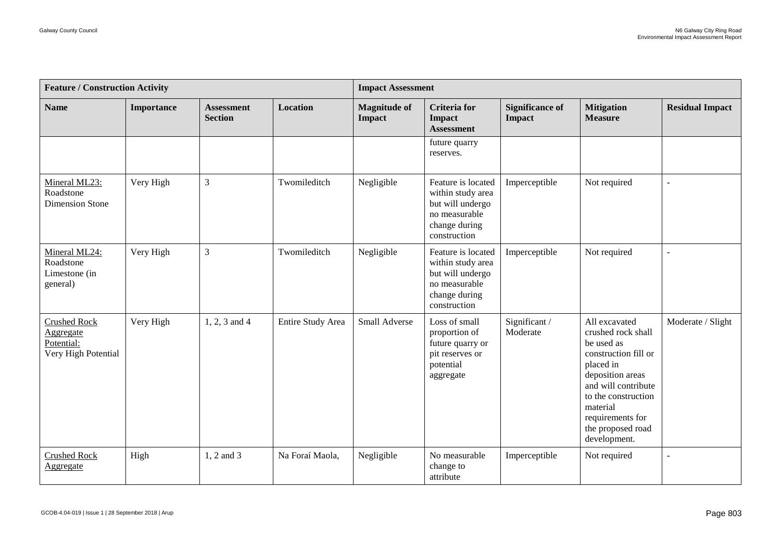| <b>Feature / Construction Activity</b>                                |                   |                                     |                   | <b>Impact Assessment</b>             |                                                                                                               |                                         |                                                                                                                                                                                                                               |                        |  |
|-----------------------------------------------------------------------|-------------------|-------------------------------------|-------------------|--------------------------------------|---------------------------------------------------------------------------------------------------------------|-----------------------------------------|-------------------------------------------------------------------------------------------------------------------------------------------------------------------------------------------------------------------------------|------------------------|--|
| <b>Name</b>                                                           | <b>Importance</b> | <b>Assessment</b><br><b>Section</b> | <b>Location</b>   | <b>Magnitude of</b><br><b>Impact</b> | <b>Criteria</b> for<br><b>Impact</b><br><b>Assessment</b>                                                     | <b>Significance of</b><br><b>Impact</b> | <b>Mitigation</b><br><b>Measure</b>                                                                                                                                                                                           | <b>Residual Impact</b> |  |
|                                                                       |                   |                                     |                   |                                      | future quarry<br>reserves.                                                                                    |                                         |                                                                                                                                                                                                                               |                        |  |
| Mineral ML23:<br>Roadstone<br><b>Dimension Stone</b>                  | Very High         | $\overline{3}$                      | Twomileditch      | Negligible                           | Feature is located<br>within study area<br>but will undergo<br>no measurable<br>change during<br>construction | Imperceptible                           | Not required                                                                                                                                                                                                                  |                        |  |
| Mineral ML24:<br>Roadstone<br>Limestone (in<br>general)               | Very High         | $\overline{3}$                      | Twomileditch      | Negligible                           | Feature is located<br>within study area<br>but will undergo<br>no measurable<br>change during<br>construction | Imperceptible                           | Not required                                                                                                                                                                                                                  |                        |  |
| <b>Crushed Rock</b><br>Aggregate<br>Potential:<br>Very High Potential | Very High         | 1, 2, 3 and 4                       | Entire Study Area | Small Adverse                        | Loss of small<br>proportion of<br>future quarry or<br>pit reserves or<br>potential<br>aggregate               | Significant/<br>Moderate                | All excavated<br>crushed rock shall<br>be used as<br>construction fill or<br>placed in<br>deposition areas<br>and will contribute<br>to the construction<br>material<br>requirements for<br>the proposed road<br>development. | Moderate / Slight      |  |
| <b>Crushed Rock</b><br><b>Aggregate</b>                               | High              | 1, 2 and 3                          | Na Foraí Maola,   | Negligible                           | No measurable<br>change to<br>attribute                                                                       | Imperceptible                           | Not required                                                                                                                                                                                                                  |                        |  |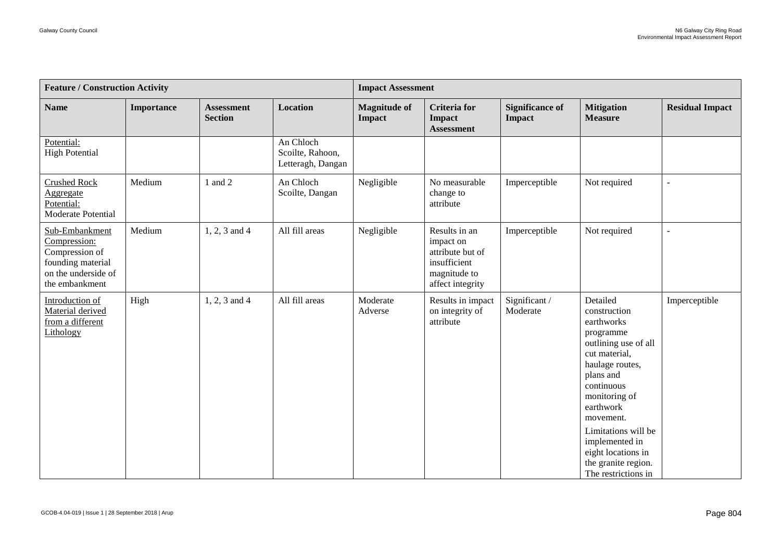| <b>Feature / Construction Activity</b>                                                                         |            |                                     |                                                    | <b>Impact Assessment</b>      |                                                                                                    |                                         |                                                                                                                                                                                                                                                                                                    |                        |  |
|----------------------------------------------------------------------------------------------------------------|------------|-------------------------------------|----------------------------------------------------|-------------------------------|----------------------------------------------------------------------------------------------------|-----------------------------------------|----------------------------------------------------------------------------------------------------------------------------------------------------------------------------------------------------------------------------------------------------------------------------------------------------|------------------------|--|
| <b>Name</b>                                                                                                    | Importance | <b>Assessment</b><br><b>Section</b> | <b>Location</b>                                    | <b>Magnitude of</b><br>Impact | <b>Criteria</b> for<br>Impact<br><b>Assessment</b>                                                 | <b>Significance of</b><br><b>Impact</b> | <b>Mitigation</b><br><b>Measure</b>                                                                                                                                                                                                                                                                | <b>Residual Impact</b> |  |
| Potential:<br><b>High Potential</b>                                                                            |            |                                     | An Chloch<br>Scoilte, Rahoon,<br>Letteragh, Dangan |                               |                                                                                                    |                                         |                                                                                                                                                                                                                                                                                                    |                        |  |
| <b>Crushed Rock</b><br>Aggregate<br>Potential:<br>Moderate Potential                                           | Medium     | 1 and 2                             | An Chloch<br>Scoilte, Dangan                       | Negligible                    | No measurable<br>change to<br>attribute                                                            | Imperceptible                           | Not required                                                                                                                                                                                                                                                                                       |                        |  |
| Sub-Embankment<br>Compression:<br>Compression of<br>founding material<br>on the underside of<br>the embankment | Medium     | $1, 2, 3$ and 4                     | All fill areas                                     | Negligible                    | Results in an<br>impact on<br>attribute but of<br>insufficient<br>magnitude to<br>affect integrity | Imperceptible                           | Not required                                                                                                                                                                                                                                                                                       |                        |  |
| Introduction of<br>Material derived<br>from a different<br>Lithology                                           | High       | 1, 2, 3 and 4                       | All fill areas                                     | Moderate<br>Adverse           | Results in impact<br>on integrity of<br>attribute                                                  | Significant/<br>Moderate                | Detailed<br>construction<br>earthworks<br>programme<br>outlining use of all<br>cut material,<br>haulage routes,<br>plans and<br>continuous<br>monitoring of<br>earthwork<br>movement.<br>Limitations will be<br>implemented in<br>eight locations in<br>the granite region.<br>The restrictions in | Imperceptible          |  |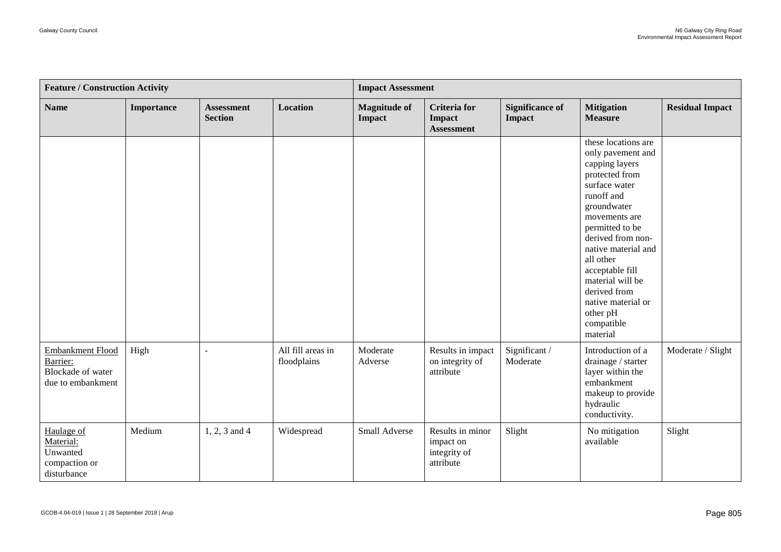| <b>Feature / Construction Activity</b>                                               |            |                                     |                                  | <b>Impact Assessment</b>      |                                                            |                                  |                                                                                                                                                                                                                                                                                                                                            |                        |
|--------------------------------------------------------------------------------------|------------|-------------------------------------|----------------------------------|-------------------------------|------------------------------------------------------------|----------------------------------|--------------------------------------------------------------------------------------------------------------------------------------------------------------------------------------------------------------------------------------------------------------------------------------------------------------------------------------------|------------------------|
| <b>Name</b>                                                                          | Importance | <b>Assessment</b><br><b>Section</b> | <b>Location</b>                  | <b>Magnitude of</b><br>Impact | <b>Criteria</b> for<br><b>Impact</b><br><b>Assessment</b>  | <b>Significance of</b><br>Impact | <b>Mitigation</b><br><b>Measure</b>                                                                                                                                                                                                                                                                                                        | <b>Residual Impact</b> |
|                                                                                      |            |                                     |                                  |                               |                                                            |                                  | these locations are<br>only pavement and<br>capping layers<br>protected from<br>surface water<br>runoff and<br>groundwater<br>movements are<br>permitted to be<br>derived from non-<br>native material and<br>all other<br>acceptable fill<br>material will be<br>derived from<br>native material or<br>other pH<br>compatible<br>material |                        |
| <b>Embankment Flood</b><br>Barrier:<br><b>Blockade of water</b><br>due to embankment | High       | $\sim$                              | All fill areas in<br>floodplains | Moderate<br>Adverse           | Results in impact<br>on integrity of<br>attribute          | Significant /<br>Moderate        | Introduction of a<br>drainage / starter<br>layer within the<br>embankment<br>makeup to provide<br>hydraulic<br>conductivity.                                                                                                                                                                                                               | Moderate / Slight      |
| Haulage of<br>Material:<br>Unwanted<br>compaction or<br>disturbance                  | Medium     | $1, 2, 3$ and $4$                   | Widespread                       | Small Adverse                 | Results in minor<br>impact on<br>integrity of<br>attribute | Slight                           | No mitigation<br>available                                                                                                                                                                                                                                                                                                                 | Slight                 |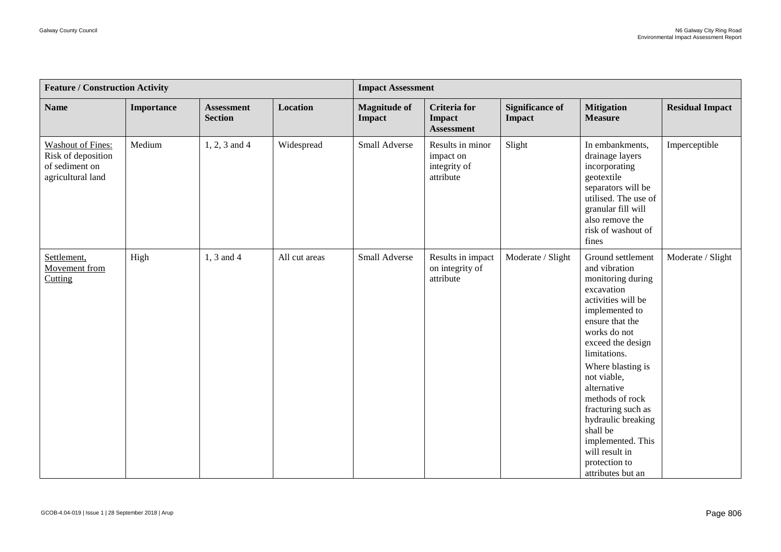| <b>Feature / Construction Activity</b>                                                |            |                                     |                 | <b>Impact Assessment</b>      |                                                            |                                  |                                                                                                                                                                                                                                                                                                                                                                                                  |                        |  |
|---------------------------------------------------------------------------------------|------------|-------------------------------------|-----------------|-------------------------------|------------------------------------------------------------|----------------------------------|--------------------------------------------------------------------------------------------------------------------------------------------------------------------------------------------------------------------------------------------------------------------------------------------------------------------------------------------------------------------------------------------------|------------------------|--|
| <b>Name</b>                                                                           | Importance | <b>Assessment</b><br><b>Section</b> | <b>Location</b> | <b>Magnitude of</b><br>Impact | <b>Criteria</b> for<br>Impact<br><b>Assessment</b>         | <b>Significance of</b><br>Impact | <b>Mitigation</b><br><b>Measure</b>                                                                                                                                                                                                                                                                                                                                                              | <b>Residual Impact</b> |  |
| <b>Washout of Fines:</b><br>Risk of deposition<br>of sediment on<br>agricultural land | Medium     | $1, 2, 3$ and 4                     | Widespread      | Small Adverse                 | Results in minor<br>impact on<br>integrity of<br>attribute | Slight                           | In embankments,<br>drainage layers<br>incorporating<br>geotextile<br>separators will be<br>utilised. The use of<br>granular fill will<br>also remove the<br>risk of washout of<br>fines                                                                                                                                                                                                          | Imperceptible          |  |
| Settlement,<br>Movement from<br>Cutting                                               | High       | 1, 3 and 4                          | All cut areas   | Small Adverse                 | Results in impact<br>on integrity of<br>attribute          | Moderate / Slight                | Ground settlement<br>and vibration<br>monitoring during<br>excavation<br>activities will be<br>implemented to<br>ensure that the<br>works do not<br>exceed the design<br>limitations.<br>Where blasting is<br>not viable,<br>alternative<br>methods of rock<br>fracturing such as<br>hydraulic breaking<br>shall be<br>implemented. This<br>will result in<br>protection to<br>attributes but an | Moderate / Slight      |  |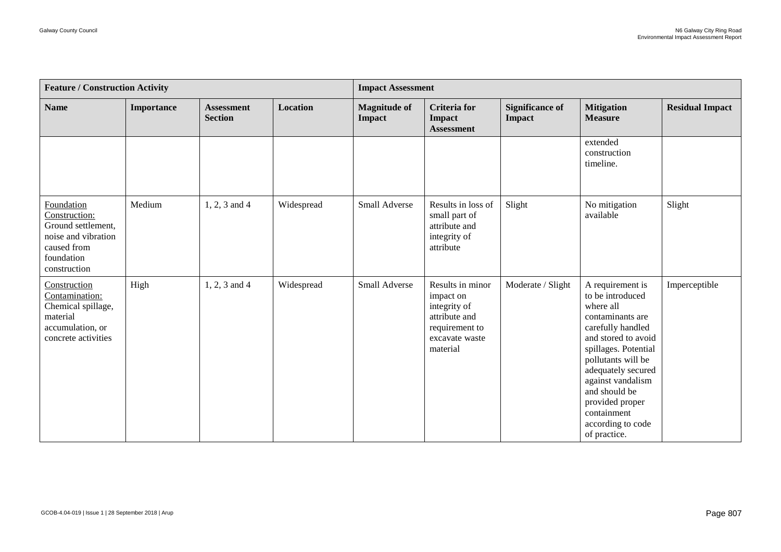| <b>Feature / Construction Activity</b>                                                                                |            |                                     |                 | <b>Impact Assessment</b>      |                                                                                                                |                                         |                                                                                                                                                                                                                                                                                                    |                        |
|-----------------------------------------------------------------------------------------------------------------------|------------|-------------------------------------|-----------------|-------------------------------|----------------------------------------------------------------------------------------------------------------|-----------------------------------------|----------------------------------------------------------------------------------------------------------------------------------------------------------------------------------------------------------------------------------------------------------------------------------------------------|------------------------|
| <b>Name</b>                                                                                                           | Importance | <b>Assessment</b><br><b>Section</b> | <b>Location</b> | <b>Magnitude of</b><br>Impact | <b>Criteria</b> for<br><b>Impact</b><br><b>Assessment</b>                                                      | <b>Significance of</b><br><b>Impact</b> | <b>Mitigation</b><br><b>Measure</b>                                                                                                                                                                                                                                                                | <b>Residual Impact</b> |
|                                                                                                                       |            |                                     |                 |                               |                                                                                                                |                                         | extended<br>construction<br>timeline.                                                                                                                                                                                                                                                              |                        |
| Foundation<br>Construction:<br>Ground settlement,<br>noise and vibration<br>caused from<br>foundation<br>construction | Medium     | $1, 2, 3$ and 4                     | Widespread      | Small Adverse                 | Results in loss of<br>small part of<br>attribute and<br>integrity of<br>attribute                              | Slight                                  | No mitigation<br>available                                                                                                                                                                                                                                                                         | Slight                 |
| Construction<br>Contamination:<br>Chemical spillage,<br>material<br>accumulation, or<br>concrete activities           | High       | 1, 2, 3 and 4                       | Widespread      | Small Adverse                 | Results in minor<br>impact on<br>integrity of<br>attribute and<br>requirement to<br>excavate waste<br>material | Moderate / Slight                       | A requirement is<br>to be introduced<br>where all<br>contaminants are<br>carefully handled<br>and stored to avoid<br>spillages. Potential<br>pollutants will be<br>adequately secured<br>against vandalism<br>and should be<br>provided proper<br>containment<br>according to code<br>of practice. | Imperceptible          |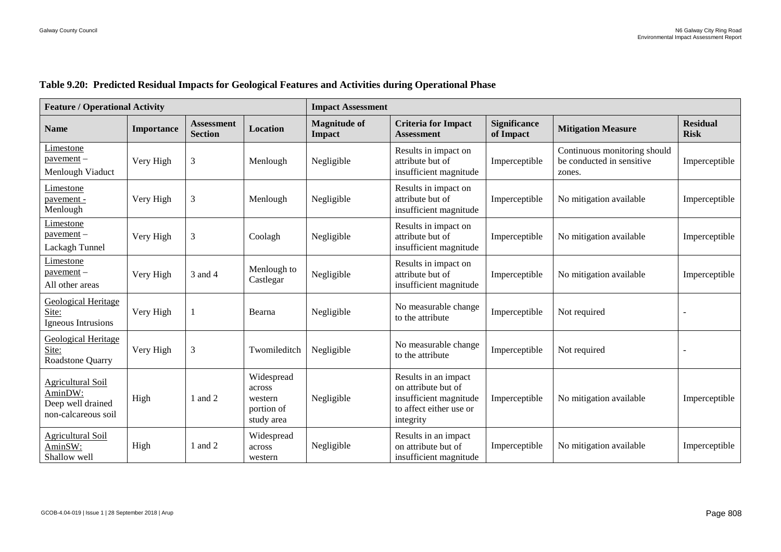| <b>Feature / Operational Activity</b>                                           |                   |                                     |                                                             | <b>Impact Assessment</b>             |                                                                                                               |                                  |                                                                     |                                |
|---------------------------------------------------------------------------------|-------------------|-------------------------------------|-------------------------------------------------------------|--------------------------------------|---------------------------------------------------------------------------------------------------------------|----------------------------------|---------------------------------------------------------------------|--------------------------------|
| <b>Name</b>                                                                     | <b>Importance</b> | <b>Assessment</b><br><b>Section</b> | Location                                                    | <b>Magnitude of</b><br><b>Impact</b> | <b>Criteria for Impact</b><br><b>Assessment</b>                                                               | <b>Significance</b><br>of Impact | <b>Mitigation Measure</b>                                           | <b>Residual</b><br><b>Risk</b> |
| <u>Limestone</u><br>$powerment -$<br>Menlough Viaduct                           | Very High         | 3                                   | Menlough                                                    | Negligible                           | Results in impact on<br>attribute but of<br>insufficient magnitude                                            | Imperceptible                    | Continuous monitoring should<br>be conducted in sensitive<br>zones. | Imperceptible                  |
| Limestone<br>pavement -<br>Menlough                                             | Very High         | 3                                   | Menlough                                                    | Negligible                           | Results in impact on<br>attribute but of<br>insufficient magnitude                                            | Imperceptible                    | No mitigation available                                             | Imperceptible                  |
| Limestone<br>$powerment -$<br>Lackagh Tunnel                                    | Very High         | 3                                   | Coolagh                                                     | Negligible                           | Results in impact on<br>attribute but of<br>insufficient magnitude                                            | Imperceptible                    | No mitigation available                                             | Imperceptible                  |
| Limestone<br>$p$ avement $-$<br>All other areas                                 | Very High         | 3 and 4                             | Menlough to<br>Castlegar                                    | Negligible                           | Results in impact on<br>attribute but of<br>insufficient magnitude                                            | Imperceptible                    | No mitigation available                                             | Imperceptible                  |
| <b>Geological Heritage</b><br>Site:<br>Igneous Intrusions                       | Very High         |                                     | Bearna                                                      | Negligible                           | No measurable change<br>to the attribute                                                                      | Imperceptible                    | Not required                                                        |                                |
| <b>Geological Heritage</b><br>Site:<br>Roadstone Quarry                         | Very High         | 3                                   | Twomileditch                                                | Negligible                           | No measurable change<br>to the attribute                                                                      | Imperceptible                    | Not required                                                        |                                |
| <b>Agricultural Soil</b><br>AminDW:<br>Deep well drained<br>non-calcareous soil | High              | 1 and 2                             | Widespread<br>across<br>western<br>portion of<br>study area | Negligible                           | Results in an impact<br>on attribute but of<br>insufficient magnitude<br>to affect either use or<br>integrity | Imperceptible                    | No mitigation available                                             | Imperceptible                  |
| <b>Agricultural Soil</b><br>AminSW:<br>Shallow well                             | High              | 1 and 2                             | Widespread<br>across<br>western                             | Negligible                           | Results in an impact<br>on attribute but of<br>insufficient magnitude                                         | Imperceptible                    | No mitigation available                                             | Imperceptible                  |

#### **Table 9.20: Predicted Residual Impacts for Geological Features and Activities during Operational Phase**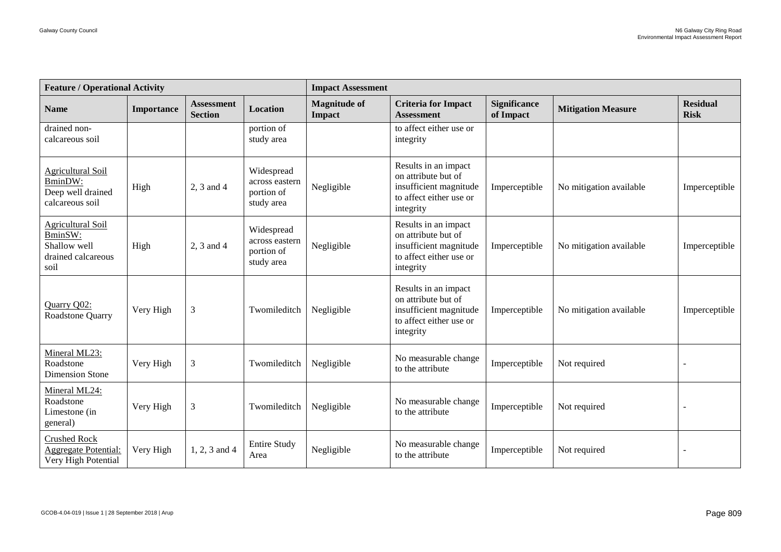| <b>Feature / Operational Activity</b>                                             |            |                                     |                                                          | <b>Impact Assessment</b>             |                                                                                                               |                                  |                           |                                |  |  |
|-----------------------------------------------------------------------------------|------------|-------------------------------------|----------------------------------------------------------|--------------------------------------|---------------------------------------------------------------------------------------------------------------|----------------------------------|---------------------------|--------------------------------|--|--|
| <b>Name</b>                                                                       | Importance | <b>Assessment</b><br><b>Section</b> | <b>Location</b>                                          | <b>Magnitude of</b><br><b>Impact</b> | <b>Criteria for Impact</b><br><b>Assessment</b>                                                               | <b>Significance</b><br>of Impact | <b>Mitigation Measure</b> | <b>Residual</b><br><b>Risk</b> |  |  |
| drained non-<br>calcareous soil                                                   |            |                                     | portion of<br>study area                                 |                                      | to affect either use or<br>integrity                                                                          |                                  |                           |                                |  |  |
| <b>Agricultural Soil</b><br>BminDW:<br>Deep well drained<br>calcareous soil       | High       | 2, 3 and 4                          | Widespread<br>across eastern<br>portion of<br>study area | Negligible                           | Results in an impact<br>on attribute but of<br>insufficient magnitude<br>to affect either use or<br>integrity | Imperceptible                    | No mitigation available   | Imperceptible                  |  |  |
| <b>Agricultural Soil</b><br>BminSW:<br>Shallow well<br>drained calcareous<br>soil | High       | 2, 3 and 4                          | Widespread<br>across eastern<br>portion of<br>study area | Negligible                           | Results in an impact<br>on attribute but of<br>insufficient magnitude<br>to affect either use or<br>integrity | Imperceptible                    | No mitigation available   | Imperceptible                  |  |  |
| Quarry Q02:<br>Roadstone Quarry                                                   | Very High  | $\mathfrak{Z}$                      | Twomileditch                                             | Negligible                           | Results in an impact<br>on attribute but of<br>insufficient magnitude<br>to affect either use or<br>integrity | Imperceptible                    | No mitigation available   | Imperceptible                  |  |  |
| Mineral ML23:<br>Roadstone<br><b>Dimension Stone</b>                              | Very High  | $\mathfrak{Z}$                      | Twomileditch                                             | Negligible                           | No measurable change<br>to the attribute                                                                      | Imperceptible                    | Not required              |                                |  |  |
| Mineral ML24:<br>Roadstone<br>Limestone (in<br>general)                           | Very High  | $\mathfrak{Z}$                      | Twomileditch                                             | Negligible                           | No measurable change<br>to the attribute                                                                      | Imperceptible                    | Not required              |                                |  |  |
| <b>Crushed Rock</b><br><b>Aggregate Potential:</b><br>Very High Potential         | Very High  | $1, 2, 3$ and 4                     | <b>Entire Study</b><br>Area                              | Negligible                           | No measurable change<br>to the attribute                                                                      | Imperceptible                    | Not required              |                                |  |  |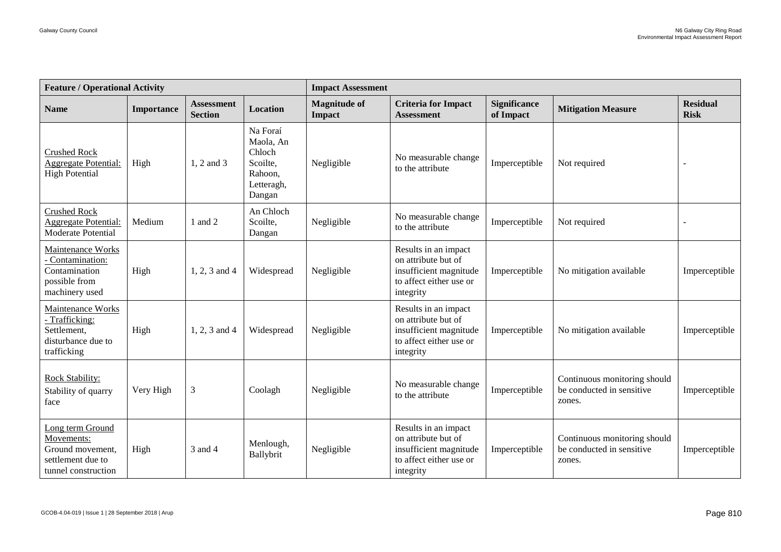| <b>Feature / Operational Activity</b>                                                          |            |                                     |                                                                                | <b>Impact Assessment</b>             |                                                                                                               |                                  |                                                                     |                                |  |  |
|------------------------------------------------------------------------------------------------|------------|-------------------------------------|--------------------------------------------------------------------------------|--------------------------------------|---------------------------------------------------------------------------------------------------------------|----------------------------------|---------------------------------------------------------------------|--------------------------------|--|--|
| <b>Name</b>                                                                                    | Importance | <b>Assessment</b><br><b>Section</b> | <b>Location</b>                                                                | <b>Magnitude of</b><br><b>Impact</b> | <b>Criteria for Impact</b><br><b>Assessment</b>                                                               | <b>Significance</b><br>of Impact | <b>Mitigation Measure</b>                                           | <b>Residual</b><br><b>Risk</b> |  |  |
| <b>Crushed Rock</b><br><b>Aggregate Potential:</b><br><b>High Potential</b>                    | High       | 1, 2 and 3                          | Na Foraí<br>Maola, An<br>Chloch<br>Scoilte,<br>Rahoon.<br>Letteragh,<br>Dangan | Negligible                           | No measurable change<br>to the attribute                                                                      | Imperceptible                    | Not required                                                        |                                |  |  |
| <b>Crushed Rock</b><br><b>Aggregate Potential:</b><br>Moderate Potential                       | Medium     | 1 and 2                             | An Chloch<br>Scoilte,<br>Dangan                                                | Negligible                           | No measurable change<br>to the attribute                                                                      | Imperceptible                    | Not required                                                        |                                |  |  |
| Maintenance Works<br>Contamination:<br>Contamination<br>possible from<br>machinery used        | High       | 1, 2, 3 and 4                       | Widespread                                                                     | Negligible                           | Results in an impact<br>on attribute but of<br>insufficient magnitude<br>to affect either use or<br>integrity | Imperceptible                    | No mitigation available                                             | Imperceptible                  |  |  |
| Maintenance Works<br>- Trafficking:<br>Settlement,<br>disturbance due to<br>trafficking        | High       | 1, 2, 3 and 4                       | Widespread                                                                     | Negligible                           | Results in an impact<br>on attribute but of<br>insufficient magnitude<br>to affect either use or<br>integrity | Imperceptible                    | No mitigation available                                             | Imperceptible                  |  |  |
| Rock Stability:<br>Stability of quarry<br>face                                                 | Very High  | $\mathfrak{Z}$                      | Coolagh                                                                        | Negligible                           | No measurable change<br>to the attribute                                                                      | Imperceptible                    | Continuous monitoring should<br>be conducted in sensitive<br>zones. | Imperceptible                  |  |  |
| Long term Ground<br>Movements:<br>Ground movement,<br>settlement due to<br>tunnel construction | High       | 3 and 4                             | Menlough,<br>Ballybrit                                                         | Negligible                           | Results in an impact<br>on attribute but of<br>insufficient magnitude<br>to affect either use or<br>integrity | Imperceptible                    | Continuous monitoring should<br>be conducted in sensitive<br>zones. | Imperceptible                  |  |  |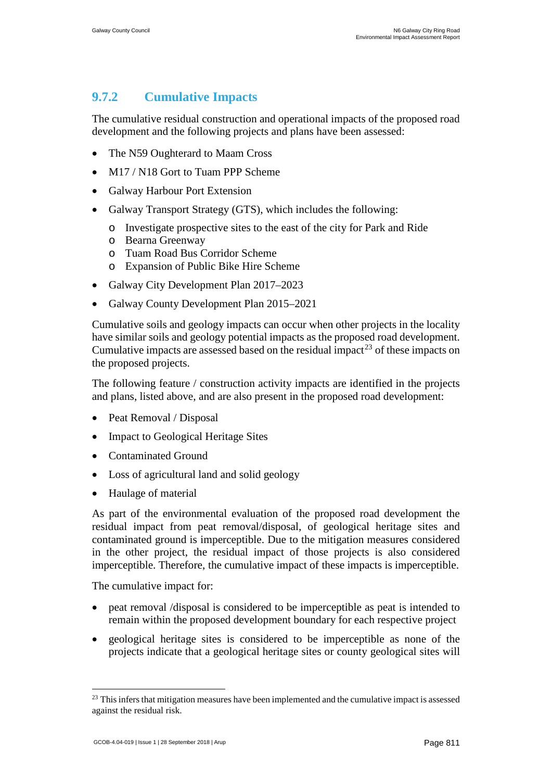# **9.7.2 Cumulative Impacts**

The cumulative residual construction and operational impacts of the proposed road development and the following projects and plans have been assessed:

- The N59 Oughterard to Maam Cross
- M17 / N18 Gort to Tuam PPP Scheme
- Galway Harbour Port Extension
- Galway Transport Strategy (GTS), which includes the following:
	- o Investigate prospective sites to the east of the city for Park and Ride
	- o Bearna Greenway
	- o Tuam Road Bus Corridor Scheme
	- o Expansion of Public Bike Hire Scheme
- Galway City Development Plan 2017–2023
- Galway County Development Plan 2015–2021

Cumulative soils and geology impacts can occur when other projects in the locality have similar soils and geology potential impacts as the proposed road development. Cumulative impacts are assessed based on the residual impact<sup>[23](#page-85-0)</sup> of these impacts on the proposed projects.

The following feature / construction activity impacts are identified in the projects and plans, listed above, and are also present in the proposed road development:

- Peat Removal / Disposal
- Impact to Geological Heritage Sites
- Contaminated Ground
- Loss of agricultural land and solid geology
- Haulage of material

As part of the environmental evaluation of the proposed road development the residual impact from peat removal/disposal, of geological heritage sites and contaminated ground is imperceptible. Due to the mitigation measures considered in the other project, the residual impact of those projects is also considered imperceptible. Therefore, the cumulative impact of these impacts is imperceptible.

The cumulative impact for:

- peat removal /disposal is considered to be imperceptible as peat is intended to remain within the proposed development boundary for each respective project
- geological heritage sites is considered to be imperceptible as none of the projects indicate that a geological heritage sites or county geological sites will

 $23$  This infers that mitigation measures have been implemented and the cumulative impact is assessed against the residual risk.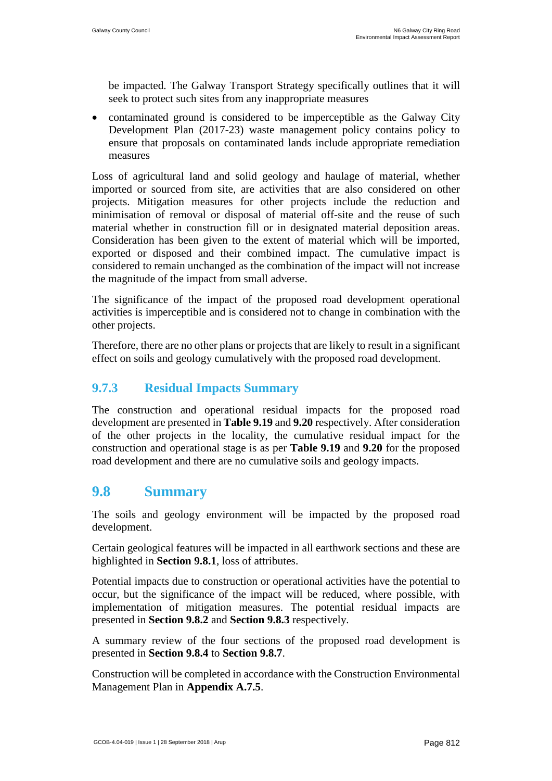be impacted. The Galway Transport Strategy specifically outlines that it will seek to protect such sites from any inappropriate measures

• contaminated ground is considered to be imperceptible as the Galway City Development Plan (2017-23) waste management policy contains policy to ensure that proposals on contaminated lands include appropriate remediation measures

Loss of agricultural land and solid geology and haulage of material, whether imported or sourced from site, are activities that are also considered on other projects. Mitigation measures for other projects include the reduction and minimisation of removal or disposal of material off-site and the reuse of such material whether in construction fill or in designated material deposition areas. Consideration has been given to the extent of material which will be imported, exported or disposed and their combined impact. The cumulative impact is considered to remain unchanged as the combination of the impact will not increase the magnitude of the impact from small adverse.

The significance of the impact of the proposed road development operational activities is imperceptible and is considered not to change in combination with the other projects.

Therefore, there are no other plans or projects that are likely to result in a significant effect on soils and geology cumulatively with the proposed road development.

### **9.7.3 Residual Impacts Summary**

The construction and operational residual impacts for the proposed road development are presented in **Table 9.19** and **9.20** respectively. After consideration of the other projects in the locality, the cumulative residual impact for the construction and operational stage is as per **Table 9.19** and **9.20** for the proposed road development and there are no cumulative soils and geology impacts.

## **9.8 Summary**

The soils and geology environment will be impacted by the proposed road development.

Certain geological features will be impacted in all earthwork sections and these are highlighted in **Section 9.8.1**, loss of attributes.

Potential impacts due to construction or operational activities have the potential to occur, but the significance of the impact will be reduced, where possible, with implementation of mitigation measures. The potential residual impacts are presented in **Section 9.8.2** and **Section 9.8.3** respectively.

A summary review of the four sections of the proposed road development is presented in **Section 9.8.4** to **Section 9.8.7**.

Construction will be completed in accordance with the Construction Environmental Management Plan in **Appendix A.7.5**.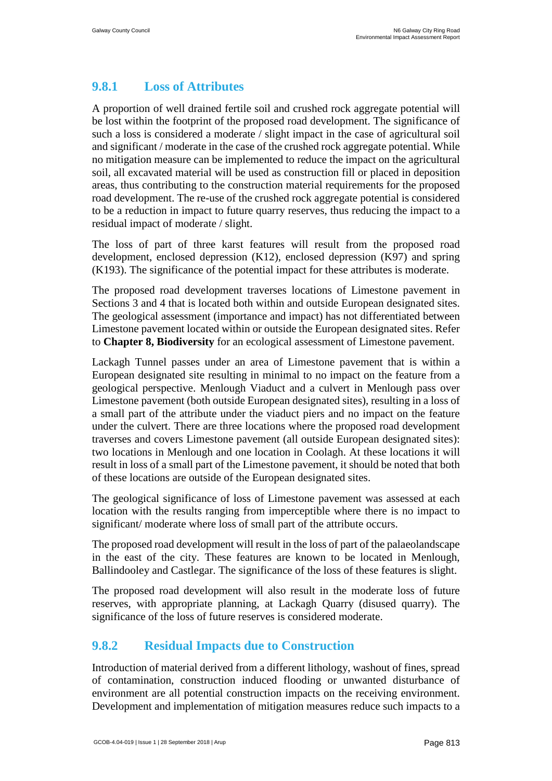### **9.8.1 Loss of Attributes**

A proportion of well drained fertile soil and crushed rock aggregate potential will be lost within the footprint of the proposed road development. The significance of such a loss is considered a moderate / slight impact in the case of agricultural soil and significant / moderate in the case of the crushed rock aggregate potential. While no mitigation measure can be implemented to reduce the impact on the agricultural soil, all excavated material will be used as construction fill or placed in deposition areas, thus contributing to the construction material requirements for the proposed road development. The re-use of the crushed rock aggregate potential is considered to be a reduction in impact to future quarry reserves, thus reducing the impact to a residual impact of moderate / slight.

The loss of part of three karst features will result from the proposed road development, enclosed depression (K12), enclosed depression (K97) and spring (K193). The significance of the potential impact for these attributes is moderate.

The proposed road development traverses locations of Limestone pavement in Sections 3 and 4 that is located both within and outside European designated sites. The geological assessment (importance and impact) has not differentiated between Limestone pavement located within or outside the European designated sites. Refer to **Chapter 8, Biodiversity** for an ecological assessment of Limestone pavement.

Lackagh Tunnel passes under an area of Limestone pavement that is within a European designated site resulting in minimal to no impact on the feature from a geological perspective. Menlough Viaduct and a culvert in Menlough pass over Limestone pavement (both outside European designated sites), resulting in a loss of a small part of the attribute under the viaduct piers and no impact on the feature under the culvert. There are three locations where the proposed road development traverses and covers Limestone pavement (all outside European designated sites): two locations in Menlough and one location in Coolagh. At these locations it will result in loss of a small part of the Limestone pavement, it should be noted that both of these locations are outside of the European designated sites.

The geological significance of loss of Limestone pavement was assessed at each location with the results ranging from imperceptible where there is no impact to significant/ moderate where loss of small part of the attribute occurs.

The proposed road development will result in the loss of part of the palaeolandscape in the east of the city. These features are known to be located in Menlough, Ballindooley and Castlegar. The significance of the loss of these features is slight.

The proposed road development will also result in the moderate loss of future reserves, with appropriate planning, at Lackagh Quarry (disused quarry). The significance of the loss of future reserves is considered moderate.

### **9.8.2 Residual Impacts due to Construction**

Introduction of material derived from a different lithology, washout of fines, spread of contamination, construction induced flooding or unwanted disturbance of environment are all potential construction impacts on the receiving environment. Development and implementation of mitigation measures reduce such impacts to a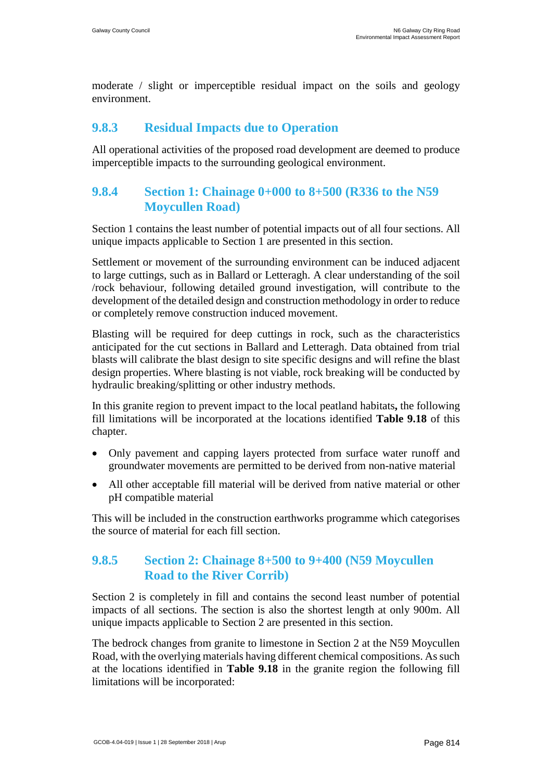moderate / slight or imperceptible residual impact on the soils and geology environment.

#### **9.8.3 Residual Impacts due to Operation**

All operational activities of the proposed road development are deemed to produce imperceptible impacts to the surrounding geological environment.

### **9.8.4 Section 1: Chainage 0+000 to 8+500 (R336 to the N59 Moycullen Road)**

Section 1 contains the least number of potential impacts out of all four sections. All unique impacts applicable to Section 1 are presented in this section.

Settlement or movement of the surrounding environment can be induced adjacent to large cuttings, such as in Ballard or Letteragh. A clear understanding of the soil /rock behaviour, following detailed ground investigation, will contribute to the development of the detailed design and construction methodology in order to reduce or completely remove construction induced movement.

Blasting will be required for deep cuttings in rock, such as the characteristics anticipated for the cut sections in Ballard and Letteragh. Data obtained from trial blasts will calibrate the blast design to site specific designs and will refine the blast design properties. Where blasting is not viable, rock breaking will be conducted by hydraulic breaking/splitting or other industry methods.

In this granite region to prevent impact to the local peatland habitats**,** the following fill limitations will be incorporated at the locations identified **Table 9.18** of this chapter.

- Only pavement and capping layers protected from surface water runoff and groundwater movements are permitted to be derived from non-native material
- All other acceptable fill material will be derived from native material or other pH compatible material

This will be included in the construction earthworks programme which categorises the source of material for each fill section.

### **9.8.5 Section 2: Chainage 8+500 to 9+400 (N59 Moycullen Road to the River Corrib)**

Section 2 is completely in fill and contains the second least number of potential impacts of all sections. The section is also the shortest length at only 900m. All unique impacts applicable to Section 2 are presented in this section.

<span id="page-85-0"></span>The bedrock changes from granite to limestone in Section 2 at the N59 Moycullen Road, with the overlying materials having different chemical compositions. As such at the locations identified in **Table 9.18** in the granite region the following fill limitations will be incorporated: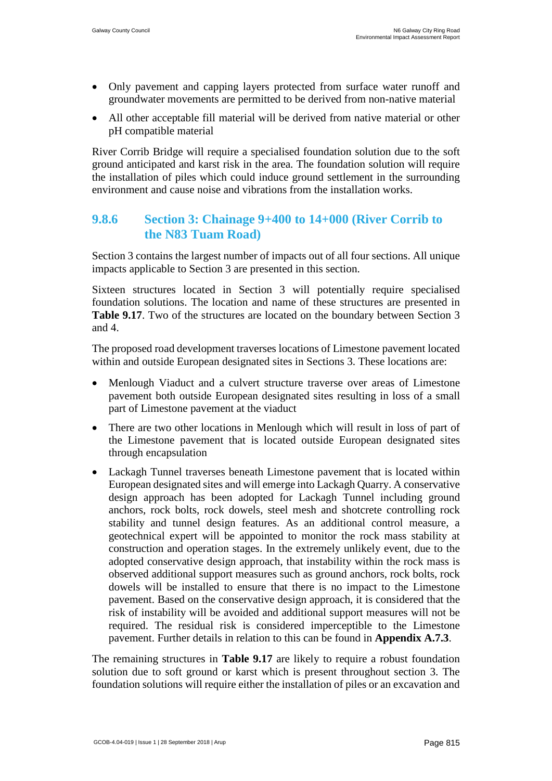- Only pavement and capping layers protected from surface water runoff and groundwater movements are permitted to be derived from non-native material
- All other acceptable fill material will be derived from native material or other pH compatible material

River Corrib Bridge will require a specialised foundation solution due to the soft ground anticipated and karst risk in the area. The foundation solution will require the installation of piles which could induce ground settlement in the surrounding environment and cause noise and vibrations from the installation works.

#### **9.8.6 Section 3: Chainage 9+400 to 14+000 (River Corrib to the N83 Tuam Road)**

Section 3 contains the largest number of impacts out of all four sections. All unique impacts applicable to Section 3 are presented in this section.

Sixteen structures located in Section 3 will potentially require specialised foundation solutions. The location and name of these structures are presented in **[Table 9.17](#page-48-0).** Two of the structures are located on the boundary between Section 3 and 4.

The proposed road development traverses locations of Limestone pavement located within and outside European designated sites in Sections 3. These locations are:

- Menlough Viaduct and a culvert structure traverse over areas of Limestone pavement both outside European designated sites resulting in loss of a small part of Limestone pavement at the viaduct
- There are two other locations in Menlough which will result in loss of part of the Limestone pavement that is located outside European designated sites through encapsulation
- Lackagh Tunnel traverses beneath Limestone pavement that is located within European designated sites and will emerge into Lackagh Quarry. A conservative design approach has been adopted for Lackagh Tunnel including ground anchors, rock bolts, rock dowels, steel mesh and shotcrete controlling rock stability and tunnel design features. As an additional control measure, a geotechnical expert will be appointed to monitor the rock mass stability at construction and operation stages. In the extremely unlikely event, due to the adopted conservative design approach, that instability within the rock mass is observed additional support measures such as ground anchors, rock bolts, rock dowels will be installed to ensure that there is no impact to the Limestone pavement. Based on the conservative design approach, it is considered that the risk of instability will be avoided and additional support measures will not be required. The residual risk is considered imperceptible to the Limestone pavement. Further details in relation to this can be found in **Appendix A.7.3**.

The remaining structures in **[Table 9.17](#page-48-0)** are likely to require a robust foundation solution due to soft ground or karst which is present throughout section 3. The foundation solutions will require either the installation of piles or an excavation and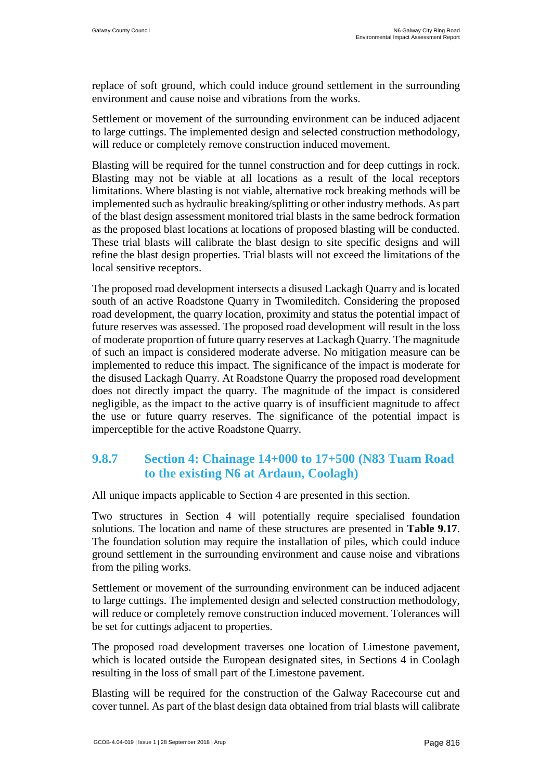replace of soft ground, which could induce ground settlement in the surrounding environment and cause noise and vibrations from the works.

Settlement or movement of the surrounding environment can be induced adjacent to large cuttings. The implemented design and selected construction methodology, will reduce or completely remove construction induced movement.

Blasting will be required for the tunnel construction and for deep cuttings in rock. Blasting may not be viable at all locations as a result of the local receptors limitations. Where blasting is not viable, alternative rock breaking methods will be implemented such as hydraulic breaking/splitting or other industry methods. As part of the blast design assessment monitored trial blasts in the same bedrock formation as the proposed blast locations at locations of proposed blasting will be conducted. These trial blasts will calibrate the blast design to site specific designs and will refine the blast design properties. Trial blasts will not exceed the limitations of the local sensitive receptors.

The proposed road development intersects a disused Lackagh Quarry and is located south of an active Roadstone Quarry in Twomileditch. Considering the proposed road development, the quarry location, proximity and status the potential impact of future reserves was assessed. The proposed road development will result in the loss of moderate proportion of future quarry reserves at Lackagh Quarry. The magnitude of such an impact is considered moderate adverse. No mitigation measure can be implemented to reduce this impact. The significance of the impact is moderate for the disused Lackagh Quarry. At Roadstone Quarry the proposed road development does not directly impact the quarry. The magnitude of the impact is considered negligible, as the impact to the active quarry is of insufficient magnitude to affect the use or future quarry reserves. The significance of the potential impact is imperceptible for the active Roadstone Quarry.

#### **9.8.7 Section 4: Chainage 14+000 to 17+500 (N83 Tuam Road to the existing N6 at Ardaun, Coolagh)**

All unique impacts applicable to Section 4 are presented in this section.

Two structures in Section 4 will potentially require specialised foundation solutions. The location and name of these structures are presented in **[Table 9.17](#page-48-0)**. The foundation solution may require the installation of piles, which could induce ground settlement in the surrounding environment and cause noise and vibrations from the piling works.

Settlement or movement of the surrounding environment can be induced adjacent to large cuttings. The implemented design and selected construction methodology, will reduce or completely remove construction induced movement. Tolerances will be set for cuttings adjacent to properties.

The proposed road development traverses one location of Limestone pavement, which is located outside the European designated sites, in Sections 4 in Coolagh resulting in the loss of small part of the Limestone pavement.

Blasting will be required for the construction of the Galway Racecourse cut and cover tunnel. As part of the blast design data obtained from trial blasts will calibrate